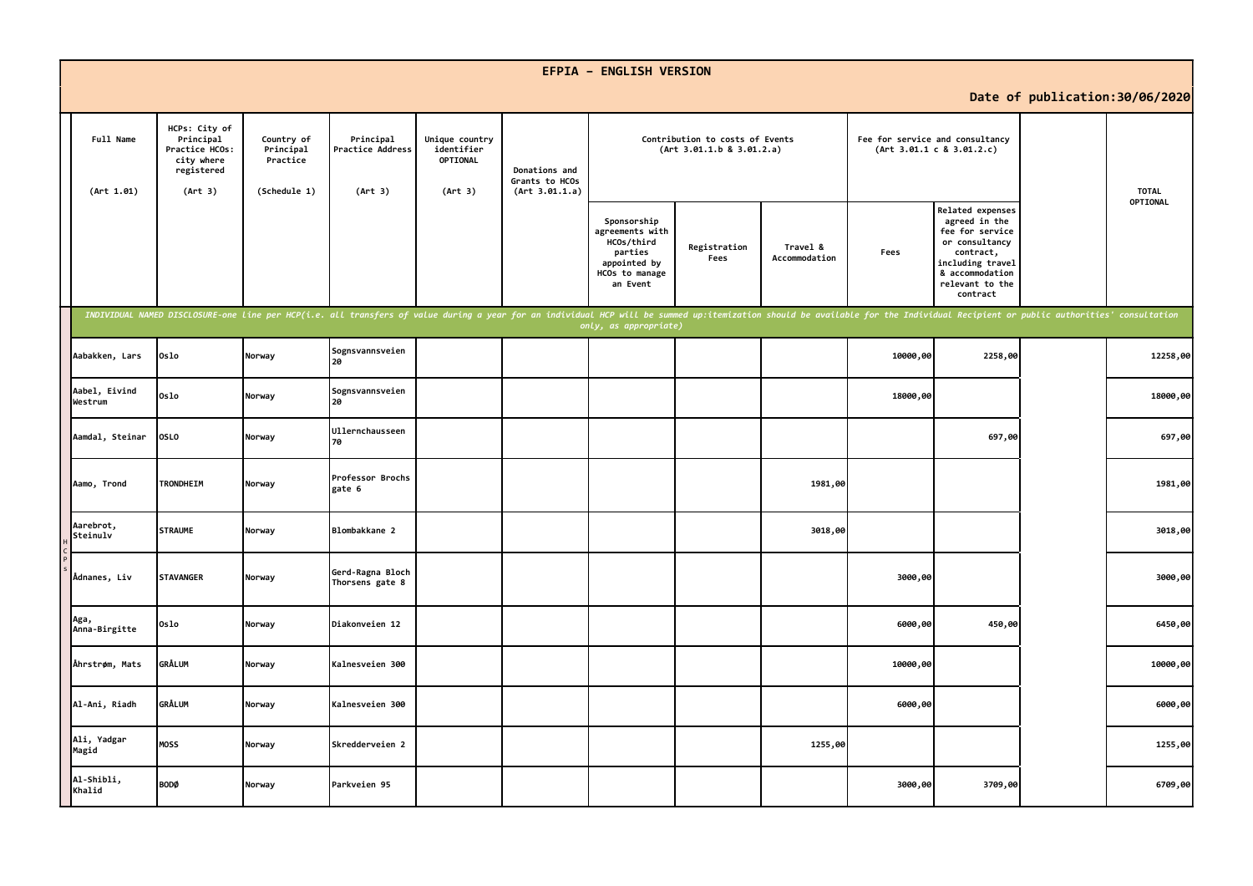|                          |                                                                                     |                                                     |                                                                                                                                                                                                                                |                                                     |                                                   | <b>EFPIA - ENGLISH VERSION</b>                                                                        |                                                              |                           |          |                                                                                                                                                           |                                 |              |
|--------------------------|-------------------------------------------------------------------------------------|-----------------------------------------------------|--------------------------------------------------------------------------------------------------------------------------------------------------------------------------------------------------------------------------------|-----------------------------------------------------|---------------------------------------------------|-------------------------------------------------------------------------------------------------------|--------------------------------------------------------------|---------------------------|----------|-----------------------------------------------------------------------------------------------------------------------------------------------------------|---------------------------------|--------------|
|                          |                                                                                     |                                                     |                                                                                                                                                                                                                                |                                                     |                                                   |                                                                                                       |                                                              |                           |          |                                                                                                                                                           | Date of publication: 30/06/2020 |              |
| Full Name<br>(Art 1.01)  | HCPs: City of<br>Principal<br>Practice HCOs:<br>city where<br>registered<br>(Art 3) | Country of<br>Principal<br>Practice<br>(Schedule 1) | Principal<br>Practice Address<br>(Art 3)                                                                                                                                                                                       | Unique country<br>identifier<br>OPTIONAL<br>(Art 3) | Donations and<br>Grants to HCOs<br>(Art 3.01.1.a) |                                                                                                       | Contribution to costs of Events<br>(Art 3.01.1.b 8 3.01.2.a) |                           |          | Fee for service and consultancy<br>(Art 3.01.1 c 8 3.01.2.c)                                                                                              |                                 | <b>TOTAL</b> |
|                          |                                                                                     |                                                     |                                                                                                                                                                                                                                |                                                     |                                                   | Sponsorship<br>agreements with<br>HCOs/third<br>parties<br>appointed by<br>HCOs to manage<br>an Event | Registration<br>Fees                                         | Travel &<br>Accommodation | Fees     | Related expenses<br>agreed in the<br>fee for service<br>or consultancy<br>contract,<br>including travel<br>& accommodation<br>relevant to the<br>contract |                                 | OPTIONAL     |
|                          |                                                                                     |                                                     | INDIVIDUAL NAMED DISCLOSURE-one line per HCP(i.e. all transfers of value during a year for an individual HCP will be summed up:itemization should be available for the Individual Recipient or public authorities' consultatio |                                                     |                                                   | only, as appropriate)                                                                                 |                                                              |                           |          |                                                                                                                                                           |                                 |              |
| Aabakken, Lars           | 0slo                                                                                | Norway                                              | Sognsvannsveien<br>20                                                                                                                                                                                                          |                                                     |                                                   |                                                                                                       |                                                              |                           | 10000,00 | 2258,00                                                                                                                                                   |                                 | 12258,00     |
| Aabel, Eivind<br>Westrum | 0slo                                                                                | Norway                                              | Sognsvannsveien<br>20                                                                                                                                                                                                          |                                                     |                                                   |                                                                                                       |                                                              |                           | 18000,00 |                                                                                                                                                           |                                 | 18000,00     |
| Aamdal, Steinar          | <b>OSLO</b>                                                                         | Norway                                              | Ullernchausseen<br>70                                                                                                                                                                                                          |                                                     |                                                   |                                                                                                       |                                                              |                           |          | 697,00                                                                                                                                                    |                                 | 697,00       |
| Aamo, Trond              | TRONDHEIM                                                                           | Norway                                              | Professor Brochs<br>gate 6                                                                                                                                                                                                     |                                                     |                                                   |                                                                                                       |                                                              | 1981,00                   |          |                                                                                                                                                           |                                 | 1981,00      |
| Aarebrot,<br>Steinulv    | <b>STRAUME</b>                                                                      | Norway                                              | Blombakkane 2                                                                                                                                                                                                                  |                                                     |                                                   |                                                                                                       |                                                              | 3018,00                   |          |                                                                                                                                                           |                                 | 3018,00      |
| Ådnanes, Liv             | <b>STAVANGER</b>                                                                    | Norway                                              | Gerd-Ragna Bloch<br>Thorsens gate 8                                                                                                                                                                                            |                                                     |                                                   |                                                                                                       |                                                              |                           | 3000,00  |                                                                                                                                                           |                                 | 3000,00      |
| Aga,<br>Anna-Birgitte    | 0slo                                                                                | Norway                                              | Diakonveien 12                                                                                                                                                                                                                 |                                                     |                                                   |                                                                                                       |                                                              |                           | 6000,00  | 450,00                                                                                                                                                    |                                 | 6450,00      |
| Åhrstrøm, Mats           | <b>GRÅLUM</b>                                                                       | Norway                                              | Kalnesveien 300                                                                                                                                                                                                                |                                                     |                                                   |                                                                                                       |                                                              |                           | 10000,00 |                                                                                                                                                           |                                 | 10000,00     |
| Al-Ani, Riadh            | <b>GRÅLUM</b>                                                                       | Norway                                              | Kalnesveien 300                                                                                                                                                                                                                |                                                     |                                                   |                                                                                                       |                                                              |                           | 6000,00  |                                                                                                                                                           |                                 | 6000,00      |
| Ali, Yadgar<br>Magid     | <b>MOSS</b>                                                                         | Norway                                              | Skredderveien 2                                                                                                                                                                                                                |                                                     |                                                   |                                                                                                       |                                                              | 1255,00                   |          |                                                                                                                                                           |                                 | 1255,00      |
| Al-Shibli,<br>Khalid     | <b>BODØ</b>                                                                         | Norway                                              | Parkveien 95                                                                                                                                                                                                                   |                                                     |                                                   |                                                                                                       |                                                              |                           | 3000,00  | 3709,00                                                                                                                                                   |                                 | 6709,00      |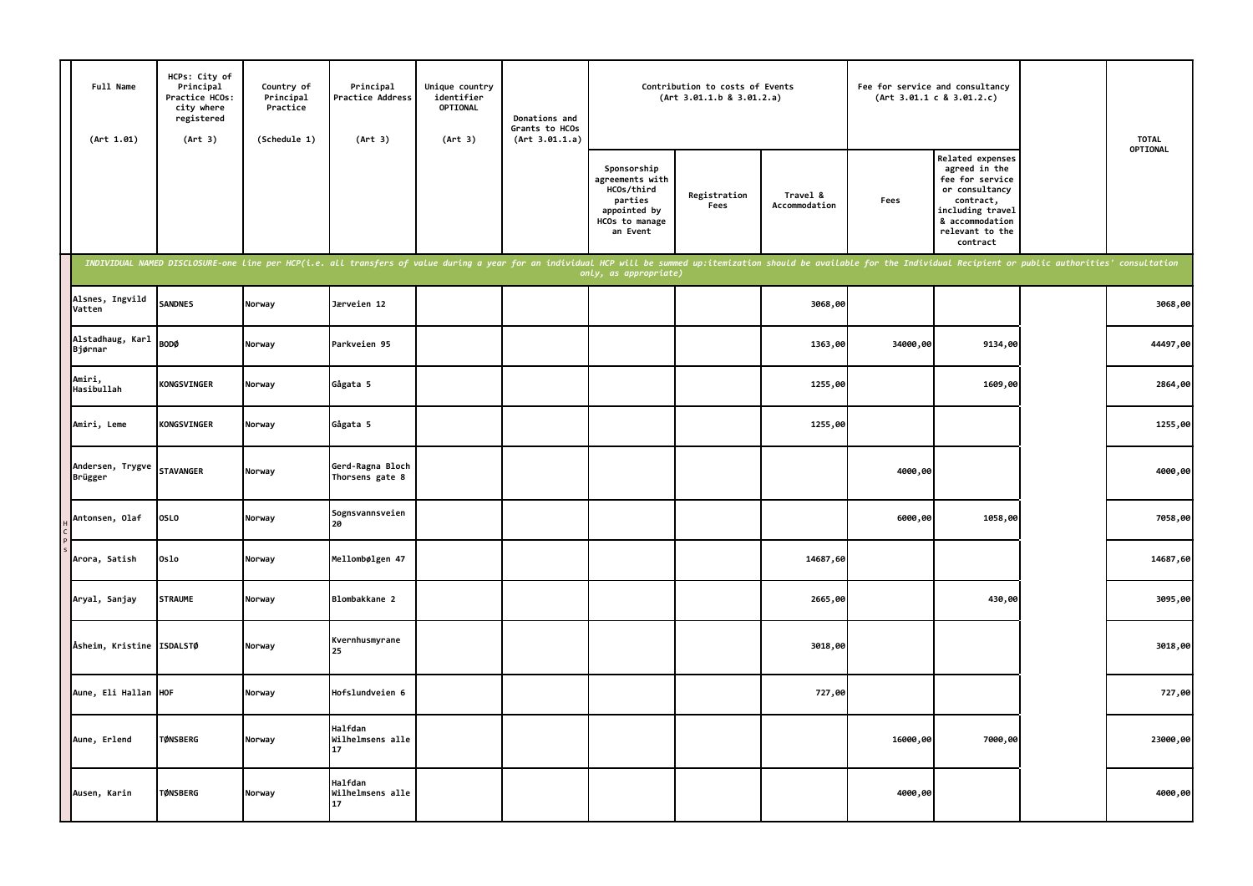| Full Name<br>(Art 1.01)     | HCPs: City of<br>Principal<br>Practice HCOs:<br>city where<br>registered<br>(Art 3) | Country of<br>Principal<br>Practice<br>(Schedule 1) | Principal<br>Practice Address<br>(Art 3)                                                                                                                                                                                       | Unique country<br>identifier<br><b>OPTIONAL</b><br>(Art 3) | Donations and<br>Grants to HCOs<br>(Art 3.01.1.a) |                                                                                                       | Contribution to costs of Events<br>(Art 3.01.1.b 8 3.01.2.a) |                           |          | Fee for service and consultancy<br>(Art 3.01.1 c 8 3.01.2.c)                                                                                              | <b>TOTAL</b> |
|-----------------------------|-------------------------------------------------------------------------------------|-----------------------------------------------------|--------------------------------------------------------------------------------------------------------------------------------------------------------------------------------------------------------------------------------|------------------------------------------------------------|---------------------------------------------------|-------------------------------------------------------------------------------------------------------|--------------------------------------------------------------|---------------------------|----------|-----------------------------------------------------------------------------------------------------------------------------------------------------------|--------------|
|                             |                                                                                     |                                                     |                                                                                                                                                                                                                                |                                                            |                                                   | Sponsorship<br>agreements with<br>HCOs/third<br>parties<br>appointed by<br>HCOs to manage<br>an Event | Registration<br>Fees                                         | Travel &<br>Accommodation | Fees     | Related expenses<br>agreed in the<br>fee for service<br>or consultancy<br>contract,<br>including travel<br>& accommodation<br>relevant to the<br>contract | OPTIONAL     |
|                             |                                                                                     |                                                     | INDIVIDUAL NAMED DISCLOSURE-one line per HCP(i.e. all transfers of value during a year for an individual HCP will be summed up:itemization should be available for the Individual Recipient or public authorities' consultatio |                                                            |                                                   | only, as appropriate)                                                                                 |                                                              |                           |          |                                                                                                                                                           |              |
| Alsnes, Ingvild<br>Vatten   | <b>SANDNES</b>                                                                      | Norway                                              | Jærveien 12                                                                                                                                                                                                                    |                                                            |                                                   |                                                                                                       |                                                              | 3068,00                   |          |                                                                                                                                                           | 3068,00      |
| Alstadhaug, Karl<br>Bjørnar | <b>BODØ</b>                                                                         | Norway                                              | Parkveien 95                                                                                                                                                                                                                   |                                                            |                                                   |                                                                                                       |                                                              | 1363,00                   | 34000,00 | 9134,00                                                                                                                                                   | 44497,00     |
| Amiri,<br>Hasibullah        | <b>KONGSVINGER</b>                                                                  | Norway                                              | Gågata 5                                                                                                                                                                                                                       |                                                            |                                                   |                                                                                                       |                                                              | 1255,00                   |          | 1609,00                                                                                                                                                   | 2864,00      |
| Amiri, Leme                 | <b>KONGSVINGER</b>                                                                  | Norway                                              | Gågata 5                                                                                                                                                                                                                       |                                                            |                                                   |                                                                                                       |                                                              | 1255,00                   |          |                                                                                                                                                           | 1255,00      |
| Andersen, Trygve<br>Brügger | <b>STAVANGER</b>                                                                    | Norway                                              | Gerd-Ragna Bloch<br>Thorsens gate 8                                                                                                                                                                                            |                                                            |                                                   |                                                                                                       |                                                              |                           | 4000,00  |                                                                                                                                                           | 4000,00      |
| Antonsen, Olaf              | <b>OSLO</b>                                                                         | Norway                                              | Sognsvannsveien<br>20                                                                                                                                                                                                          |                                                            |                                                   |                                                                                                       |                                                              |                           | 6000,00  | 1058,00                                                                                                                                                   | 7058,00      |
| Arora, Satish               | 0slo                                                                                | Norway                                              | Mellombølgen 47                                                                                                                                                                                                                |                                                            |                                                   |                                                                                                       |                                                              | 14687,60                  |          |                                                                                                                                                           | 14687,60     |
| Aryal, Sanjay               | <b>STRAUME</b>                                                                      | Norway                                              | Blombakkane 2                                                                                                                                                                                                                  |                                                            |                                                   |                                                                                                       |                                                              | 2665,00                   |          | 430,00                                                                                                                                                    | 3095,00      |
| Åsheim, Kristine ISDALSTØ   |                                                                                     | Norway                                              | Kvernhusmyrane<br>25                                                                                                                                                                                                           |                                                            |                                                   |                                                                                                       |                                                              | 3018,00                   |          |                                                                                                                                                           | 3018,00      |
| Aune, Eli Hallan HOF        |                                                                                     | Norway                                              | Hofslundveien 6                                                                                                                                                                                                                |                                                            |                                                   |                                                                                                       |                                                              | 727,00                    |          |                                                                                                                                                           | 727,00       |
| Aune, Erlend                | <b>TØNSBERG</b>                                                                     | Norway                                              | <b>Halfdan</b><br>Wilhelmsens alle<br>17                                                                                                                                                                                       |                                                            |                                                   |                                                                                                       |                                                              |                           | 16000,00 | 7000,00                                                                                                                                                   | 23000,00     |
| Ausen, Karin                | <b>TØNSBERG</b>                                                                     | Norway                                              | <b>Halfdan</b><br>Wilhelmsens alle<br>17                                                                                                                                                                                       |                                                            |                                                   |                                                                                                       |                                                              |                           | 4000,00  |                                                                                                                                                           | 4000,00      |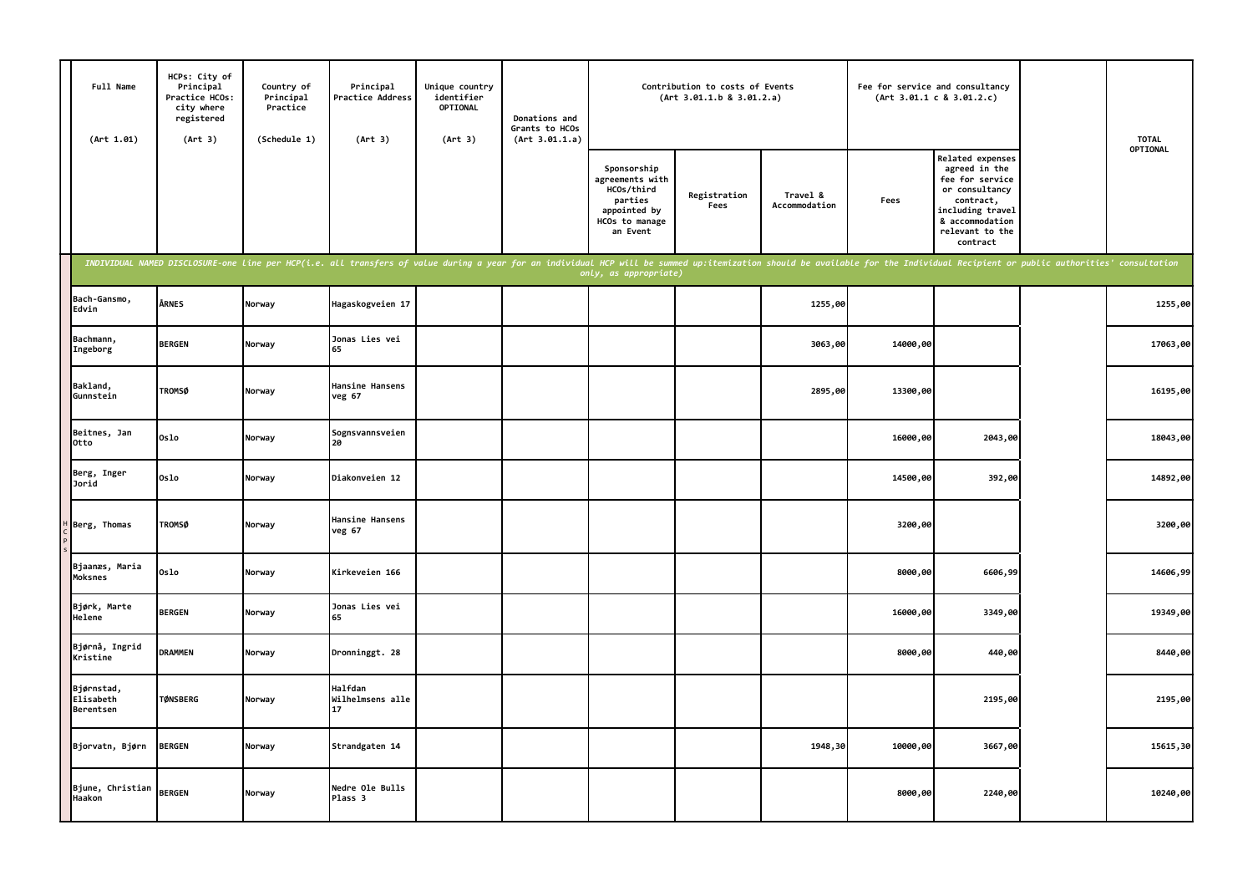| Full Name<br>(Art 1.01)              | HCPs: City of<br>Principal<br>Practice HCOs:<br>city where<br>registered<br>(Art 3) | Country of<br>Principal<br>Practice<br>(Schedule 1) | Principal<br><b>Practice Address</b><br>(Art 3)                                                                                                                                                                                | Unique country<br>identifier<br><b>OPTIONAL</b><br>(Art 3) | Donations and<br>Grants to HCOs<br>(Art 3.01.1.a) |                                                                                                       | Contribution to costs of Events<br>(Art 3.01.1.b 8 3.01.2.a) |                           |          | Fee for service and consultancy<br>(Art 3.01.1 c 8 3.01.2.c)                                                                                                     | <b>TOTAL</b> |
|--------------------------------------|-------------------------------------------------------------------------------------|-----------------------------------------------------|--------------------------------------------------------------------------------------------------------------------------------------------------------------------------------------------------------------------------------|------------------------------------------------------------|---------------------------------------------------|-------------------------------------------------------------------------------------------------------|--------------------------------------------------------------|---------------------------|----------|------------------------------------------------------------------------------------------------------------------------------------------------------------------|--------------|
|                                      |                                                                                     |                                                     |                                                                                                                                                                                                                                |                                                            |                                                   | Sponsorship<br>agreements with<br>HCOs/third<br>parties<br>appointed by<br>HCOs to manage<br>an Event | Registration<br>Fees                                         | Travel &<br>Accommodation | Fees     | <b>Related expenses</b><br>agreed in the<br>fee for service<br>or consultancy<br>contract,<br>including travel<br>& accommodation<br>relevant to the<br>contract | OPTIONAL     |
|                                      |                                                                                     |                                                     | INDIVIDUAL NAMED DISCLOSURE-one line per HCP(i.e. all transfers of value during a year for an individual HCP will be summed up:itemization should be available for the Individual Recipient or public authorities' consultatio |                                                            |                                                   | only, as appropriate)                                                                                 |                                                              |                           |          |                                                                                                                                                                  |              |
| Bach-Gansmo,<br>Edvin                | ÅRNES                                                                               | Norway                                              | Hagaskogveien 17                                                                                                                                                                                                               |                                                            |                                                   |                                                                                                       |                                                              | 1255,00                   |          |                                                                                                                                                                  | 1255,00      |
| Bachmann,<br>Ingeborg                | <b>BERGEN</b>                                                                       | Norway                                              | Jonas Lies vei<br>65                                                                                                                                                                                                           |                                                            |                                                   |                                                                                                       |                                                              | 3063,00                   | 14000,00 |                                                                                                                                                                  | 17063,00     |
| Bakland,<br>Gunnstein                | <b>TROMSØ</b>                                                                       | Norway                                              | Hansine Hansens<br>veg 67                                                                                                                                                                                                      |                                                            |                                                   |                                                                                                       |                                                              | 2895,00                   | 13300,00 |                                                                                                                                                                  | 16195,00     |
| Beitnes, Jan<br>Otto                 | 0slo                                                                                | Norway                                              | Sognsvannsveien<br>20                                                                                                                                                                                                          |                                                            |                                                   |                                                                                                       |                                                              |                           | 16000,00 | 2043,00                                                                                                                                                          | 18043,00     |
| Berg, Inger<br>Jorid                 | Oslo                                                                                | Norway                                              | Diakonveien 12                                                                                                                                                                                                                 |                                                            |                                                   |                                                                                                       |                                                              |                           | 14500,00 | 392,00                                                                                                                                                           | 14892,00     |
| Berg, Thomas                         | <b>TROMSØ</b>                                                                       | Norway                                              | Hansine Hansens<br>veg 67                                                                                                                                                                                                      |                                                            |                                                   |                                                                                                       |                                                              |                           | 3200,00  |                                                                                                                                                                  | 3200,00      |
| Bjaanæs, Maria<br>Moksnes            | Oslo                                                                                | Norway                                              | Kirkeveien 166                                                                                                                                                                                                                 |                                                            |                                                   |                                                                                                       |                                                              |                           | 8000,00  | 6606,99                                                                                                                                                          | 14606,99     |
| Bjørk, Marte<br>Helene               | <b>BERGEN</b>                                                                       | Norway                                              | Jonas Lies vei<br>65                                                                                                                                                                                                           |                                                            |                                                   |                                                                                                       |                                                              |                           | 16000,00 | 3349,00                                                                                                                                                          | 19349,00     |
| Bjørnå, Ingrid<br>Kristine           | <b>DRAMMEN</b>                                                                      | Norway                                              | Dronninggt. 28                                                                                                                                                                                                                 |                                                            |                                                   |                                                                                                       |                                                              |                           | 8000,00  | 440,00                                                                                                                                                           | 8440,00      |
| Bjørnstad,<br>Elisabeth<br>Berentsen | <b>TØNSBERG</b>                                                                     | Norway                                              | Halfdan<br>Wilhelmsens alle<br>17                                                                                                                                                                                              |                                                            |                                                   |                                                                                                       |                                                              |                           |          | 2195,00                                                                                                                                                          | 2195,00      |
| Bjorvatn, Bjørn                      | <b>BERGEN</b>                                                                       | Norway                                              | Strandgaten 14                                                                                                                                                                                                                 |                                                            |                                                   |                                                                                                       |                                                              | 1948,30                   | 10000,00 | 3667,00                                                                                                                                                          | 15615,30     |
| Bjune, Christian<br>Haakon           | <b>BERGEN</b>                                                                       | Norway                                              | Nedre Ole Bulls<br>Plass 3                                                                                                                                                                                                     |                                                            |                                                   |                                                                                                       |                                                              |                           | 8000,00  | 2240,00                                                                                                                                                          | 10240,00     |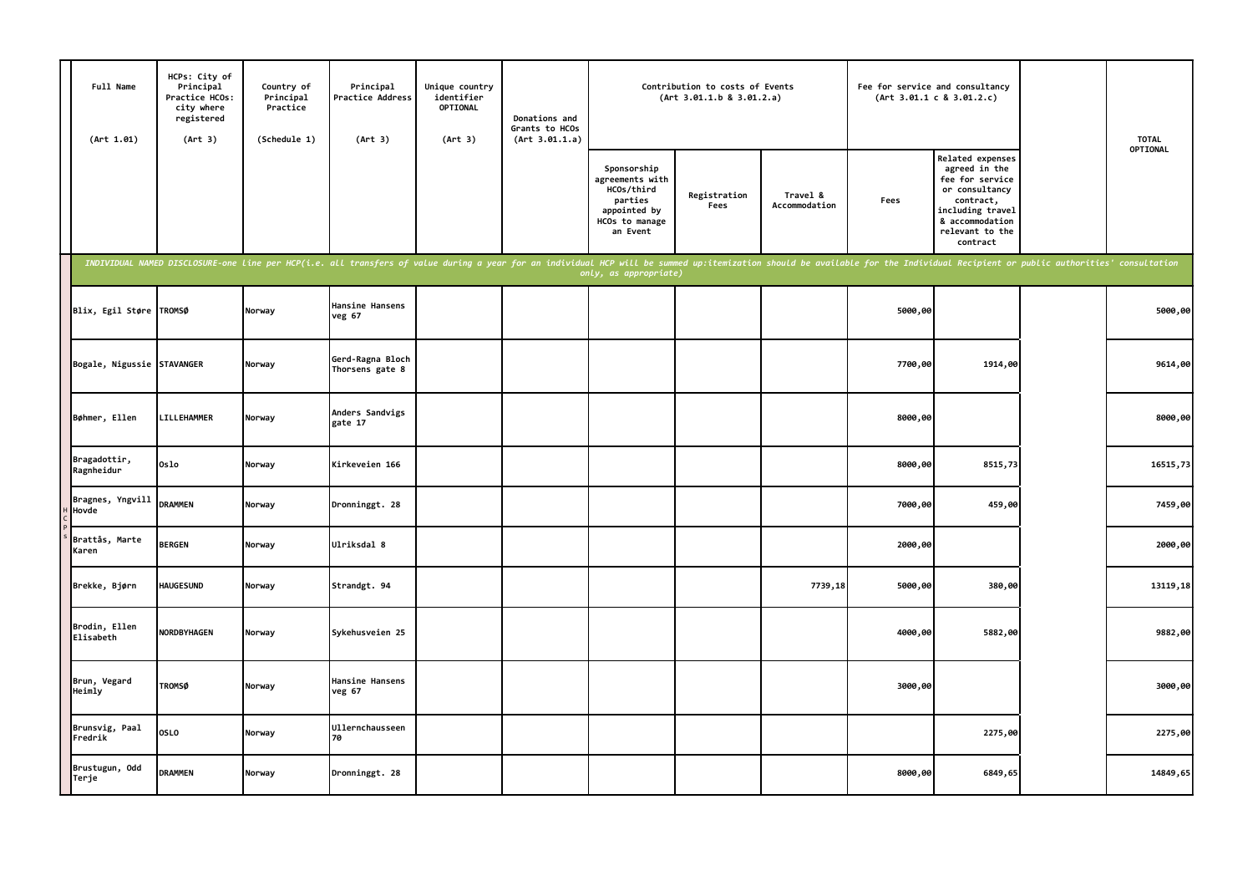| Full Name<br>(Art 1.01)    | HCPs: City of<br>Principal<br>Practice HCOs:<br>city where<br>registered<br>(Art 3)                                                                                                                                            | Country of<br>Principal<br>Practice<br>(Schedule 1) | Principal<br>Practice Address<br>(Art 3) | Unique country<br>identifier<br>OPTIONAL<br>(Art 3) | Donations and<br>Grants to HCOs<br>(Art 3.01.1.a) |                                                                                                       | Contribution to costs of Events<br>(Art 3.01.1.b 8 3.01.2.a) |                           |         | Fee for service and consultancy<br>(Art 3.01.1 c 8 3.01.2.c)                                                                                              | <b>TOTAL</b> |
|----------------------------|--------------------------------------------------------------------------------------------------------------------------------------------------------------------------------------------------------------------------------|-----------------------------------------------------|------------------------------------------|-----------------------------------------------------|---------------------------------------------------|-------------------------------------------------------------------------------------------------------|--------------------------------------------------------------|---------------------------|---------|-----------------------------------------------------------------------------------------------------------------------------------------------------------|--------------|
|                            |                                                                                                                                                                                                                                |                                                     |                                          |                                                     |                                                   | Sponsorship<br>agreements with<br>HCOs/third<br>parties<br>appointed by<br>HCOs to manage<br>an Event | Registration<br>Fees                                         | Travel &<br>Accommodation | Fees    | Related expenses<br>agreed in the<br>fee for service<br>or consultancy<br>contract,<br>including travel<br>& accommodation<br>relevant to the<br>contract | OPTIONAL     |
|                            | INDIVIDUAL NAMED DISCLOSURE-one line per HCP(i.e. all transfers of value during a year for an individual HCP will be summed up:itemization should be available for the Individual Recipient or public authorities' consultatio |                                                     |                                          |                                                     |                                                   | only, as appropriate)                                                                                 |                                                              |                           |         |                                                                                                                                                           |              |
| Blix, Egil Støre TROMSØ    |                                                                                                                                                                                                                                | Norway                                              | Hansine Hansens<br>veg 67                |                                                     |                                                   |                                                                                                       |                                                              |                           | 5000,00 |                                                                                                                                                           | 5000,00      |
| Bogale, Nigussie STAVANGER |                                                                                                                                                                                                                                | Norway                                              | Gerd-Ragna Bloch<br>Thorsens gate 8      |                                                     |                                                   |                                                                                                       |                                                              |                           | 7700,00 | 1914,00                                                                                                                                                   | 9614,00      |
| Bøhmer, Ellen              | LILLEHAMMER                                                                                                                                                                                                                    | Norway                                              | Anders Sandvigs<br>gate 17               |                                                     |                                                   |                                                                                                       |                                                              |                           | 8000,00 |                                                                                                                                                           | 8000,00      |
| Bragadottir,<br>Ragnheidur | 0slo                                                                                                                                                                                                                           | Norway                                              | Kirkeveien 166                           |                                                     |                                                   |                                                                                                       |                                                              |                           | 8000,00 | 8515,73                                                                                                                                                   | 16515,73     |
| Bragnes, Yngvill<br>Hovde  | <b>DRAMMEN</b>                                                                                                                                                                                                                 | Norway                                              | Dronninggt. 28                           |                                                     |                                                   |                                                                                                       |                                                              |                           | 7000,00 | 459,00                                                                                                                                                    | 7459,00      |
| Brattås, Marte<br>Karen    | <b>BERGEN</b>                                                                                                                                                                                                                  | Norway                                              | Ulriksdal 8                              |                                                     |                                                   |                                                                                                       |                                                              |                           | 2000,00 |                                                                                                                                                           | 2000,00      |
| Brekke, Bjørn              | <b>HAUGESUND</b>                                                                                                                                                                                                               | Norway                                              | Strandgt. 94                             |                                                     |                                                   |                                                                                                       |                                                              | 7739,18                   | 5000,00 | 380,00                                                                                                                                                    | 13119,18     |
| Brodin, Ellen<br>Elisabeth | NORDBYHAGEN                                                                                                                                                                                                                    | Norway                                              | Sykehusveien 25                          |                                                     |                                                   |                                                                                                       |                                                              |                           | 4000,00 | 5882,00                                                                                                                                                   | 9882,00      |
| Brun, Vegard<br>Heimly     | <b>TROMSØ</b>                                                                                                                                                                                                                  | Norway                                              | Hansine Hansens<br>veg 67                |                                                     |                                                   |                                                                                                       |                                                              |                           | 3000,00 |                                                                                                                                                           | 3000,00      |
| Brunsvig, Paal<br>Fredrik  | <b>OSLO</b>                                                                                                                                                                                                                    | Norway                                              | Ullernchausseen<br>70                    |                                                     |                                                   |                                                                                                       |                                                              |                           |         | 2275,00                                                                                                                                                   | 2275,00      |
| Brustugun, Odd<br>Terje    | <b>DRAMMEN</b>                                                                                                                                                                                                                 | Norway                                              | Dronninggt. 28                           |                                                     |                                                   |                                                                                                       |                                                              |                           | 8000,00 | 6849,65                                                                                                                                                   | 14849,65     |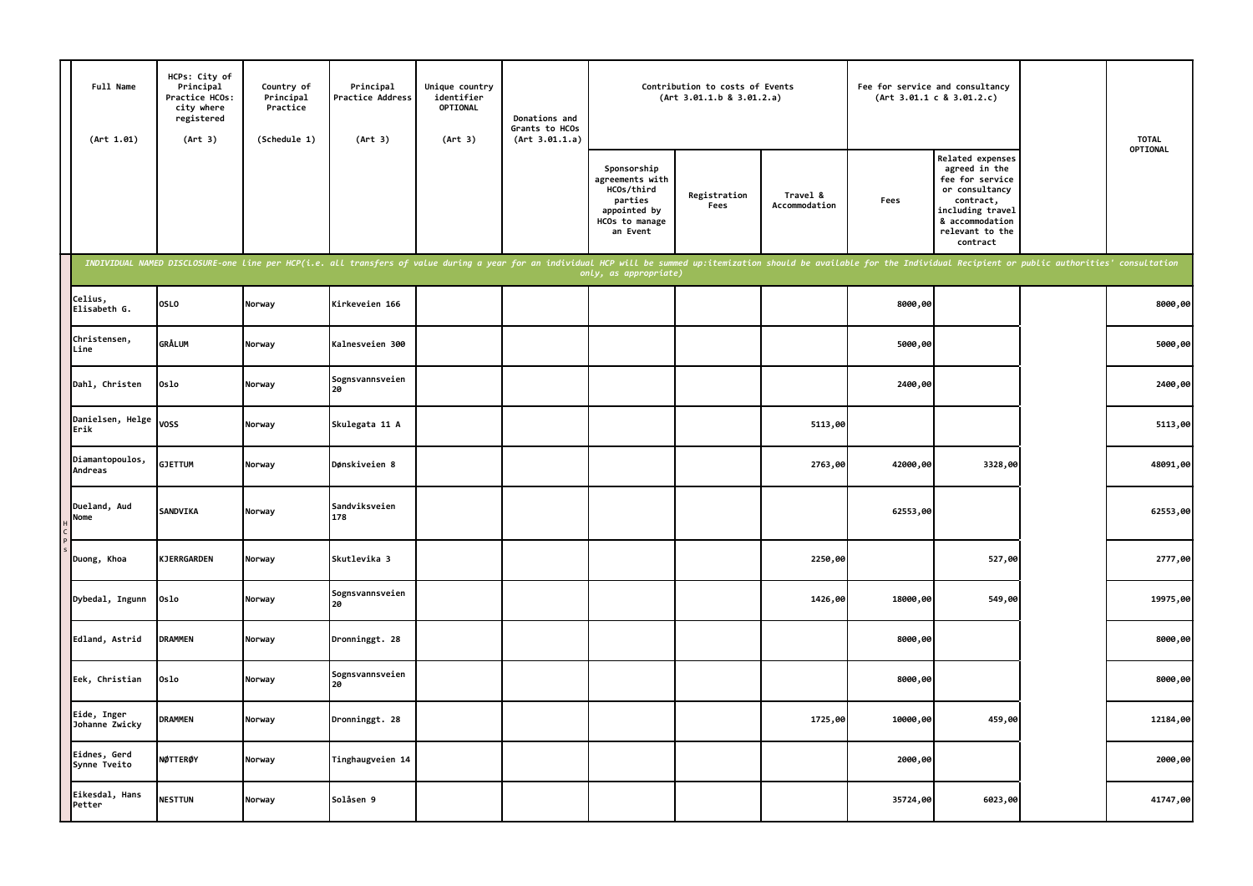| Full Name<br>(Art 1.01)       | HCPs: City of<br>Principal<br>Practice HCOs:<br>city where<br>registered<br>(Art 3) | Country of<br>Principal<br>Practice<br>(Schedule 1) | Principal<br><b>Practice Address</b><br>(Art 3)                                                                                                                                                                                | Unique country<br>identifier<br><b>OPTIONAL</b><br>(Art 3) | Donations and<br>Grants to HCOs<br>(Art 3.01.1.a) |                                                                                                       | Contribution to costs of Events<br>(Art 3.01.1.b 8 3.01.2.a) |                           |          | Fee for service and consultancy<br>(Art 3.01.1 c 8 3.01.2.c)                                                                                              | <b>TOTAL</b> |
|-------------------------------|-------------------------------------------------------------------------------------|-----------------------------------------------------|--------------------------------------------------------------------------------------------------------------------------------------------------------------------------------------------------------------------------------|------------------------------------------------------------|---------------------------------------------------|-------------------------------------------------------------------------------------------------------|--------------------------------------------------------------|---------------------------|----------|-----------------------------------------------------------------------------------------------------------------------------------------------------------|--------------|
|                               |                                                                                     |                                                     |                                                                                                                                                                                                                                |                                                            |                                                   | Sponsorship<br>agreements with<br>HCOs/third<br>parties<br>appointed by<br>HCOs to manage<br>an Event | Registration<br>Fees                                         | Travel &<br>Accommodation | Fees     | Related expenses<br>agreed in the<br>fee for service<br>or consultancy<br>contract,<br>including travel<br>& accommodation<br>relevant to the<br>contract | OPTIONAL     |
|                               |                                                                                     |                                                     | INDIVIDUAL NAMED DISCLOSURE-one line per HCP(i.e. all transfers of value during a year for an individual HCP will be summed up:itemization should be available for the Individual Recipient or public authorities' consultatio |                                                            |                                                   | only, as appropriate)                                                                                 |                                                              |                           |          |                                                                                                                                                           |              |
| Celius,<br>Elisabeth G.       | <b>OSLO</b>                                                                         | Norway                                              | Kirkeveien 166                                                                                                                                                                                                                 |                                                            |                                                   |                                                                                                       |                                                              |                           | 8000,00  |                                                                                                                                                           | 8000,00      |
| Christensen,<br>Line          | GRÅLUM                                                                              | Norway                                              | Kalnesveien 300                                                                                                                                                                                                                |                                                            |                                                   |                                                                                                       |                                                              |                           | 5000,00  |                                                                                                                                                           | 5000,00      |
| Dahl, Christen                | Oslo                                                                                | Norway                                              | Sognsvannsveien                                                                                                                                                                                                                |                                                            |                                                   |                                                                                                       |                                                              |                           | 2400,00  |                                                                                                                                                           | 2400,00      |
| Danielsen, Helge<br>Erik      | <b>VOSS</b>                                                                         | Norway                                              | Skulegata 11 A                                                                                                                                                                                                                 |                                                            |                                                   |                                                                                                       |                                                              | 5113,00                   |          |                                                                                                                                                           | 5113,00      |
| Diamantopoulos,<br>Andreas    | <b>GJETTUM</b>                                                                      | Norway                                              | Dønskiveien 8                                                                                                                                                                                                                  |                                                            |                                                   |                                                                                                       |                                                              | 2763,00                   | 42000,00 | 3328,00                                                                                                                                                   | 48091,00     |
| Dueland, Aud<br>Nome          | SANDVIKA                                                                            | Norway                                              | Sandviksveien<br>178                                                                                                                                                                                                           |                                                            |                                                   |                                                                                                       |                                                              |                           | 62553,00 |                                                                                                                                                           | 62553,00     |
| Duong, Khoa                   | KJERRGARDEN                                                                         | Norway                                              | Skutlevika 3                                                                                                                                                                                                                   |                                                            |                                                   |                                                                                                       |                                                              | 2250,00                   |          | 527,00                                                                                                                                                    | 2777,00      |
| Dybedal, Ingunn               | Oslo                                                                                | Norway                                              | Sognsvannsveien<br>20                                                                                                                                                                                                          |                                                            |                                                   |                                                                                                       |                                                              | 1426,00                   | 18000,00 | 549,00                                                                                                                                                    | 19975,00     |
| Edland, Astrid                | <b>DRAMMEN</b>                                                                      | Norway                                              | Dronninggt. 28                                                                                                                                                                                                                 |                                                            |                                                   |                                                                                                       |                                                              |                           | 8000,00  |                                                                                                                                                           | 8000,00      |
| Eek, Christian                | Oslo                                                                                | Norway                                              | Sognsvannsveien<br>20                                                                                                                                                                                                          |                                                            |                                                   |                                                                                                       |                                                              |                           | 8000,00  |                                                                                                                                                           | 8000,00      |
| Eide, Inger<br>Johanne Zwicky | <b>DRAMMEN</b>                                                                      | Norway                                              | Dronninggt. 28                                                                                                                                                                                                                 |                                                            |                                                   |                                                                                                       |                                                              | 1725,00                   | 10000,00 | 459,00                                                                                                                                                    | 12184,00     |
| Eidnes, Gerd<br>Synne Tveito  | NØTTERØY                                                                            | Norway                                              | Tinghaugveien 14                                                                                                                                                                                                               |                                                            |                                                   |                                                                                                       |                                                              |                           | 2000,00  |                                                                                                                                                           | 2000,00      |
| Eikesdal, Hans<br>Petter      | <b>NESTTUN</b>                                                                      | Norway                                              | Solåsen 9                                                                                                                                                                                                                      |                                                            |                                                   |                                                                                                       |                                                              |                           | 35724,00 | 6023,00                                                                                                                                                   | 41747,00     |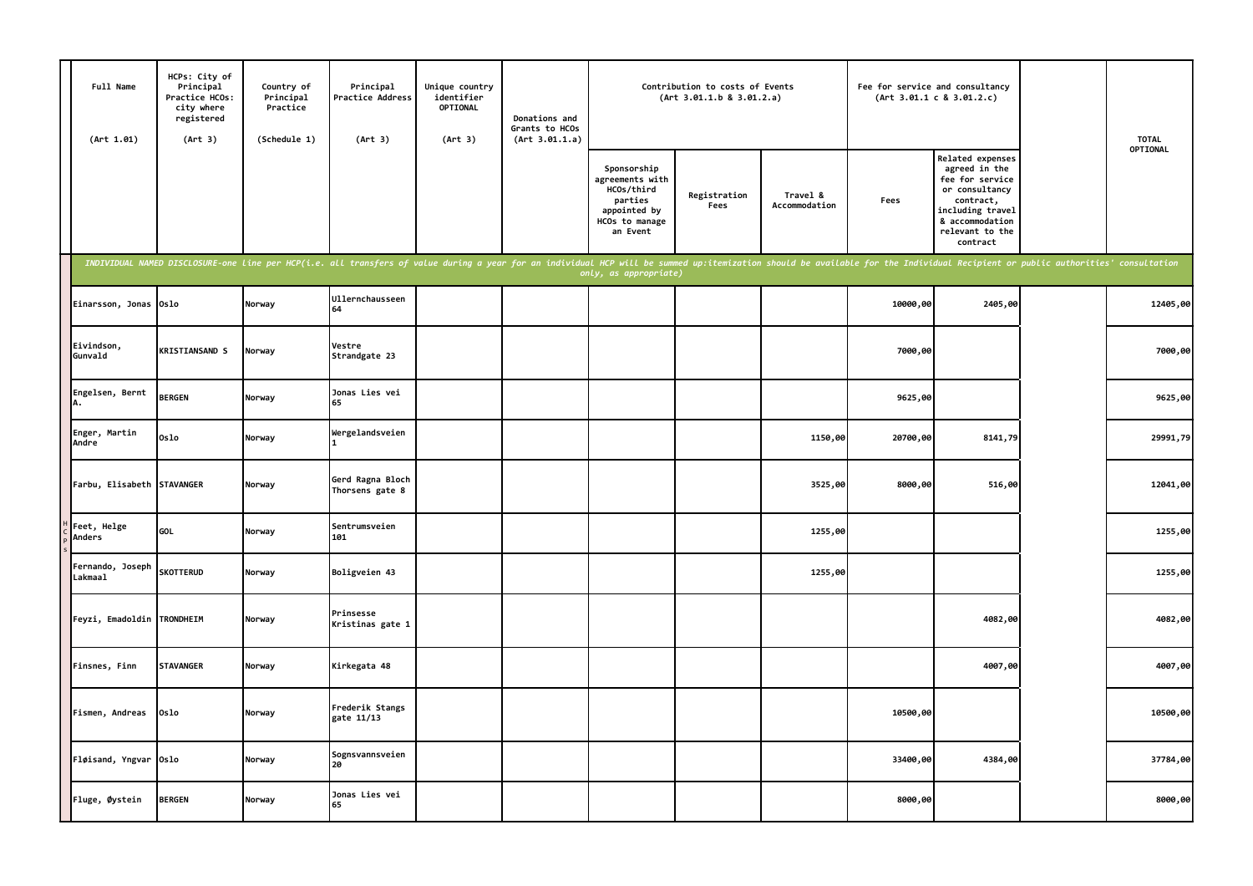| Full Name<br>(Art 1.01)            | HCPs: City of<br>Principal<br>Practice HCOs:<br>city where<br>registered<br>(Art 3) | Country of<br>Principal<br>Practice<br>(Schedule 1) | Principal<br><b>Practice Address</b><br>(Art 3)                                                                                                                                                                                | Unique country<br>identifier<br><b>OPTIONAL</b><br>(Art 3) | Donations and<br>Grants to HCOs<br>(Art 3.01.1.a) |                                                                                                       | Contribution to costs of Events<br>(Art 3.01.1.b 8 3.01.2.a) |                           | Fee for service and consultancy | (Art 3.01.1 c 8 3.01.2.c)                                                                                                                                 | <b>TOTAL</b> |
|------------------------------------|-------------------------------------------------------------------------------------|-----------------------------------------------------|--------------------------------------------------------------------------------------------------------------------------------------------------------------------------------------------------------------------------------|------------------------------------------------------------|---------------------------------------------------|-------------------------------------------------------------------------------------------------------|--------------------------------------------------------------|---------------------------|---------------------------------|-----------------------------------------------------------------------------------------------------------------------------------------------------------|--------------|
|                                    |                                                                                     |                                                     |                                                                                                                                                                                                                                |                                                            |                                                   | Sponsorship<br>agreements with<br>HCOs/third<br>parties<br>appointed by<br>HCOs to manage<br>an Event | Registration<br>Fees                                         | Travel &<br>Accommodation | Fees                            | Related expenses<br>agreed in the<br>fee for service<br>or consultancy<br>contract,<br>including travel<br>& accommodation<br>relevant to the<br>contract | OPTIONAL     |
|                                    |                                                                                     |                                                     | INDIVIDUAL NAMED DISCLOSURE-one line per HCP(i.e. all transfers of value during a year for an individual HCP will be summed up:itemization should be available for the Individual Recipient or public authorities' consultatio |                                                            |                                                   | only, as appropriate)                                                                                 |                                                              |                           |                                 |                                                                                                                                                           |              |
| Einarsson, Jonas Oslo              |                                                                                     | Norway                                              | <b>Ullernchausseen</b>                                                                                                                                                                                                         |                                                            |                                                   |                                                                                                       |                                                              |                           | 10000,00                        | 2405,00                                                                                                                                                   | 12405,00     |
| Eivindson,<br>Gunvald              | <b>KRISTIANSAND S</b>                                                               | Norway                                              | Vestre<br>Strandgate 23                                                                                                                                                                                                        |                                                            |                                                   |                                                                                                       |                                                              |                           | 7000,00                         |                                                                                                                                                           | 7000,00      |
| Engelsen, Bernt                    | <b>BERGEN</b>                                                                       | Norway                                              | Jonas Lies vei                                                                                                                                                                                                                 |                                                            |                                                   |                                                                                                       |                                                              |                           | 9625,00                         |                                                                                                                                                           | 9625,00      |
| Enger, Martin<br>Andre             | 0slo                                                                                | Norway                                              | Wergelandsveien                                                                                                                                                                                                                |                                                            |                                                   |                                                                                                       |                                                              | 1150,00                   | 20700,00                        | 8141,79                                                                                                                                                   | 29991,79     |
| Farbu, Elisabeth STAVANGER         |                                                                                     | Norway                                              | Gerd Ragna Bloch<br>Thorsens gate 8                                                                                                                                                                                            |                                                            |                                                   |                                                                                                       |                                                              | 3525,00                   | 8000,00                         | 516,00                                                                                                                                                    | 12041,00     |
| Feet, Helge<br>Anders              | GOL                                                                                 | Norway                                              | Sentrumsveien<br>101                                                                                                                                                                                                           |                                                            |                                                   |                                                                                                       |                                                              | 1255,00                   |                                 |                                                                                                                                                           | 1255,00      |
| Fernando, Joseph<br><b>Lakmaal</b> | <b>SKOTTERUD</b>                                                                    | Norway                                              | Boligveien 43                                                                                                                                                                                                                  |                                                            |                                                   |                                                                                                       |                                                              | 1255,00                   |                                 |                                                                                                                                                           | 1255,00      |
| Feyzi, Emadoldin                   | <b>TRONDHEIM</b>                                                                    | Norway                                              | Prinsesse<br>Kristinas gate 1                                                                                                                                                                                                  |                                                            |                                                   |                                                                                                       |                                                              |                           |                                 | 4082,00                                                                                                                                                   | 4082,00      |
| Finsnes, Finn                      | <b>STAVANGER</b>                                                                    | Norway                                              | Kirkegata 48                                                                                                                                                                                                                   |                                                            |                                                   |                                                                                                       |                                                              |                           |                                 | 4007,00                                                                                                                                                   | 4007,00      |
| Fismen, Andreas                    | Oslo                                                                                | Norway                                              | Frederik Stangs<br>gate 11/13                                                                                                                                                                                                  |                                                            |                                                   |                                                                                                       |                                                              |                           | 10500,00                        |                                                                                                                                                           | 10500,00     |
| Fløisand, Yngvar Oslo              |                                                                                     | Norway                                              | Sognsvannsveien<br>20                                                                                                                                                                                                          |                                                            |                                                   |                                                                                                       |                                                              |                           | 33400,00                        | 4384,00                                                                                                                                                   | 37784,00     |
| Fluge, Øystein                     | <b>BERGEN</b>                                                                       | Norway                                              | Jonas Lies vei<br>65                                                                                                                                                                                                           |                                                            |                                                   |                                                                                                       |                                                              |                           | 8000,00                         |                                                                                                                                                           | 8000,00      |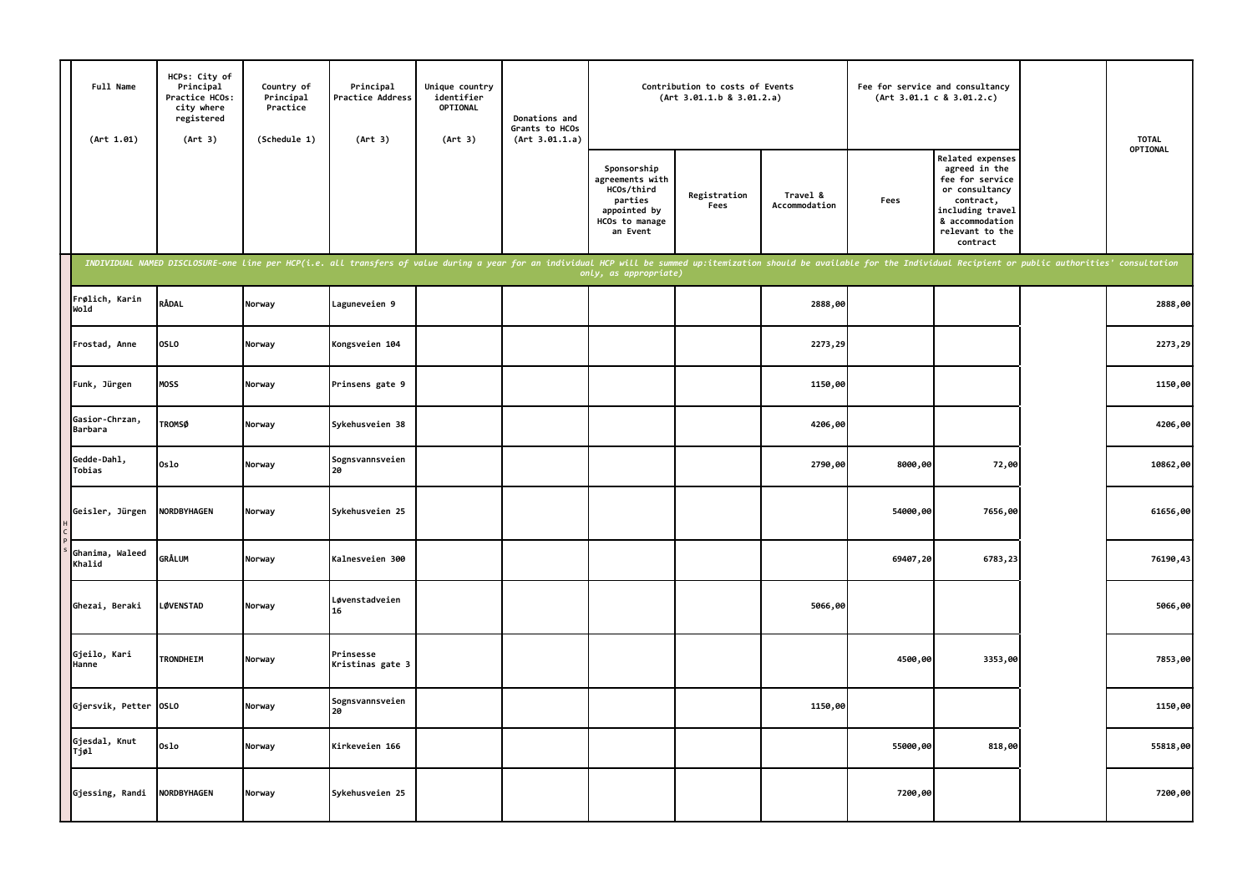| Full Name<br>(Art 1.01)          | HCPs: City of<br>Principal<br>Practice HCOs:<br>city where<br>registered<br>(Art 3) | Country of<br>Principal<br>Practice<br>(Schedule 1) | Principal<br>Practice Address<br>(Art 3)                                                                                                                                                                                       | Unique country<br>identifier<br><b>OPTIONAL</b><br>(Art 3) | Donations and<br>Grants to HCOs<br>(Art 3.01.1.a) |                                                                                                       | Contribution to costs of Events<br>(Art 3.01.1.b 8 3.01.2.a) |                           |          | Fee for service and consultancy<br>(Art 3.01.1 c 8 3.01.2.c)                                                                                                     | <b>TOTAL</b> |
|----------------------------------|-------------------------------------------------------------------------------------|-----------------------------------------------------|--------------------------------------------------------------------------------------------------------------------------------------------------------------------------------------------------------------------------------|------------------------------------------------------------|---------------------------------------------------|-------------------------------------------------------------------------------------------------------|--------------------------------------------------------------|---------------------------|----------|------------------------------------------------------------------------------------------------------------------------------------------------------------------|--------------|
|                                  |                                                                                     |                                                     |                                                                                                                                                                                                                                |                                                            |                                                   | Sponsorship<br>agreements with<br>HCOs/third<br>parties<br>appointed by<br>HCOs to manage<br>an Event | Registration<br>Fees                                         | Travel &<br>Accommodation | Fees     | <b>Related expenses</b><br>agreed in the<br>fee for service<br>or consultancy<br>contract,<br>including travel<br>& accommodation<br>relevant to the<br>contract | OPTIONAL     |
|                                  |                                                                                     |                                                     | INDIVIDUAL NAMED DISCLOSURE-one line per HCP(i.e. all transfers of value during a year for an individual HCP will be summed up:itemization should be available for the Individual Recipient or public authorities' consultatio |                                                            |                                                   | only, as appropriate)                                                                                 |                                                              |                           |          |                                                                                                                                                                  |              |
| Frølich, Karin<br>Wold           | RÅDAL                                                                               | Norway                                              | Laguneveien 9                                                                                                                                                                                                                  |                                                            |                                                   |                                                                                                       |                                                              | 2888,00                   |          |                                                                                                                                                                  | 2888,00      |
| Frostad, Anne                    | <b>OSLO</b>                                                                         | Norway                                              | Kongsveien 104                                                                                                                                                                                                                 |                                                            |                                                   |                                                                                                       |                                                              | 2273,29                   |          |                                                                                                                                                                  | 2273,29      |
| Funk, Jürgen                     | MOSS                                                                                | Norway                                              | Prinsens gate 9                                                                                                                                                                                                                |                                                            |                                                   |                                                                                                       |                                                              | 1150,00                   |          |                                                                                                                                                                  | 1150,00      |
| Gasior-Chrzan,<br><b>Barbara</b> | <b>TROMSØ</b>                                                                       | Norway                                              | Sykehusveien 38                                                                                                                                                                                                                |                                                            |                                                   |                                                                                                       |                                                              | 4206,00                   |          |                                                                                                                                                                  | 4206,00      |
| Gedde-Dahl,<br>Tobias            | Oslo                                                                                | Norway                                              | Sognsvannsveien<br>20                                                                                                                                                                                                          |                                                            |                                                   |                                                                                                       |                                                              | 2790,00                   | 8000,00  | 72,00                                                                                                                                                            | 10862,00     |
| Geisler, Jürgen                  | NORDBYHAGEN                                                                         | Norway                                              | Sykehusveien 25                                                                                                                                                                                                                |                                                            |                                                   |                                                                                                       |                                                              |                           | 54000,00 | 7656,00                                                                                                                                                          | 61656,00     |
| Ghanima, Waleed<br>Khalid        | GRÅLUM                                                                              | Norway                                              | Kalnesveien 300                                                                                                                                                                                                                |                                                            |                                                   |                                                                                                       |                                                              |                           | 69407,20 | 6783,23                                                                                                                                                          | 76190,43     |
| Ghezai, Beraki                   | <b>LØVENSTAD</b>                                                                    | Norway                                              | Løvenstadveien<br>16                                                                                                                                                                                                           |                                                            |                                                   |                                                                                                       |                                                              | 5066,00                   |          |                                                                                                                                                                  | 5066,00      |
| Gjeilo, Kari<br>Hanne            | <b>TRONDHEIM</b>                                                                    | Norway                                              | Prinsesse<br>Kristinas gate 3                                                                                                                                                                                                  |                                                            |                                                   |                                                                                                       |                                                              |                           | 4500,00  | 3353,00                                                                                                                                                          | 7853,00      |
| Gjersvik, Petter 0SL0            |                                                                                     | Norway                                              | Sognsvannsveien<br>20                                                                                                                                                                                                          |                                                            |                                                   |                                                                                                       |                                                              | 1150,00                   |          |                                                                                                                                                                  | 1150,00      |
| Gjesdal, Knut<br>Tjøl            | Oslo                                                                                | Norway                                              | Kirkeveien 166                                                                                                                                                                                                                 |                                                            |                                                   |                                                                                                       |                                                              |                           | 55000,00 | 818,00                                                                                                                                                           | 55818,00     |
| Gjessing, Randi                  | NORDBYHAGEN                                                                         | Norway                                              | Sykehusveien 25                                                                                                                                                                                                                |                                                            |                                                   |                                                                                                       |                                                              |                           | 7200,00  |                                                                                                                                                                  | 7200,00      |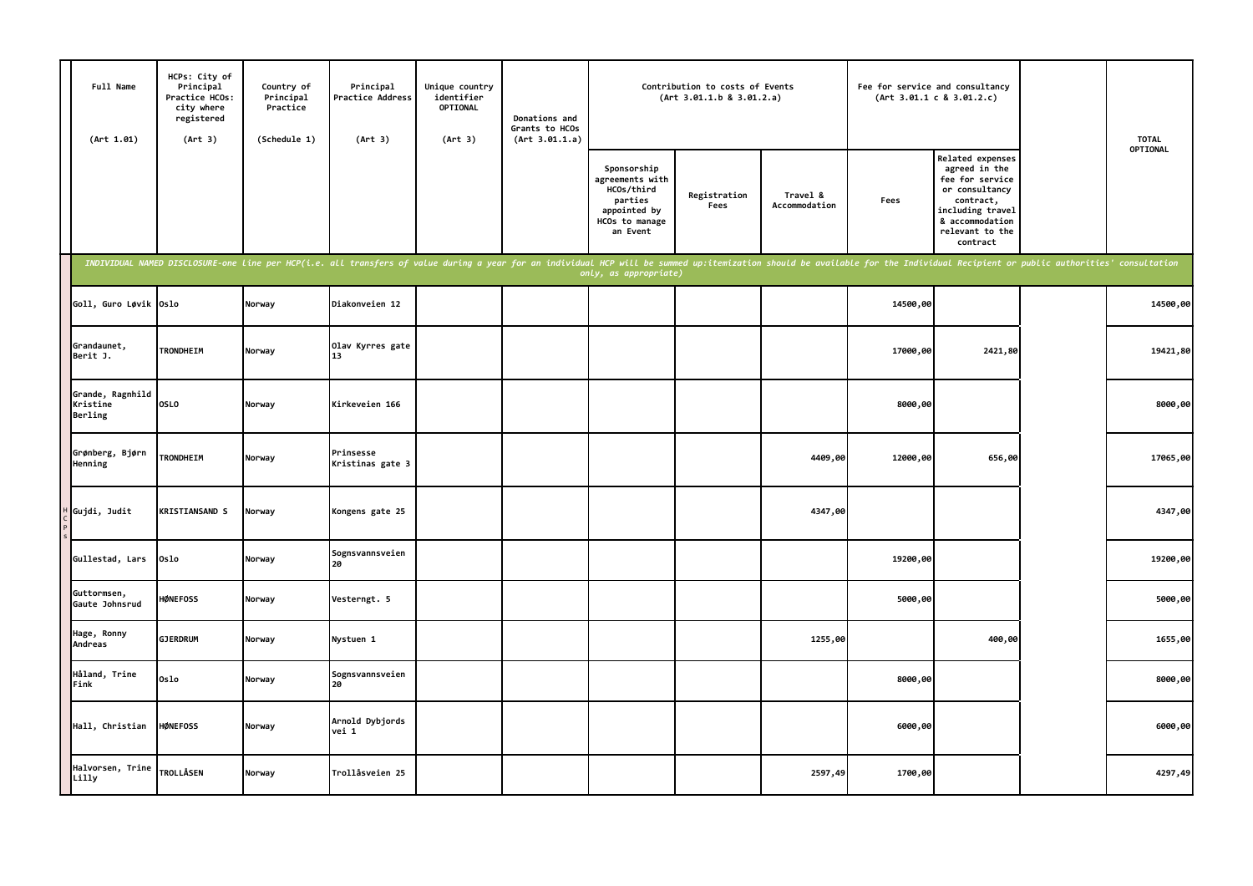| Full Name<br>(Art 1.01)                 | HCPs: City of<br>Principal<br>Practice HCOs:<br>city where<br>registered<br>(Art 3) | Country of<br>Principal<br>Practice<br>(Schedule 1) | Principal<br><b>Practice Address</b><br>(Art 3)                                                                                                                                                                                | Unique country<br>identifier<br>OPTIONAL<br>(Art 3) | Donations and<br>Grants to HCOs<br>(Art 3.01.1.a) |                                                                                                       | Contribution to costs of Events<br>(Art 3.01.1.b 8 3.01.2.a) |                           | Fee for service and consultancy | (Art 3.01.1 c 8 3.01.2.c)                                                                                                                                        | <b>TOTAL</b> |
|-----------------------------------------|-------------------------------------------------------------------------------------|-----------------------------------------------------|--------------------------------------------------------------------------------------------------------------------------------------------------------------------------------------------------------------------------------|-----------------------------------------------------|---------------------------------------------------|-------------------------------------------------------------------------------------------------------|--------------------------------------------------------------|---------------------------|---------------------------------|------------------------------------------------------------------------------------------------------------------------------------------------------------------|--------------|
|                                         |                                                                                     |                                                     |                                                                                                                                                                                                                                |                                                     |                                                   | Sponsorship<br>agreements with<br>HCOs/third<br>parties<br>appointed by<br>HCOs to manage<br>an Event | Registration<br>Fees                                         | Travel &<br>Accommodation | Fees                            | <b>Related expenses</b><br>agreed in the<br>fee for service<br>or consultancy<br>contract,<br>including travel<br>& accommodation<br>relevant to the<br>contract | OPTIONAL     |
|                                         |                                                                                     |                                                     | INDIVIDUAL NAMED DISCLOSURE-one line per HCP(i.e. all transfers of value during a year for an individual HCP will be summed up:itemization should be available for the Individual Recipient or public authorities' consultatio |                                                     |                                                   | only, as appropriate)                                                                                 |                                                              |                           |                                 |                                                                                                                                                                  |              |
| Goll, Guro Løvik Oslo                   |                                                                                     | Norway                                              | Diakonveien 12                                                                                                                                                                                                                 |                                                     |                                                   |                                                                                                       |                                                              |                           | 14500,00                        |                                                                                                                                                                  | 14500,00     |
| Grandaunet,<br>Berit J.                 | <b>TRONDHEIM</b>                                                                    | Norway                                              | Olav Kyrres gate<br>13                                                                                                                                                                                                         |                                                     |                                                   |                                                                                                       |                                                              |                           | 17000,00                        | 2421,80                                                                                                                                                          | 19421,80     |
| Grande, Ragnhild<br>Kristine<br>Berling | <b>OSLO</b>                                                                         | Norway                                              | Kirkeveien 166                                                                                                                                                                                                                 |                                                     |                                                   |                                                                                                       |                                                              |                           | 8000,00                         |                                                                                                                                                                  | 8000,00      |
| Grønberg, Bjørn<br>Henning              | <b>TRONDHEIM</b>                                                                    | Norway                                              | Prinsesse<br>Kristinas gate 3                                                                                                                                                                                                  |                                                     |                                                   |                                                                                                       |                                                              | 4409,00                   | 12000,00                        | 656,00                                                                                                                                                           | 17065,00     |
| Gujdi, Judit                            | <b>KRISTIANSAND S</b>                                                               | Norway                                              | Kongens gate 25                                                                                                                                                                                                                |                                                     |                                                   |                                                                                                       |                                                              | 4347,00                   |                                 |                                                                                                                                                                  | 4347,00      |
| Gullestad, Lars                         | Oslo                                                                                | Norway                                              | Sognsvannsveien<br>20                                                                                                                                                                                                          |                                                     |                                                   |                                                                                                       |                                                              |                           | 19200,00                        |                                                                                                                                                                  | 19200,00     |
| Guttormsen,<br>Gaute Johnsrud           | <b>HØNEFOSS</b>                                                                     | Norway                                              | Vesterngt. 5                                                                                                                                                                                                                   |                                                     |                                                   |                                                                                                       |                                                              |                           | 5000,00                         |                                                                                                                                                                  | 5000,00      |
| Hage, Ronny<br>Andreas                  | <b>GJERDRUM</b>                                                                     | Norway                                              | Nystuen 1                                                                                                                                                                                                                      |                                                     |                                                   |                                                                                                       |                                                              | 1255,00                   |                                 | 400,00                                                                                                                                                           | 1655,00      |
| Håland, Trine<br>Fink                   | Oslo                                                                                | Norway                                              | Sognsvannsveien<br>20                                                                                                                                                                                                          |                                                     |                                                   |                                                                                                       |                                                              |                           | 8000,00                         |                                                                                                                                                                  | 8000,00      |
| Hall, Christian                         | <b>HØNEFOSS</b>                                                                     | Norway                                              | Arnold Dybjords<br>vei 1                                                                                                                                                                                                       |                                                     |                                                   |                                                                                                       |                                                              |                           | 6000,00                         |                                                                                                                                                                  | 6000,00      |
| Halvorsen, Trine<br>Lilly               | <b>TROLLÅSEN</b>                                                                    | Norway                                              | Trollåsveien 25                                                                                                                                                                                                                |                                                     |                                                   |                                                                                                       |                                                              | 2597,49                   | 1700,00                         |                                                                                                                                                                  | 4297,49      |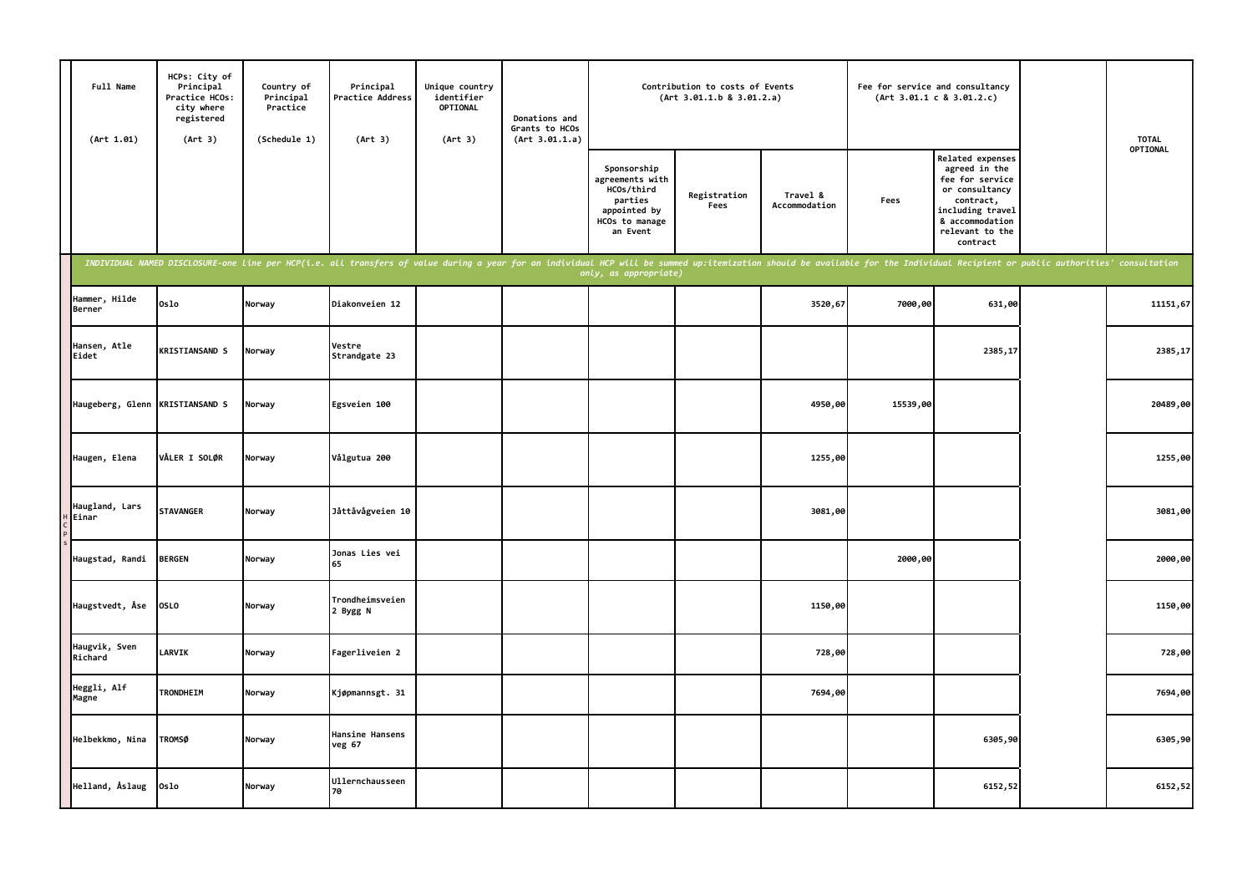| Full Name<br>(Art 1.01)  | HCPs: City of<br>Principal<br>Practice HCOs:<br>city where<br>registered<br>(Art 3) | Country of<br>Principal<br>Practice<br>(Schedule 1) | Principal<br>Practice Address<br>(Art 3)                                                                                                                                                                                       | Unique country<br>identifier<br>OPTIONAL<br>(Art 3) | Donations and<br>Grants to HCOs<br>(Art 3.01.1.a) |                                                                                                       | Contribution to costs of Events<br>(Art 3.01.1.b 8 3.01.2.a) |                           | Fee for service and consultancy | (Art 3.01.1 c 8 3.01.2.c)                                                                                                                                 | <b>TOTAL</b> |
|--------------------------|-------------------------------------------------------------------------------------|-----------------------------------------------------|--------------------------------------------------------------------------------------------------------------------------------------------------------------------------------------------------------------------------------|-----------------------------------------------------|---------------------------------------------------|-------------------------------------------------------------------------------------------------------|--------------------------------------------------------------|---------------------------|---------------------------------|-----------------------------------------------------------------------------------------------------------------------------------------------------------|--------------|
|                          |                                                                                     |                                                     |                                                                                                                                                                                                                                |                                                     |                                                   | Sponsorship<br>agreements with<br>HCOs/third<br>parties<br>appointed by<br>HCOs to manage<br>an Event | Registration<br>Fees                                         | Travel &<br>Accommodation | Fees                            | Related expenses<br>agreed in the<br>fee for service<br>or consultancy<br>contract,<br>including travel<br>& accommodation<br>relevant to the<br>contract | OPTIONAL     |
|                          |                                                                                     |                                                     | INDIVIDUAL NAMED DISCLOSURE-one line per HCP(i.e. all transfers of value during a year for an individual HCP will be summed up:itemization should be available for the Individual Recipient or public authorities' consultatio |                                                     |                                                   | only, as appropriate)                                                                                 |                                                              |                           |                                 |                                                                                                                                                           |              |
| Hammer, Hilde<br>Berner  | 0s1o                                                                                | Norway                                              | Diakonveien 12                                                                                                                                                                                                                 |                                                     |                                                   |                                                                                                       |                                                              | 3520,67                   | 7000,00                         | 631,00                                                                                                                                                    | 11151,67     |
| Hansen, Atle<br>Eidet    | <b>KRISTIANSAND S</b>                                                               | Norway                                              | Vestre<br>Strandgate 23                                                                                                                                                                                                        |                                                     |                                                   |                                                                                                       |                                                              |                           |                                 | 2385,17                                                                                                                                                   | 2385,17      |
| Haugeberg, Glenn         | <b>KRISTIANSAND S</b>                                                               | Norway                                              | Egsveien 100                                                                                                                                                                                                                   |                                                     |                                                   |                                                                                                       |                                                              | 4950,00                   | 15539,00                        |                                                                                                                                                           | 20489,00     |
| Haugen, Elena            | VÅLER I SOLØR                                                                       | Norway                                              | Vålgutua 200                                                                                                                                                                                                                   |                                                     |                                                   |                                                                                                       |                                                              | 1255,00                   |                                 |                                                                                                                                                           | 1255,00      |
| Haugland, Lars<br>Einar  | <b>STAVANGER</b>                                                                    | Norway                                              | Jåttåvågveien 10                                                                                                                                                                                                               |                                                     |                                                   |                                                                                                       |                                                              | 3081,00                   |                                 |                                                                                                                                                           | 3081,00      |
| Haugstad, Randi          | <b>BERGEN</b>                                                                       | Norway                                              | Jonas Lies vei<br>65                                                                                                                                                                                                           |                                                     |                                                   |                                                                                                       |                                                              |                           | 2000,00                         |                                                                                                                                                           | 2000,00      |
| Haugstvedt, Åse          | <b>OSLO</b>                                                                         | Norway                                              | Trondheimsveien<br>2 Bygg N                                                                                                                                                                                                    |                                                     |                                                   |                                                                                                       |                                                              | 1150,00                   |                                 |                                                                                                                                                           | 1150,00      |
| Haugvik, Sven<br>Richard | LARVIK                                                                              | Norway                                              | Fagerliveien 2                                                                                                                                                                                                                 |                                                     |                                                   |                                                                                                       |                                                              | 728,00                    |                                 |                                                                                                                                                           | 728,00       |
| Heggli, Alf<br>Magne     | TRONDHEIM                                                                           | Norway                                              | Kjøpmannsgt. 31                                                                                                                                                                                                                |                                                     |                                                   |                                                                                                       |                                                              | 7694,00                   |                                 |                                                                                                                                                           | 7694,00      |
| Helbekkmo, Nina          | <b>TROMSØ</b>                                                                       | Norway                                              | Hansine Hansens<br>veg 67                                                                                                                                                                                                      |                                                     |                                                   |                                                                                                       |                                                              |                           |                                 | 6305,90                                                                                                                                                   | 6305,90      |
| Helland, Åslaug          | Oslo                                                                                | Norway                                              | Ullernchausseen<br>70                                                                                                                                                                                                          |                                                     |                                                   |                                                                                                       |                                                              |                           |                                 | 6152,52                                                                                                                                                   | 6152,52      |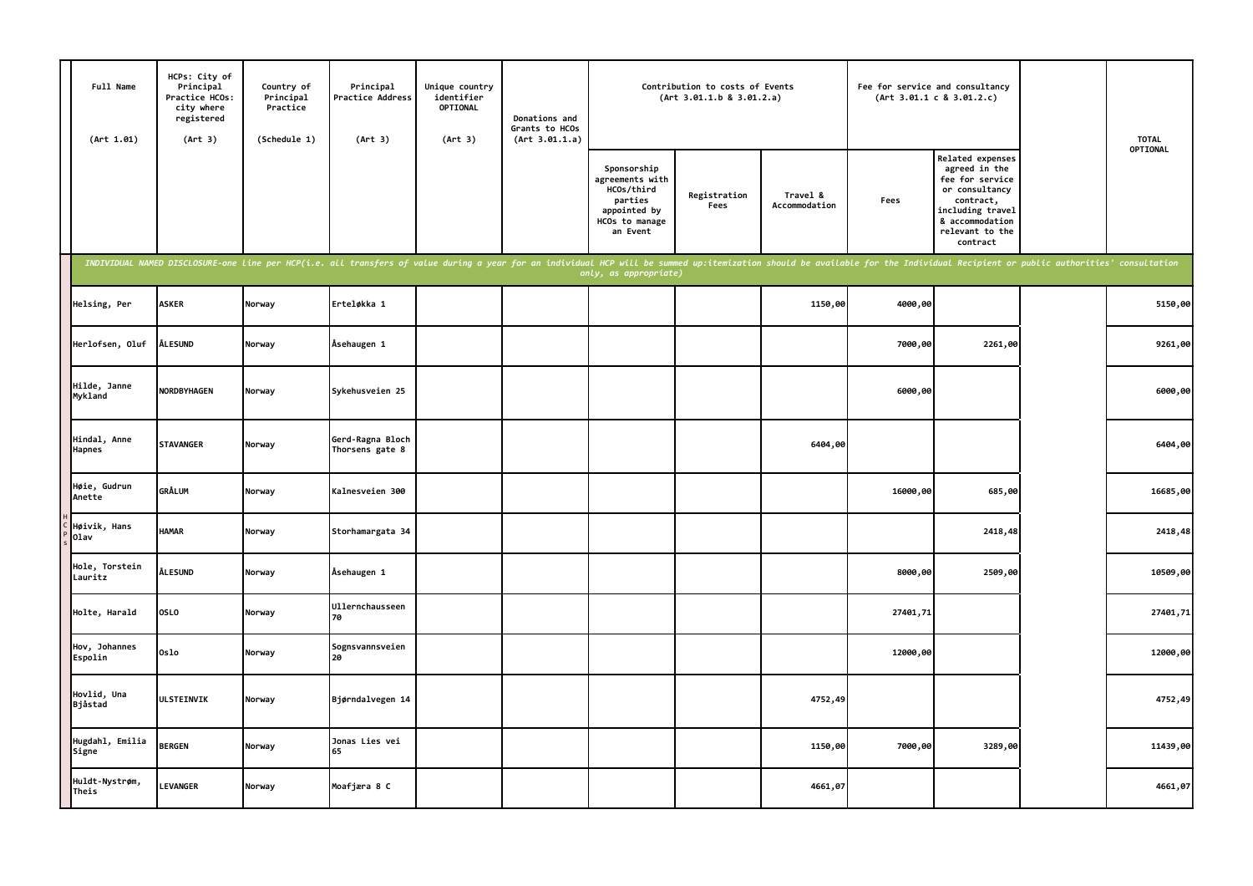| Full Name<br>(Art 1.01)   | HCPs: City of<br>Principal<br>Practice HCOs:<br>city where<br>registered<br>(Art 3) | Country of<br>Principal<br>Practice<br>(Schedule 1) | Principal<br>Practice Address<br>(Art 3)                                                                                                                                                                                       | Unique country<br>identifier<br>OPTIONAL<br>(Art 3) | Donations and<br>Grants to HCOs<br>(Art 3.01.1.a) |                                                                                                       | Contribution to costs of Events<br>(Art 3.01.1.b 8 3.01.2.a) |                           |          | Fee for service and consultancy<br>(Art 3.01.1 c 8 3.01.2.c)                                                                                              | <b>TOTAL</b> |
|---------------------------|-------------------------------------------------------------------------------------|-----------------------------------------------------|--------------------------------------------------------------------------------------------------------------------------------------------------------------------------------------------------------------------------------|-----------------------------------------------------|---------------------------------------------------|-------------------------------------------------------------------------------------------------------|--------------------------------------------------------------|---------------------------|----------|-----------------------------------------------------------------------------------------------------------------------------------------------------------|--------------|
|                           |                                                                                     |                                                     |                                                                                                                                                                                                                                |                                                     |                                                   | Sponsorship<br>agreements with<br>HCOs/third<br>parties<br>appointed by<br>HCOs to manage<br>an Event | Registration<br>Fees                                         | Travel &<br>Accommodation | Fees     | Related expenses<br>agreed in the<br>fee for service<br>or consultancy<br>contract,<br>including travel<br>& accommodation<br>relevant to the<br>contract | OPTIONAL     |
|                           |                                                                                     |                                                     | INDIVIDUAL NAMED DISCLOSURE-one line per HCP(i.e. all transfers of value during a year for an individual HCP will be summed up:itemization should be available for the Individual Recipient or public authorities' consultatio |                                                     |                                                   | only, as appropriate)                                                                                 |                                                              |                           |          |                                                                                                                                                           |              |
| Helsing, Per              | <b>ASKER</b>                                                                        | Norway                                              | Erteløkka 1                                                                                                                                                                                                                    |                                                     |                                                   |                                                                                                       |                                                              | 1150,00                   | 4000,00  |                                                                                                                                                           | 5150,00      |
| Herlofsen, Oluf           | <b>ÅLESUND</b>                                                                      | Norway                                              | Åsehaugen 1                                                                                                                                                                                                                    |                                                     |                                                   |                                                                                                       |                                                              |                           | 7000,00  | 2261,00                                                                                                                                                   | 9261,00      |
| Hilde, Janne<br>Mykland   | <b>NORDBYHAGEN</b>                                                                  | Norway                                              | Sykehusveien 25                                                                                                                                                                                                                |                                                     |                                                   |                                                                                                       |                                                              |                           | 6000,00  |                                                                                                                                                           | 6000,00      |
| Hindal, Anne<br>Hapnes    | <b>STAVANGER</b>                                                                    | Norway                                              | Gerd-Ragna Bloch<br>Thorsens gate 8                                                                                                                                                                                            |                                                     |                                                   |                                                                                                       |                                                              | 6404,00                   |          |                                                                                                                                                           | 6404,00      |
| Høie, Gudrun<br>Anette    | <b>GRÅLUM</b>                                                                       | Norway                                              | Kalnesveien 300                                                                                                                                                                                                                |                                                     |                                                   |                                                                                                       |                                                              |                           | 16000,00 | 685,00                                                                                                                                                    | 16685,00     |
| Høivik, Hans<br>01av      | <b>HAMAR</b>                                                                        | Norway                                              | Storhamargata 34                                                                                                                                                                                                               |                                                     |                                                   |                                                                                                       |                                                              |                           |          | 2418,48                                                                                                                                                   | 2418,48      |
| Hole, Torstein<br>Lauritz | <b>ÅLESUND</b>                                                                      | Norway                                              | Åsehaugen 1                                                                                                                                                                                                                    |                                                     |                                                   |                                                                                                       |                                                              |                           | 8000,00  | 2509,00                                                                                                                                                   | 10509,00     |
| Holte, Harald             | OSLO                                                                                | Norway                                              | Ullernchausseen<br>70                                                                                                                                                                                                          |                                                     |                                                   |                                                                                                       |                                                              |                           | 27401,71 |                                                                                                                                                           | 27401,71     |
| Hov, Johannes<br>Espolin  | 0slo                                                                                | Norway                                              | Sognsvannsveien<br>20                                                                                                                                                                                                          |                                                     |                                                   |                                                                                                       |                                                              |                           | 12000,00 |                                                                                                                                                           | 12000,00     |
| Hovlid, Una<br>Bjåstad    | ULSTEINVIK                                                                          | Norway                                              | Bjørndalvegen 14                                                                                                                                                                                                               |                                                     |                                                   |                                                                                                       |                                                              | 4752,49                   |          |                                                                                                                                                           | 4752,49      |
| Hugdahl, Emilia<br>Signe  | <b>BERGEN</b>                                                                       | Norway                                              | Jonas Lies vei<br>65                                                                                                                                                                                                           |                                                     |                                                   |                                                                                                       |                                                              | 1150,00                   | 7000,00  | 3289,00                                                                                                                                                   | 11439,00     |
| Huldt-Nystrøm,<br>Theis   | <b>LEVANGER</b>                                                                     | Norway                                              | Moafjæra 8 C                                                                                                                                                                                                                   |                                                     |                                                   |                                                                                                       |                                                              | 4661,07                   |          |                                                                                                                                                           | 4661,07      |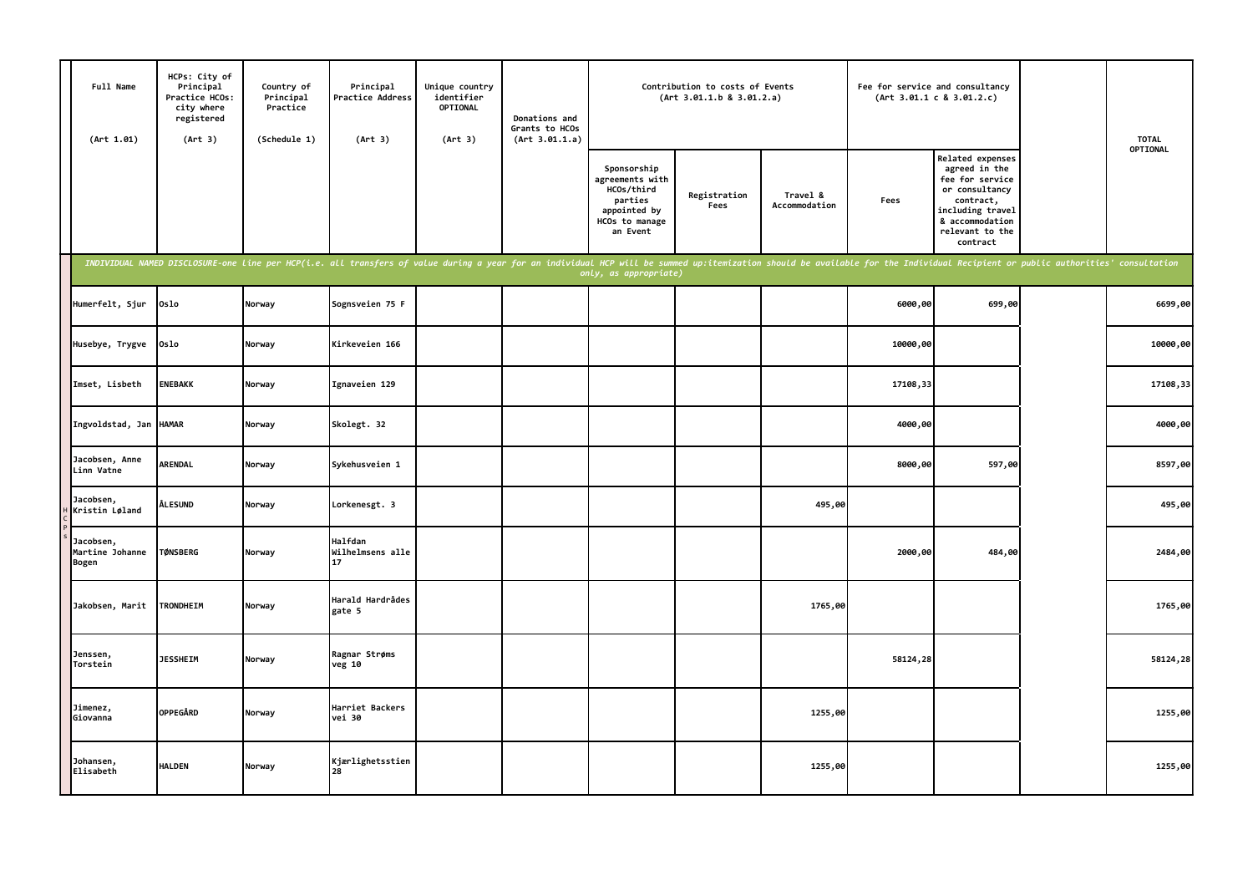| Full Name<br>(Art 1.01)               | HCPs: City of<br>Principal<br>Practice HCOs:<br>city where<br>registered<br>(Art 3) | Country of<br>Principal<br>Practice<br>(Schedule 1) | Principal<br>Practice Address<br>(Art 3)                                                                                                                                                                                       | Unique country<br>identifier<br>OPTIONAL<br>(Art 3) | Donations and<br>Grants to HCOs<br>(Art 3.01.1.a) |                                                                                                       | Contribution to costs of Events<br>(Art 3.01.1.b 8 3.01.2.a) |                           |          | Fee for service and consultancy<br>(Art 3.01.1 c 8 3.01.2.c)                                                                                              | <b>TOTAL</b> |
|---------------------------------------|-------------------------------------------------------------------------------------|-----------------------------------------------------|--------------------------------------------------------------------------------------------------------------------------------------------------------------------------------------------------------------------------------|-----------------------------------------------------|---------------------------------------------------|-------------------------------------------------------------------------------------------------------|--------------------------------------------------------------|---------------------------|----------|-----------------------------------------------------------------------------------------------------------------------------------------------------------|--------------|
|                                       |                                                                                     |                                                     |                                                                                                                                                                                                                                |                                                     |                                                   | Sponsorship<br>agreements with<br>HCOs/third<br>parties<br>appointed by<br>HCOs to manage<br>an Event | Registration<br>Fees                                         | Travel &<br>Accommodation | Fees     | Related expenses<br>agreed in the<br>fee for service<br>or consultancy<br>contract,<br>including travel<br>& accommodation<br>relevant to the<br>contract | OPTIONAL     |
|                                       |                                                                                     |                                                     | INDIVIDUAL NAMED DISCLOSURE-one line per HCP(i.e. all transfers of value during a year for an individual HCP will be summed up:itemization should be available for the Individual Recipient or public authorities' consultatio |                                                     |                                                   | only, as appropriate)                                                                                 |                                                              |                           |          |                                                                                                                                                           |              |
| Humerfelt, Sjur                       | Oslo                                                                                | Norway                                              | Sognsveien 75 F                                                                                                                                                                                                                |                                                     |                                                   |                                                                                                       |                                                              |                           | 6000,00  | 699,00                                                                                                                                                    | 6699,00      |
| Husebye, Trygve                       | Oslo                                                                                | Norway                                              | Kirkeveien 166                                                                                                                                                                                                                 |                                                     |                                                   |                                                                                                       |                                                              |                           | 10000,00 |                                                                                                                                                           | 10000,00     |
| Imset, Lisbeth                        | <b>ENEBAKK</b>                                                                      | Norway                                              | Ignaveien 129                                                                                                                                                                                                                  |                                                     |                                                   |                                                                                                       |                                                              |                           | 17108,33 |                                                                                                                                                           | 17108,33     |
| Ingvoldstad, Jan HAMAR                |                                                                                     | Norway                                              | Skolegt. 32                                                                                                                                                                                                                    |                                                     |                                                   |                                                                                                       |                                                              |                           | 4000,00  |                                                                                                                                                           | 4000,00      |
| Jacobsen, Anne<br>Linn Vatne          | <b>ARENDAL</b>                                                                      | Norway                                              | Sykehusveien 1                                                                                                                                                                                                                 |                                                     |                                                   |                                                                                                       |                                                              |                           | 8000,00  | 597,00                                                                                                                                                    | 8597,00      |
| Jacobsen,<br>Kristin Løland           | <b>ÅLESUND</b>                                                                      | Norway                                              | Lorkenesgt. 3                                                                                                                                                                                                                  |                                                     |                                                   |                                                                                                       |                                                              | 495,00                    |          |                                                                                                                                                           | 495,00       |
| Jacobsen,<br>Martine Johanne<br>Bogen | <b>TØNSBERG</b>                                                                     | Norway                                              | Halfdan<br>Wilhelmsens alle<br>17                                                                                                                                                                                              |                                                     |                                                   |                                                                                                       |                                                              |                           | 2000,00  | 484,00                                                                                                                                                    | 2484,00      |
| Jakobsen, Marit                       | <b>TRONDHEIM</b>                                                                    | Norway                                              | Harald Hardrådes<br>gate 5                                                                                                                                                                                                     |                                                     |                                                   |                                                                                                       |                                                              | 1765,00                   |          |                                                                                                                                                           | 1765,00      |
| Jenssen,<br>Torstein                  | <b>JESSHEIM</b>                                                                     | Norway                                              | Ragnar Strøms<br>veg 10                                                                                                                                                                                                        |                                                     |                                                   |                                                                                                       |                                                              |                           | 58124,28 |                                                                                                                                                           | 58124,28     |
| Jimenez,<br>Giovanna                  | <b>OPPEGÅRD</b>                                                                     | Norway                                              | Harriet Backers<br>vei 30                                                                                                                                                                                                      |                                                     |                                                   |                                                                                                       |                                                              | 1255,00                   |          |                                                                                                                                                           | 1255,00      |
| Johansen,<br>Elisabeth                | <b>HALDEN</b>                                                                       | Norway                                              | Kjærlighetsstien<br>28                                                                                                                                                                                                         |                                                     |                                                   |                                                                                                       |                                                              | 1255,00                   |          |                                                                                                                                                           | 1255,00      |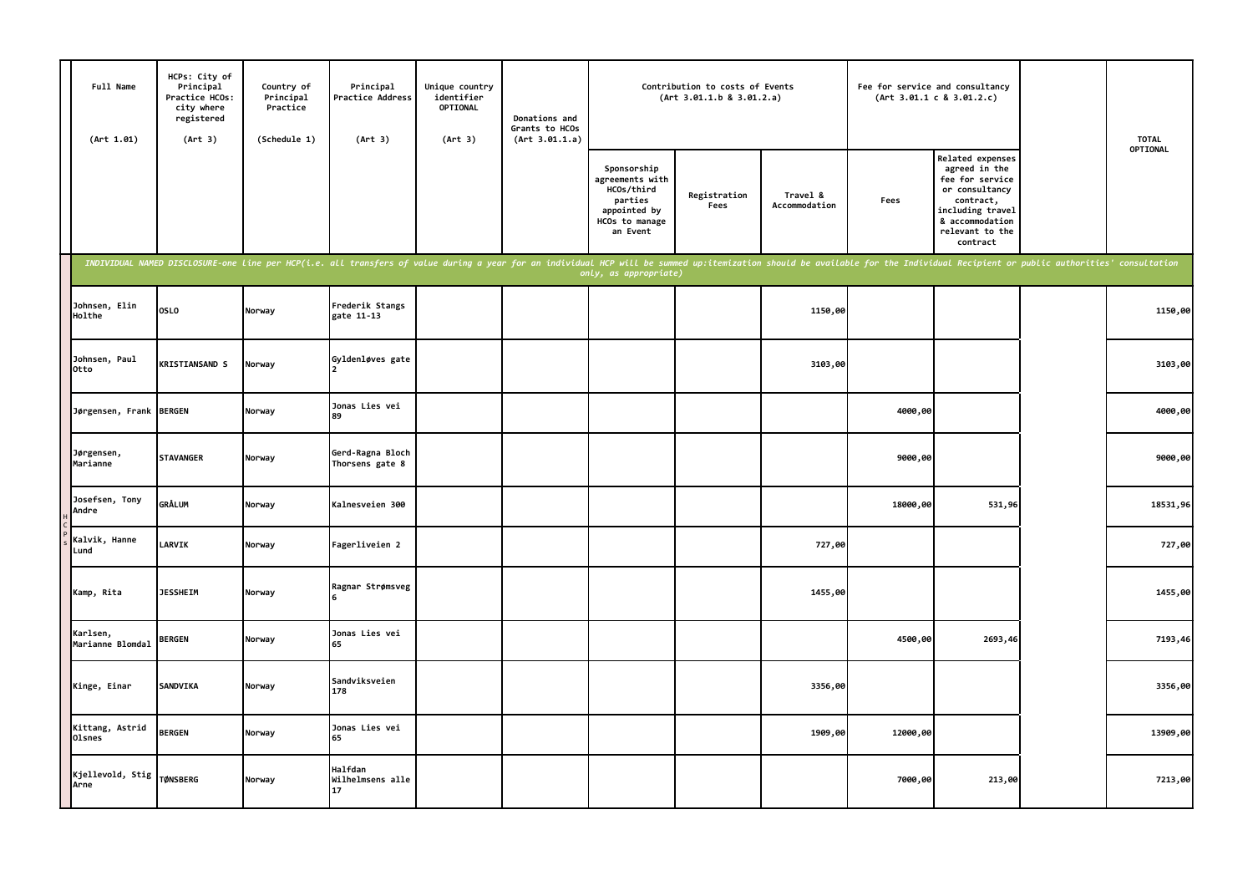| Full Name<br>(Art 1.01)      | HCPs: City of<br>Principal<br>Practice HCOs:<br>city where<br>registered<br>(Art 3) | Country of<br>Principal<br>Practice<br>(Schedule 1) | Principal<br>Practice Address<br>(Art 3)                                                                                                                                                                                       | Unique country<br>identifier<br><b>OPTIONAL</b><br>(Art 3) | Donations and<br>Grants to HCOs<br>(Art 3.01.1.a) |                                                                                                       | Contribution to costs of Events<br>(Art 3.01.1.b 8 3.01.2.a) |                           | Fee for service and consultancy | (Art 3.01.1 c 8 3.01.2.c)                                                                                                                                 | <b>TOTAL</b> |
|------------------------------|-------------------------------------------------------------------------------------|-----------------------------------------------------|--------------------------------------------------------------------------------------------------------------------------------------------------------------------------------------------------------------------------------|------------------------------------------------------------|---------------------------------------------------|-------------------------------------------------------------------------------------------------------|--------------------------------------------------------------|---------------------------|---------------------------------|-----------------------------------------------------------------------------------------------------------------------------------------------------------|--------------|
|                              |                                                                                     |                                                     |                                                                                                                                                                                                                                |                                                            |                                                   | Sponsorship<br>agreements with<br>HCOs/third<br>parties<br>appointed by<br>HCOs to manage<br>an Event | Registration<br>Fees                                         | Travel &<br>Accommodation | Fees                            | Related expenses<br>agreed in the<br>fee for service<br>or consultancy<br>contract,<br>including travel<br>& accommodation<br>relevant to the<br>contract | OPTIONAL     |
|                              |                                                                                     |                                                     | INDIVIDUAL NAMED DISCLOSURE-one line per HCP(i.e. all transfers of value during a year for an individual HCP will be summed up:itemization should be available for the Individual Recipient or public authorities' consultatio |                                                            |                                                   | only, as appropriate)                                                                                 |                                                              |                           |                                 |                                                                                                                                                           |              |
| Johnsen, Elin<br>Holthe      | <b>OSLO</b>                                                                         | Norway                                              | Frederik Stangs<br>gate 11-13                                                                                                                                                                                                  |                                                            |                                                   |                                                                                                       |                                                              | 1150,00                   |                                 |                                                                                                                                                           | 1150,00      |
| Johnsen, Paul<br>Otto        | <b>KRISTIANSAND S</b>                                                               | Norway                                              | Gyldenløves gate                                                                                                                                                                                                               |                                                            |                                                   |                                                                                                       |                                                              | 3103,00                   |                                 |                                                                                                                                                           | 3103,00      |
| Jørgensen, Frank BERGEN      |                                                                                     | Norway                                              | Jonas Lies vei<br>89                                                                                                                                                                                                           |                                                            |                                                   |                                                                                                       |                                                              |                           | 4000,00                         |                                                                                                                                                           | 4000,00      |
| Jørgensen,<br>Marianne       | <b>STAVANGER</b>                                                                    | Norway                                              | Gerd-Ragna Bloch<br>Thorsens gate 8                                                                                                                                                                                            |                                                            |                                                   |                                                                                                       |                                                              |                           | 9000,00                         |                                                                                                                                                           | 9000,00      |
| Josefsen, Tony<br>Andre      | GRÅLUM                                                                              | Norway                                              | Kalnesveien 300                                                                                                                                                                                                                |                                                            |                                                   |                                                                                                       |                                                              |                           | 18000,00                        | 531,96                                                                                                                                                    | 18531,96     |
| Kalvik, Hanne<br>Lund        | <b>LARVIK</b>                                                                       | Norway                                              | Fagerliveien 2                                                                                                                                                                                                                 |                                                            |                                                   |                                                                                                       |                                                              | 727,00                    |                                 |                                                                                                                                                           | 727,00       |
| Kamp, Rita                   | <b>JESSHEIM</b>                                                                     | Norway                                              | Ragnar Strømsveg                                                                                                                                                                                                               |                                                            |                                                   |                                                                                                       |                                                              | 1455,00                   |                                 |                                                                                                                                                           | 1455,00      |
| Karlsen,<br>Marianne Blomdal | <b>BERGEN</b>                                                                       | Norway                                              | Jonas Lies vei<br>65                                                                                                                                                                                                           |                                                            |                                                   |                                                                                                       |                                                              |                           | 4500,00                         | 2693,46                                                                                                                                                   | 7193,46      |
| Kinge, Einar                 | SANDVIKA                                                                            | Norway                                              | Sandviksveien<br>178                                                                                                                                                                                                           |                                                            |                                                   |                                                                                                       |                                                              | 3356,00                   |                                 |                                                                                                                                                           | 3356,00      |
| Kittang, Astrid<br>Olsnes    | <b>BERGEN</b>                                                                       | Norway                                              | Jonas Lies vei<br>65                                                                                                                                                                                                           |                                                            |                                                   |                                                                                                       |                                                              | 1909,00                   | 12000,00                        |                                                                                                                                                           | 13909,00     |
| Kjellevold, Stig<br>Arne     | <b>TØNSBERG</b>                                                                     | Norway                                              | Halfdan<br>Wilhelmsens alle<br>17                                                                                                                                                                                              |                                                            |                                                   |                                                                                                       |                                                              |                           | 7000,00                         | 213,00                                                                                                                                                    | 7213,00      |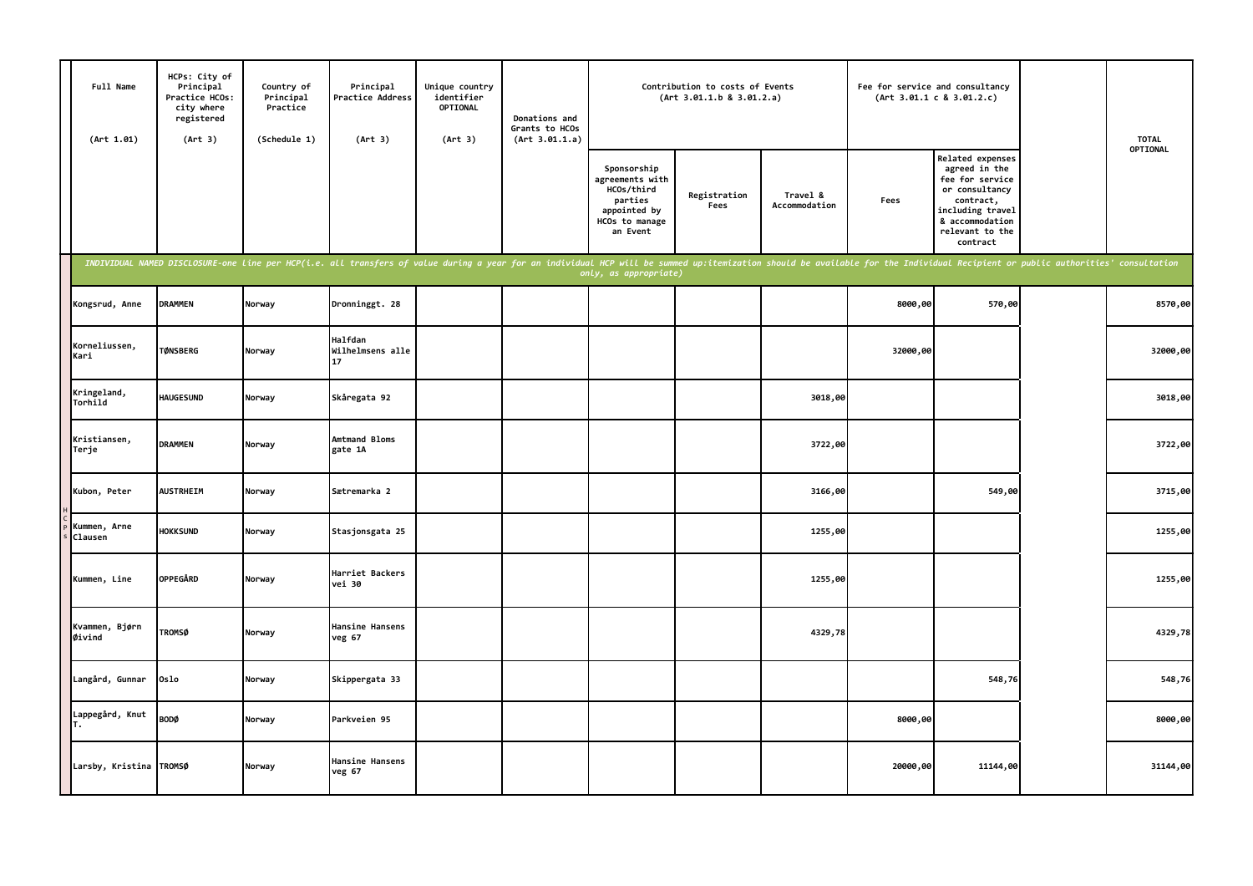| Full Name<br>(Art 1.01)  | HCPs: City of<br>Principal<br>Practice HCOs:<br>city where<br>registered<br>(Art 3) | Country of<br>Principal<br>Practice<br>(Schedule 1) | Principal<br>Practice Address<br>(Art 3)                                                                                                                                                                                       | Unique country<br>identifier<br>OPTIONAL<br>(Art 3) | Donations and<br>Grants to HCOs<br>(Art 3.01.1.a) |                                                                                                       | Contribution to costs of Events<br>(Art 3.01.1.b 8 3.01.2.a) |                           | Fee for service and consultancy | (Art 3.01.1 c 8 3.01.2.c)                                                                                                                                 | <b>TOTAL</b> |
|--------------------------|-------------------------------------------------------------------------------------|-----------------------------------------------------|--------------------------------------------------------------------------------------------------------------------------------------------------------------------------------------------------------------------------------|-----------------------------------------------------|---------------------------------------------------|-------------------------------------------------------------------------------------------------------|--------------------------------------------------------------|---------------------------|---------------------------------|-----------------------------------------------------------------------------------------------------------------------------------------------------------|--------------|
|                          |                                                                                     |                                                     |                                                                                                                                                                                                                                |                                                     |                                                   | Sponsorship<br>agreements with<br>HCOs/third<br>parties<br>appointed by<br>HCOs to manage<br>an Event | Registration<br>Fees                                         | Travel &<br>Accommodation | Fees                            | Related expenses<br>agreed in the<br>fee for service<br>or consultancy<br>contract,<br>including travel<br>& accommodation<br>relevant to the<br>contract | OPTIONAL     |
|                          |                                                                                     |                                                     | INDIVIDUAL NAMED DISCLOSURE-one line per HCP(i.e. all transfers of value during a year for an individual HCP will be summed up:itemization should be available for the Individual Recipient or public authorities' consultatio |                                                     |                                                   | only, as appropriate)                                                                                 |                                                              |                           |                                 |                                                                                                                                                           |              |
| Kongsrud, Anne           | <b>DRAMMEN</b>                                                                      | Norway                                              | Dronninggt. 28                                                                                                                                                                                                                 |                                                     |                                                   |                                                                                                       |                                                              |                           | 8000,00                         | 570,00                                                                                                                                                    | 8570,00      |
| Korneliussen,<br>Kari    | <b>TØNSBERG</b>                                                                     | Norway                                              | <b>Halfdan</b><br>Wilhelmsens alle<br>17                                                                                                                                                                                       |                                                     |                                                   |                                                                                                       |                                                              |                           | 32000,00                        |                                                                                                                                                           | 32000,00     |
| Kringeland,<br>Torhild   | <b>HAUGESUND</b>                                                                    | Norway                                              | Skåregata 92                                                                                                                                                                                                                   |                                                     |                                                   |                                                                                                       |                                                              | 3018,00                   |                                 |                                                                                                                                                           | 3018,00      |
| Kristiansen,<br>Terje    | <b>DRAMMEN</b>                                                                      | Norway                                              | Amtmand Bloms<br>gate 1A                                                                                                                                                                                                       |                                                     |                                                   |                                                                                                       |                                                              | 3722,00                   |                                 |                                                                                                                                                           | 3722,00      |
| Kubon, Peter             | <b>AUSTRHEIM</b>                                                                    | Norway                                              | Sætremarka 2                                                                                                                                                                                                                   |                                                     |                                                   |                                                                                                       |                                                              | 3166,00                   |                                 | 549,00                                                                                                                                                    | 3715,00      |
| Kummen, Arne<br>Clausen  | <b>HOKKSUND</b>                                                                     | Norway                                              | Stasjonsgata 25                                                                                                                                                                                                                |                                                     |                                                   |                                                                                                       |                                                              | 1255,00                   |                                 |                                                                                                                                                           | 1255,00      |
| Kummen, Line             | <b>OPPEGÅRD</b>                                                                     | Norway                                              | Harriet Backers<br>vei 30                                                                                                                                                                                                      |                                                     |                                                   |                                                                                                       |                                                              | 1255,00                   |                                 |                                                                                                                                                           | 1255,00      |
| Kvammen, Bjørn<br>Øivind | <b>TROMSØ</b>                                                                       | Norway                                              | Hansine Hansens<br>veg 67                                                                                                                                                                                                      |                                                     |                                                   |                                                                                                       |                                                              | 4329,78                   |                                 |                                                                                                                                                           | 4329,78      |
| Langård, Gunnar          | Oslo                                                                                | Norway                                              | Skippergata 33                                                                                                                                                                                                                 |                                                     |                                                   |                                                                                                       |                                                              |                           |                                 | 548,76                                                                                                                                                    | 548,76       |
| Lappegård, Knut          | <b>BODØ</b>                                                                         | Norway                                              | Parkveien 95                                                                                                                                                                                                                   |                                                     |                                                   |                                                                                                       |                                                              |                           | 8000,00                         |                                                                                                                                                           | 8000,00      |
| Larsby, Kristina TROMSØ  |                                                                                     | Norway                                              | Hansine Hansens<br>veg 67                                                                                                                                                                                                      |                                                     |                                                   |                                                                                                       |                                                              |                           | 20000,00                        | 11144,00                                                                                                                                                  | 31144,00     |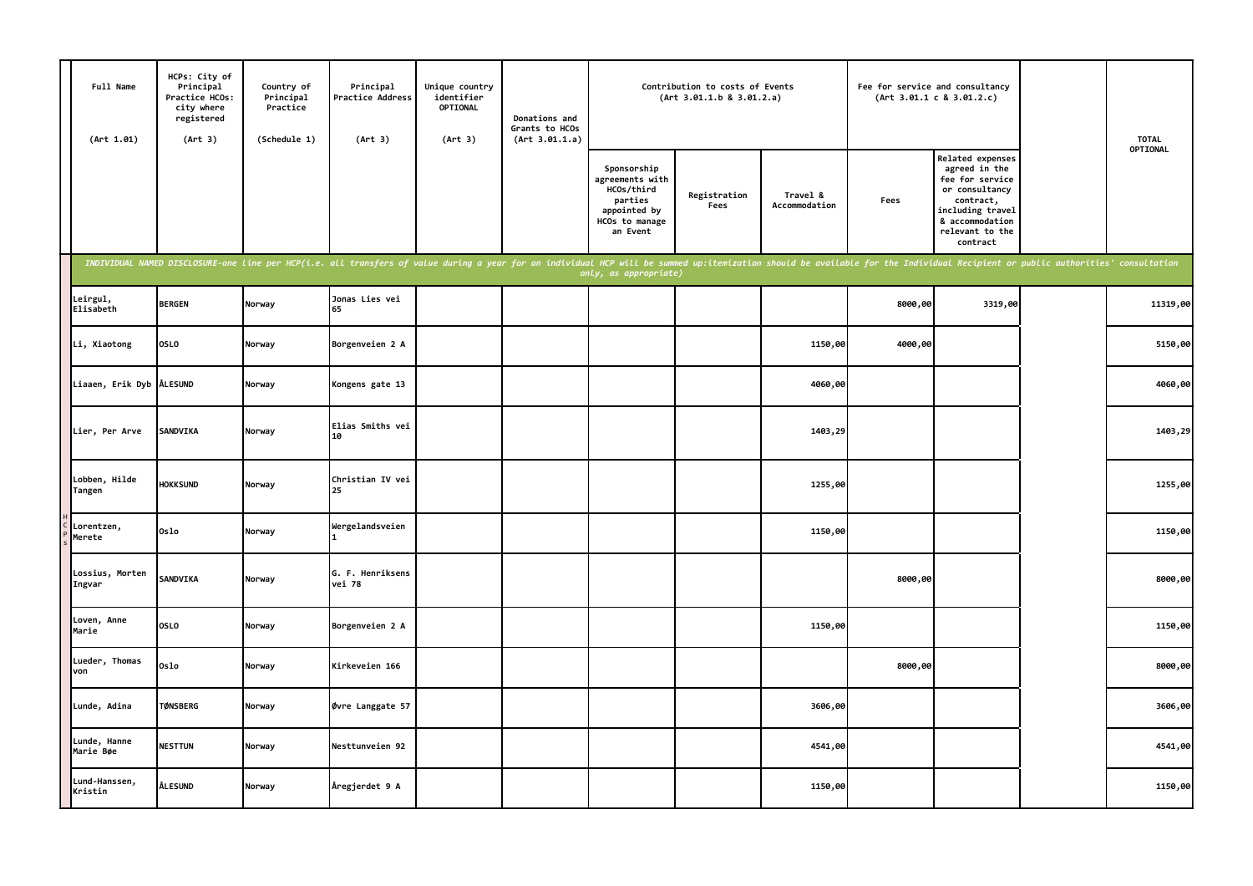| Full Name<br>(Art 1.01)   | HCPs: City of<br>Principal<br>Practice HCOs:<br>city where<br>registered<br>(Art 3) | Country of<br>Principal<br>Practice<br>(Schedule 1) | Principal<br>Practice Address<br>(Art 3)                                                                                                                                                                                       | Unique country<br>identifier<br>OPTIONAL<br>(Art 3) | Donations and<br>Grants to HCOs<br>(Art 3.01.1.a) |                                                                                                       | Contribution to costs of Events<br>(Art 3.01.1.b 8 3.01.2.a) |                           | Fee for service and consultancy | (Art 3.01.1 c 8 3.01.2.c)                                                                                                                                 | <b>TOTAL</b> |
|---------------------------|-------------------------------------------------------------------------------------|-----------------------------------------------------|--------------------------------------------------------------------------------------------------------------------------------------------------------------------------------------------------------------------------------|-----------------------------------------------------|---------------------------------------------------|-------------------------------------------------------------------------------------------------------|--------------------------------------------------------------|---------------------------|---------------------------------|-----------------------------------------------------------------------------------------------------------------------------------------------------------|--------------|
|                           |                                                                                     |                                                     |                                                                                                                                                                                                                                |                                                     |                                                   | Sponsorship<br>agreements with<br>HCOs/third<br>parties<br>appointed by<br>HCOs to manage<br>an Event | Registration<br>Fees                                         | Travel &<br>Accommodation | Fees                            | Related expenses<br>agreed in the<br>fee for service<br>or consultancy<br>contract,<br>including travel<br>& accommodation<br>relevant to the<br>contract | OPTIONAL     |
|                           |                                                                                     |                                                     | INDIVIDUAL NAMED DISCLOSURE-one line per HCP(i.e. all transfers of value during a year for an individual HCP will be summed up:itemization should be available for the Individual Recipient or public authorities' consultatio |                                                     |                                                   | only, as appropriate)                                                                                 |                                                              |                           |                                 |                                                                                                                                                           |              |
| Leirgul,<br>Elisabeth     | <b>BERGEN</b>                                                                       | Norway                                              | Jonas Lies vei<br>65                                                                                                                                                                                                           |                                                     |                                                   |                                                                                                       |                                                              |                           | 8000,00                         | 3319,00                                                                                                                                                   | 11319,00     |
| Li, Xiaotong              | <b>OSLO</b>                                                                         | Norway                                              | Borgenveien 2 A                                                                                                                                                                                                                |                                                     |                                                   |                                                                                                       |                                                              | 1150,00                   | 4000,00                         |                                                                                                                                                           | 5150,00      |
| Liaaen, Erik Dyb ALESUND  |                                                                                     | Norway                                              | Kongens gate 13                                                                                                                                                                                                                |                                                     |                                                   |                                                                                                       |                                                              | 4060,00                   |                                 |                                                                                                                                                           | 4060,00      |
| Lier, Per Arve            | SANDVIKA                                                                            | Norway                                              | Elias Smiths vei<br>10                                                                                                                                                                                                         |                                                     |                                                   |                                                                                                       |                                                              | 1403,29                   |                                 |                                                                                                                                                           | 1403,29      |
| Lobben, Hilde<br>Tangen   | <b>HOKKSUND</b>                                                                     | Norway                                              | Christian IV vei<br>25                                                                                                                                                                                                         |                                                     |                                                   |                                                                                                       |                                                              | 1255,00                   |                                 |                                                                                                                                                           | 1255,00      |
| Lorentzen,<br>Merete      | 0slo                                                                                | Norway                                              | Wergelandsveien                                                                                                                                                                                                                |                                                     |                                                   |                                                                                                       |                                                              | 1150,00                   |                                 |                                                                                                                                                           | 1150,00      |
| Lossius, Morten<br>Ingvar | <b>SANDVIKA</b>                                                                     | Norway                                              | G. F. Henriksens<br>vei 78                                                                                                                                                                                                     |                                                     |                                                   |                                                                                                       |                                                              |                           | 8000,00                         |                                                                                                                                                           | 8000,00      |
| Loven, Anne<br>Marie      | <b>OSLO</b>                                                                         | Norway                                              | Borgenveien 2 A                                                                                                                                                                                                                |                                                     |                                                   |                                                                                                       |                                                              | 1150,00                   |                                 |                                                                                                                                                           | 1150,00      |
| Lueder, Thomas<br>von     | Oslo                                                                                | Norway                                              | Kirkeveien 166                                                                                                                                                                                                                 |                                                     |                                                   |                                                                                                       |                                                              |                           | 8000,00                         |                                                                                                                                                           | 8000,00      |
| Lunde, Adina              | <b>TØNSBERG</b>                                                                     | Norway                                              | Øvre Langgate 57                                                                                                                                                                                                               |                                                     |                                                   |                                                                                                       |                                                              | 3606,00                   |                                 |                                                                                                                                                           | 3606,00      |
| Lunde, Hanne<br>Marie Bøe | <b>NESTTUN</b>                                                                      | Norway                                              | Nesttunveien 92                                                                                                                                                                                                                |                                                     |                                                   |                                                                                                       |                                                              | 4541,00                   |                                 |                                                                                                                                                           | 4541,00      |
| Lund-Hanssen,<br>Kristin  | <b>ÅLESUND</b>                                                                      | Norway                                              | Åregjerdet 9 A                                                                                                                                                                                                                 |                                                     |                                                   |                                                                                                       |                                                              | 1150,00                   |                                 |                                                                                                                                                           | 1150,00      |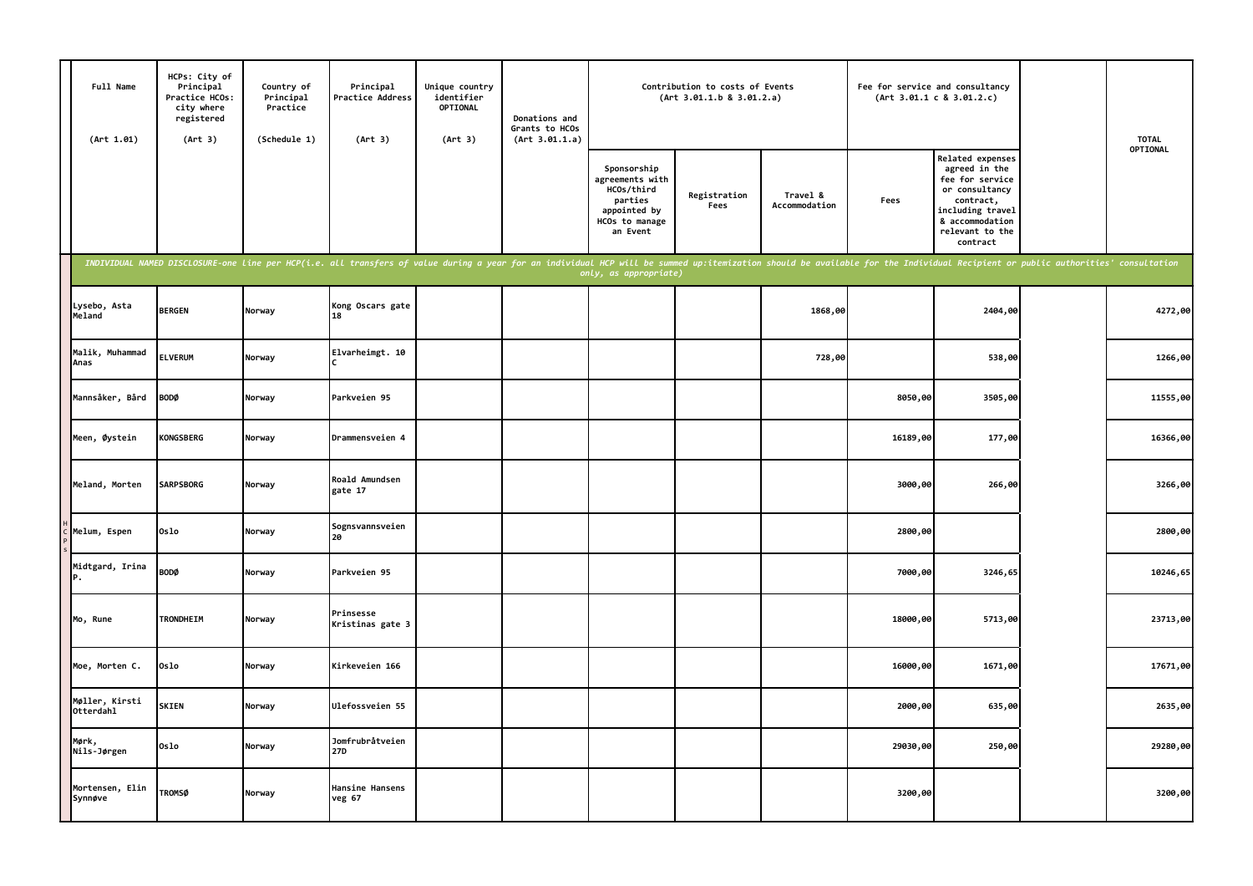| Full Name<br>(Art 1.01)     | HCPs: City of<br>Principal<br>Practice HCOs:<br>city where<br>registered<br>(Art 3) | Country of<br>Principal<br>Practice<br>(Schedule 1) | Principal<br>Practice Address<br>(Art 3)                                                                                                                                                                                       | Unique country<br>identifier<br><b>OPTIONAL</b><br>(Art 3) | Donations and<br>Grants to HCOs<br>(Art 3.01.1.a) |                                                                                                       | Contribution to costs of Events<br>(Art 3.01.1.b 8 3.01.2.a) |                           | Fee for service and consultancy | (Art 3.01.1 c 8 3.01.2.c)                                                                                                                                 | <b>TOTAL</b> |
|-----------------------------|-------------------------------------------------------------------------------------|-----------------------------------------------------|--------------------------------------------------------------------------------------------------------------------------------------------------------------------------------------------------------------------------------|------------------------------------------------------------|---------------------------------------------------|-------------------------------------------------------------------------------------------------------|--------------------------------------------------------------|---------------------------|---------------------------------|-----------------------------------------------------------------------------------------------------------------------------------------------------------|--------------|
|                             |                                                                                     |                                                     |                                                                                                                                                                                                                                |                                                            |                                                   | Sponsorship<br>agreements with<br>HCOs/third<br>parties<br>appointed by<br>HCOs to manage<br>an Event | Registration<br>Fees                                         | Travel &<br>Accommodation | Fees                            | Related expenses<br>agreed in the<br>fee for service<br>or consultancy<br>contract,<br>including travel<br>& accommodation<br>relevant to the<br>contract | OPTIONAL     |
|                             |                                                                                     |                                                     | INDIVIDUAL NAMED DISCLOSURE-one line per HCP(i.e. all transfers of value during a year for an individual HCP will be summed up:itemization should be available for the Individual Recipient or public authorities' consultatio |                                                            |                                                   | only, as appropriate)                                                                                 |                                                              |                           |                                 |                                                                                                                                                           |              |
| Lysebo, Asta<br>Meland      | <b>BERGEN</b>                                                                       | Norway                                              | Kong Oscars gate<br>18                                                                                                                                                                                                         |                                                            |                                                   |                                                                                                       |                                                              | 1868,00                   |                                 | 2404,00                                                                                                                                                   | 4272,00      |
| Malik, Muhammad<br>Anas     | <b>ELVERUM</b>                                                                      | Norway                                              | Elvarheimgt. 10                                                                                                                                                                                                                |                                                            |                                                   |                                                                                                       |                                                              | 728,00                    |                                 | 538,00                                                                                                                                                    | 1266,00      |
| Mannsåker, Bård             | <b>BODØ</b>                                                                         | Norway                                              | Parkveien 95                                                                                                                                                                                                                   |                                                            |                                                   |                                                                                                       |                                                              |                           | 8050,00                         | 3505,00                                                                                                                                                   | 11555,00     |
| Meen, Øystein               | <b>KONGSBERG</b>                                                                    | Norway                                              | Drammensveien 4                                                                                                                                                                                                                |                                                            |                                                   |                                                                                                       |                                                              |                           | 16189,00                        | 177,00                                                                                                                                                    | 16366,00     |
| Meland, Morten              | <b>SARPSBORG</b>                                                                    | Norway                                              | Roald Amundsen<br>gate 17                                                                                                                                                                                                      |                                                            |                                                   |                                                                                                       |                                                              |                           | 3000,00                         | 266,00                                                                                                                                                    | 3266,00      |
| Melum, Espen                | Oslo                                                                                | Norway                                              | Sognsvannsveien<br>20                                                                                                                                                                                                          |                                                            |                                                   |                                                                                                       |                                                              |                           | 2800,00                         |                                                                                                                                                           | 2800,00      |
| Midtgard, Irina<br>P.       | BODØ                                                                                | Norway                                              | Parkveien 95                                                                                                                                                                                                                   |                                                            |                                                   |                                                                                                       |                                                              |                           | 7000,00                         | 3246,65                                                                                                                                                   | 10246,65     |
| Mo, Rune                    | <b>TRONDHEIM</b>                                                                    | Norway                                              | Prinsesse<br>Kristinas gate 3                                                                                                                                                                                                  |                                                            |                                                   |                                                                                                       |                                                              |                           | 18000,00                        | 5713,00                                                                                                                                                   | 23713,00     |
| Moe, Morten C.              | Oslo                                                                                | Norway                                              | Kirkeveien 166                                                                                                                                                                                                                 |                                                            |                                                   |                                                                                                       |                                                              |                           | 16000,00                        | 1671,00                                                                                                                                                   | 17671,00     |
| Møller, Kirsti<br>Otterdahl | <b>SKIEN</b>                                                                        | Norway                                              | <b>Ulefossveien 55</b>                                                                                                                                                                                                         |                                                            |                                                   |                                                                                                       |                                                              |                           | 2000,00                         | 635,00                                                                                                                                                    | 2635,00      |
| Mørk,<br>Nils-Jørgen        | Oslo                                                                                | Norway                                              | Jomfrubråtveien<br>27D                                                                                                                                                                                                         |                                                            |                                                   |                                                                                                       |                                                              |                           | 29030,00                        | 250,00                                                                                                                                                    | 29280,00     |
| Mortensen, Elin<br>Synnøve  | <b>TROMSØ</b>                                                                       | Norway                                              | Hansine Hansens<br>veg 67                                                                                                                                                                                                      |                                                            |                                                   |                                                                                                       |                                                              |                           | 3200,00                         |                                                                                                                                                           | 3200,00      |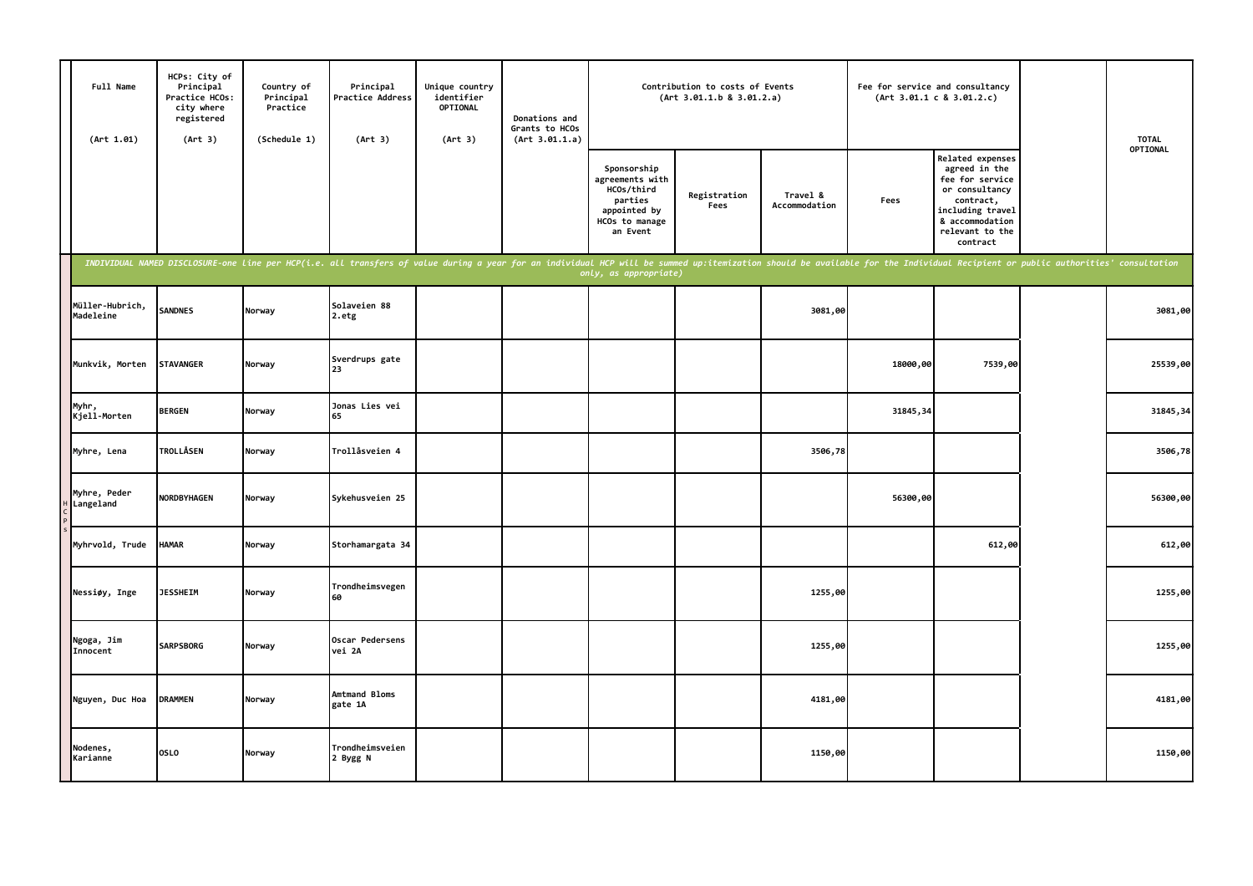| Full Name<br>(Art 1.01)      | HCPs: City of<br>Principal<br>Practice HCOs:<br>city where<br>registered<br>(Art 3) | Country of<br>Principal<br>Practice<br>(Schedule 1) | Principal<br>Practice Address<br>(Art 3)                                                                                                                                                                                       | Unique country<br>identifier<br>OPTIONAL<br>(Art 3) | Donations and<br>Grants to HCOs<br>(Art 3.01.1.a) |                                                                                                       | Contribution to costs of Events<br>(Art 3.01.1.b 8 3.01.2.a) |                           |          | Fee for service and consultancy<br>(Art 3.01.1 c 8 3.01.2.c)                                                                                              | <b>TOTAL</b> |
|------------------------------|-------------------------------------------------------------------------------------|-----------------------------------------------------|--------------------------------------------------------------------------------------------------------------------------------------------------------------------------------------------------------------------------------|-----------------------------------------------------|---------------------------------------------------|-------------------------------------------------------------------------------------------------------|--------------------------------------------------------------|---------------------------|----------|-----------------------------------------------------------------------------------------------------------------------------------------------------------|--------------|
|                              |                                                                                     |                                                     |                                                                                                                                                                                                                                |                                                     |                                                   | Sponsorship<br>agreements with<br>HCOs/third<br>parties<br>appointed by<br>HCOs to manage<br>an Event | Registration<br>Fees                                         | Travel &<br>Accommodation | Fees     | Related expenses<br>agreed in the<br>fee for service<br>or consultancy<br>contract,<br>including travel<br>& accommodation<br>relevant to the<br>contract | OPTIONAL     |
|                              |                                                                                     |                                                     | INDIVIDUAL NAMED DISCLOSURE-one line per HCP(i.e. all transfers of value during a year for an individual HCP will be summed up:itemization should be available for the Individual Recipient or public authorities' consultatio |                                                     |                                                   | only, as appropriate)                                                                                 |                                                              |                           |          |                                                                                                                                                           |              |
| Müller-Hubrich,<br>Madeleine | <b>SANDNES</b>                                                                      | Norway                                              | Solaveien 88<br>2.etg                                                                                                                                                                                                          |                                                     |                                                   |                                                                                                       |                                                              | 3081,00                   |          |                                                                                                                                                           | 3081,00      |
| Munkvik, Morten              | <b>STAVANGER</b>                                                                    | Norway                                              | Sverdrups gate<br>23                                                                                                                                                                                                           |                                                     |                                                   |                                                                                                       |                                                              |                           | 18000,00 | 7539,00                                                                                                                                                   | 25539,00     |
| Myhr,<br>Kjell-Morten        | <b>BERGEN</b>                                                                       | Norway                                              | Jonas Lies vei<br>65                                                                                                                                                                                                           |                                                     |                                                   |                                                                                                       |                                                              |                           | 31845,34 |                                                                                                                                                           | 31845, 34    |
| Myhre, Lena                  | <b>TROLLÅSEN</b>                                                                    | Norway                                              | Trollåsveien 4                                                                                                                                                                                                                 |                                                     |                                                   |                                                                                                       |                                                              | 3506,78                   |          |                                                                                                                                                           | 3506,78      |
| Myhre, Peder<br>Langeland    | <b>NORDBYHAGEN</b>                                                                  | Norway                                              | Sykehusveien 25                                                                                                                                                                                                                |                                                     |                                                   |                                                                                                       |                                                              |                           | 56300,00 |                                                                                                                                                           | 56300,00     |
| Myhrvold, Trude              | <b>HAMAR</b>                                                                        | Norway                                              | Storhamargata 34                                                                                                                                                                                                               |                                                     |                                                   |                                                                                                       |                                                              |                           |          | 612,00                                                                                                                                                    | 612,00       |
| Nessiøy, Inge                | <b>JESSHEIM</b>                                                                     | Norway                                              | Trondheimsvegen<br>60                                                                                                                                                                                                          |                                                     |                                                   |                                                                                                       |                                                              | 1255,00                   |          |                                                                                                                                                           | 1255,00      |
| Ngoga, Jim<br>Innocent       | <b>SARPSBORG</b>                                                                    | Norway                                              | Oscar Pedersens<br>vei 2A                                                                                                                                                                                                      |                                                     |                                                   |                                                                                                       |                                                              | 1255,00                   |          |                                                                                                                                                           | 1255,00      |
| Nguyen, Duc Hoa              | <b>DRAMMEN</b>                                                                      | Norway                                              | Amtmand Bloms<br>gate 1A                                                                                                                                                                                                       |                                                     |                                                   |                                                                                                       |                                                              | 4181,00                   |          |                                                                                                                                                           | 4181,00      |
| Nodenes,<br>Karianne         | <b>OSLO</b>                                                                         | Norway                                              | Trondheimsveien<br>2 Bygg N                                                                                                                                                                                                    |                                                     |                                                   |                                                                                                       |                                                              | 1150,00                   |          |                                                                                                                                                           | 1150,00      |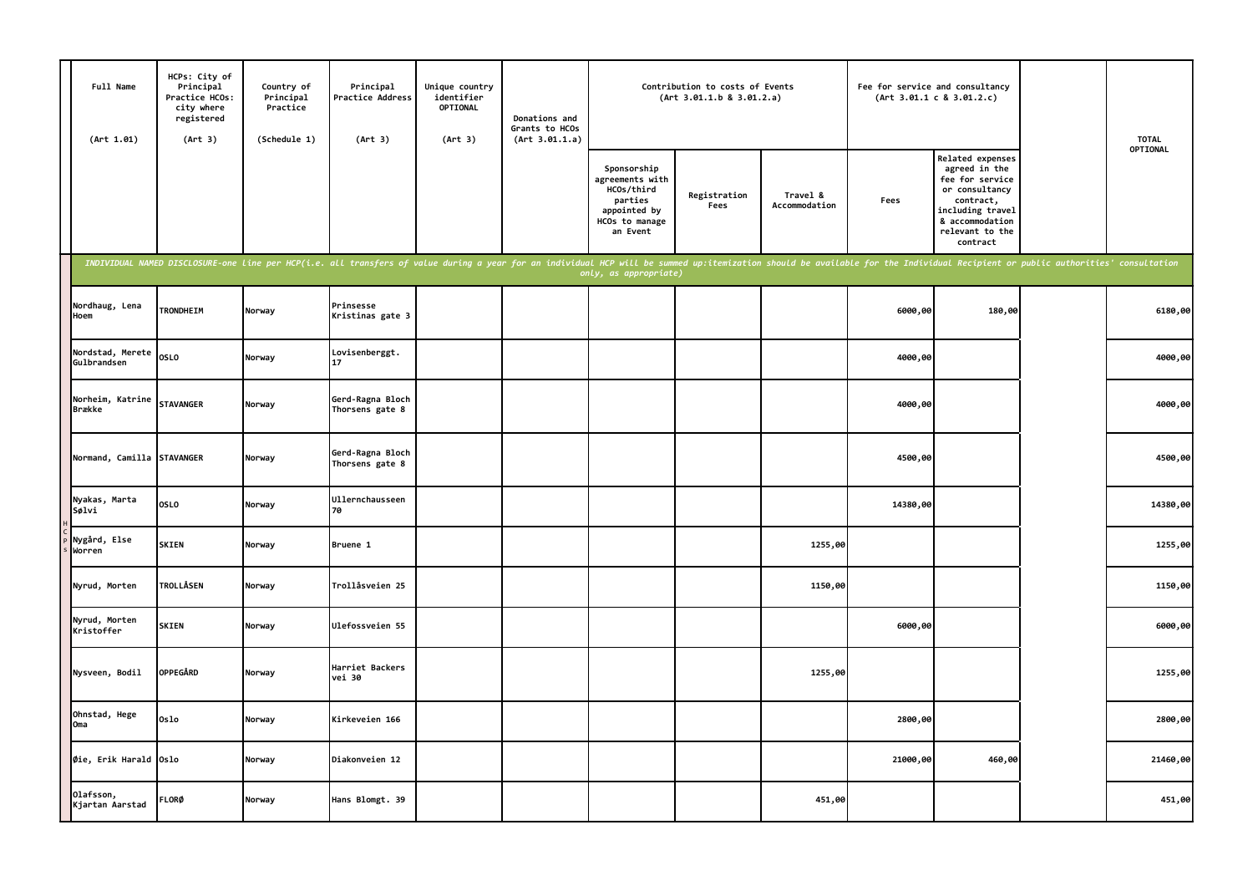| Full Name<br>(Art 1.01)           | HCPs: City of<br>Principal<br>Practice HCOs:<br>city where<br>registered<br>(Art 3) | Country of<br>Principal<br>Practice<br>(Schedule 1) | Principal<br>Practice Address<br>(Art 3)                                                                                                                                                                                       | Unique country<br>identifier<br>OPTIONAL<br>(Art 3) | Donations and<br>Grants to HCOs<br>(Art 3.01.1.a) |                                                                                                       | Contribution to costs of Events<br>(Art 3.01.1.b 8 3.01.2.a) |                           | Fee for service and consultancy | (Art 3.01.1 c 8 3.01.2.c)                                                                                                                                 | <b>TOTAL</b> |
|-----------------------------------|-------------------------------------------------------------------------------------|-----------------------------------------------------|--------------------------------------------------------------------------------------------------------------------------------------------------------------------------------------------------------------------------------|-----------------------------------------------------|---------------------------------------------------|-------------------------------------------------------------------------------------------------------|--------------------------------------------------------------|---------------------------|---------------------------------|-----------------------------------------------------------------------------------------------------------------------------------------------------------|--------------|
|                                   |                                                                                     |                                                     |                                                                                                                                                                                                                                |                                                     |                                                   | Sponsorship<br>agreements with<br>HCOs/third<br>parties<br>appointed by<br>HCOs to manage<br>an Event | Registration<br>Fees                                         | Travel &<br>Accommodation | Fees                            | Related expenses<br>agreed in the<br>fee for service<br>or consultancy<br>contract,<br>including travel<br>& accommodation<br>relevant to the<br>contract | OPTIONAL     |
|                                   |                                                                                     |                                                     | INDIVIDUAL NAMED DISCLOSURE-one line per HCP(i.e. all transfers of value during a year for an individual HCP will be summed up:itemization should be available for the Individual Recipient or public authorities' consultatio |                                                     |                                                   | only, as appropriate)                                                                                 |                                                              |                           |                                 |                                                                                                                                                           |              |
| Nordhaug, Lena<br>Hoem            | TRONDHEIM                                                                           | Norway                                              | Prinsesse<br>Kristinas gate 3                                                                                                                                                                                                  |                                                     |                                                   |                                                                                                       |                                                              |                           | 6000,00                         | 180,00                                                                                                                                                    | 6180,00      |
| Nordstad, Merete<br>Gulbrandsen   | <b>OSLO</b>                                                                         | Norway                                              | Lovisenberggt.<br>17                                                                                                                                                                                                           |                                                     |                                                   |                                                                                                       |                                                              |                           | 4000,00                         |                                                                                                                                                           | 4000,00      |
| Norheim, Katrine<br><b>Brække</b> | <b>STAVANGER</b>                                                                    | Norway                                              | Gerd-Ragna Bloch<br>Thorsens gate 8                                                                                                                                                                                            |                                                     |                                                   |                                                                                                       |                                                              |                           | 4000,00                         |                                                                                                                                                           | 4000,00      |
| Normand, Camilla STAVANGER        |                                                                                     | Norway                                              | Gerd-Ragna Bloch<br>Thorsens gate 8                                                                                                                                                                                            |                                                     |                                                   |                                                                                                       |                                                              |                           | 4500,00                         |                                                                                                                                                           | 4500,00      |
| Nyakas, Marta<br>Sølvi            | OSLO                                                                                | Norway                                              | <b>Ullernchausseen</b><br>70                                                                                                                                                                                                   |                                                     |                                                   |                                                                                                       |                                                              |                           | 14380,00                        |                                                                                                                                                           | 14380,00     |
| Nygård, Else<br>Worren            | <b>SKIEN</b>                                                                        | Norway                                              | Bruene 1                                                                                                                                                                                                                       |                                                     |                                                   |                                                                                                       |                                                              | 1255,00                   |                                 |                                                                                                                                                           | 1255,00      |
| Nyrud, Morten                     | <b>TROLLÅSEN</b>                                                                    | Norway                                              | Trollåsveien 25                                                                                                                                                                                                                |                                                     |                                                   |                                                                                                       |                                                              | 1150,00                   |                                 |                                                                                                                                                           | 1150,00      |
| Nyrud, Morten<br>Kristoffer       | <b>SKIEN</b>                                                                        | Norway                                              | Ulefossveien 55                                                                                                                                                                                                                |                                                     |                                                   |                                                                                                       |                                                              |                           | 6000,00                         |                                                                                                                                                           | 6000,00      |
| Nysveen, Bodil                    | <b>OPPEGÅRD</b>                                                                     | Norway                                              | Harriet Backers<br>vei 30                                                                                                                                                                                                      |                                                     |                                                   |                                                                                                       |                                                              | 1255,00                   |                                 |                                                                                                                                                           | 1255,00      |
| Ohnstad, Hege<br>Oma              | 0slo                                                                                | Norway                                              | Kirkeveien 166                                                                                                                                                                                                                 |                                                     |                                                   |                                                                                                       |                                                              |                           | 2800,00                         |                                                                                                                                                           | 2800,00      |
| Øie, Erik Harald Oslo             |                                                                                     | Norway                                              | Diakonveien 12                                                                                                                                                                                                                 |                                                     |                                                   |                                                                                                       |                                                              |                           | 21000,00                        | 460,00                                                                                                                                                    | 21460,00     |
| Olafsson,<br>Kjartan Aarstad      | <b>FLORØ</b>                                                                        | Norway                                              | Hans Blomgt. 39                                                                                                                                                                                                                |                                                     |                                                   |                                                                                                       |                                                              | 451,00                    |                                 |                                                                                                                                                           | 451,00       |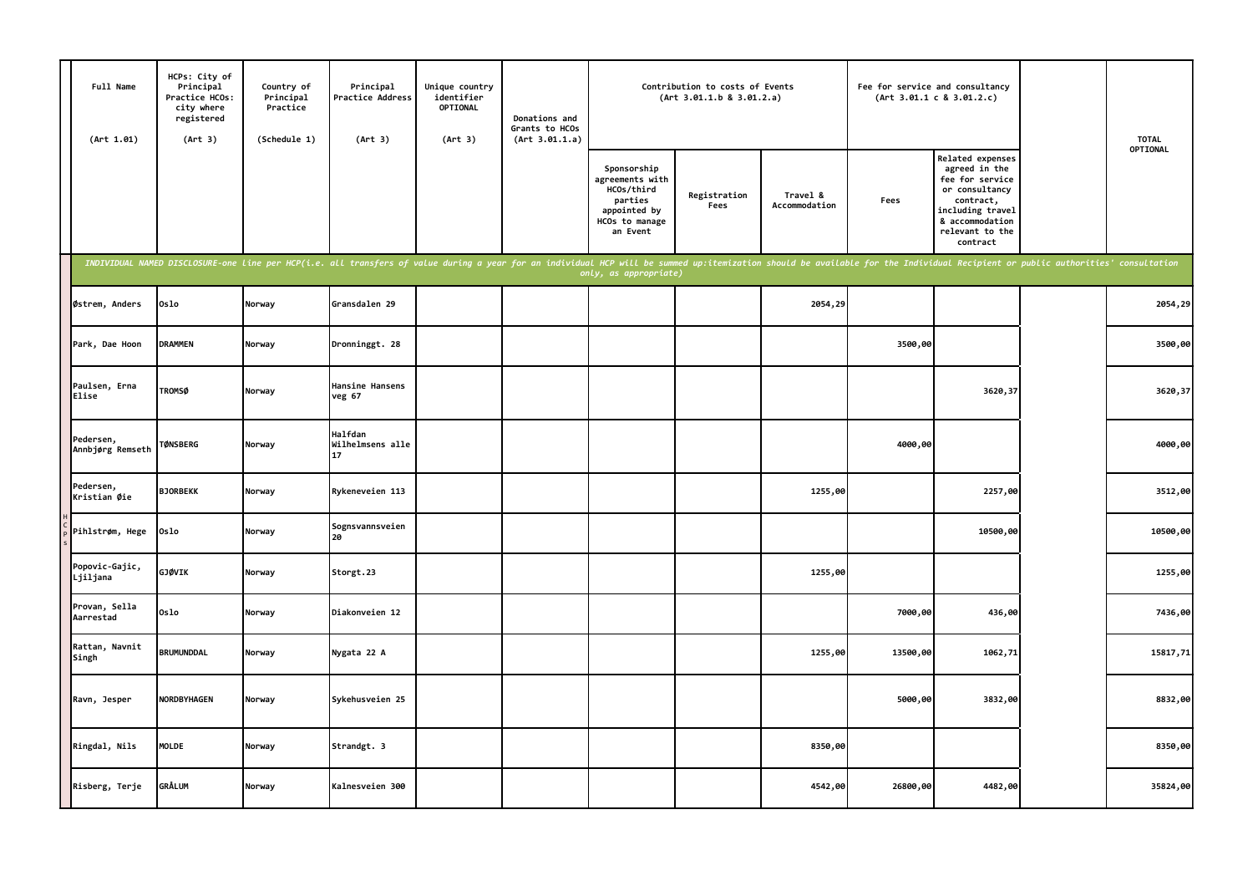| Full Name<br>(Art 1.01)       | HCPs: City of<br>Principal<br>Practice HCOs:<br>city where<br>registered<br>(Art 3) | Country of<br>Principal<br>Practice<br>(Schedule 1) | Principal<br>Practice Address<br>(Art 3)                                                                                                                                                                                       | Unique country<br>identifier<br>OPTIONAL<br>(Art 3) | Donations and<br>Grants to HCOs<br>(Art 3.01.1.a) |                                                                                                       | Contribution to costs of Events<br>(Art 3.01.1.b 8 3.01.2.a) |                           | Fee for service and consultancy | (Art 3.01.1 c 8 3.01.2.c)                                                                                                                                 | <b>TOTAL</b> |
|-------------------------------|-------------------------------------------------------------------------------------|-----------------------------------------------------|--------------------------------------------------------------------------------------------------------------------------------------------------------------------------------------------------------------------------------|-----------------------------------------------------|---------------------------------------------------|-------------------------------------------------------------------------------------------------------|--------------------------------------------------------------|---------------------------|---------------------------------|-----------------------------------------------------------------------------------------------------------------------------------------------------------|--------------|
|                               |                                                                                     |                                                     |                                                                                                                                                                                                                                |                                                     |                                                   | Sponsorship<br>agreements with<br>HCOs/third<br>parties<br>appointed by<br>HCOs to manage<br>an Event | Registration<br>Fees                                         | Travel &<br>Accommodation | Fees                            | Related expenses<br>agreed in the<br>fee for service<br>or consultancy<br>contract,<br>including travel<br>& accommodation<br>relevant to the<br>contract | OPTIONAL     |
|                               |                                                                                     |                                                     | INDIVIDUAL NAMED DISCLOSURE-one line per HCP(i.e. all transfers of value during a year for an individual HCP will be summed up:itemization should be available for the Individual Recipient or public authorities' consultatio |                                                     |                                                   | only, as appropriate)                                                                                 |                                                              |                           |                                 |                                                                                                                                                           |              |
| Østrem, Anders                | 0slo                                                                                | Norway                                              | Gransdalen 29                                                                                                                                                                                                                  |                                                     |                                                   |                                                                                                       |                                                              | 2054,29                   |                                 |                                                                                                                                                           | 2054,29      |
| Park, Dae Hoon                | <b>DRAMMEN</b>                                                                      | Norway                                              | Dronninggt. 28                                                                                                                                                                                                                 |                                                     |                                                   |                                                                                                       |                                                              |                           | 3500,00                         |                                                                                                                                                           | 3500,00      |
| Paulsen, Erna<br>Elise        | <b>TROMSØ</b>                                                                       | Norway                                              | Hansine Hansens<br>veg 67                                                                                                                                                                                                      |                                                     |                                                   |                                                                                                       |                                                              |                           |                                 | 3620,37                                                                                                                                                   | 3620,37      |
| Pedersen,<br>Annbjørg Remseth | <b>TØNSBERG</b>                                                                     | Norway                                              | Halfdan<br>Wilhelmsens alle<br>17                                                                                                                                                                                              |                                                     |                                                   |                                                                                                       |                                                              |                           | 4000,00                         |                                                                                                                                                           | 4000,00      |
| Pedersen,<br>Kristian Øie     | <b>BJORBEKK</b>                                                                     | Norway                                              | Rykeneveien 113                                                                                                                                                                                                                |                                                     |                                                   |                                                                                                       |                                                              | 1255,00                   |                                 | 2257,00                                                                                                                                                   | 3512,00      |
| Pihlstrøm, Hege               | 0slo                                                                                | Norway                                              | Sognsvannsveien<br>20                                                                                                                                                                                                          |                                                     |                                                   |                                                                                                       |                                                              |                           |                                 | 10500,00                                                                                                                                                  | 10500,00     |
| Popovic-Gajic,<br>Ljiljana    | GJØVIK                                                                              | Norway                                              | Storgt.23                                                                                                                                                                                                                      |                                                     |                                                   |                                                                                                       |                                                              | 1255,00                   |                                 |                                                                                                                                                           | 1255,00      |
| Provan, Sella<br>Aarrestad    | 0slo                                                                                | Norway                                              | Diakonveien 12                                                                                                                                                                                                                 |                                                     |                                                   |                                                                                                       |                                                              |                           | 7000,00                         | 436,00                                                                                                                                                    | 7436,00      |
| Rattan, Navnit<br>Singh       | <b>BRUMUNDDAL</b>                                                                   | Norway                                              | Nygata 22 A                                                                                                                                                                                                                    |                                                     |                                                   |                                                                                                       |                                                              | 1255,00                   | 13500,00                        | 1062,71                                                                                                                                                   | 15817,71     |
| Ravn, Jesper                  | <b>NORDBYHAGEN</b>                                                                  | Norway                                              | Sykehusveien 25                                                                                                                                                                                                                |                                                     |                                                   |                                                                                                       |                                                              |                           | 5000,00                         | 3832,00                                                                                                                                                   | 8832,00      |
| Ringdal, Nils                 | <b>MOLDE</b>                                                                        | Norway                                              | Strandgt. 3                                                                                                                                                                                                                    |                                                     |                                                   |                                                                                                       |                                                              | 8350,00                   |                                 |                                                                                                                                                           | 8350,00      |
| Risberg, Terje                | <b>GRÅLUM</b>                                                                       | Norway                                              | Kalnesveien 300                                                                                                                                                                                                                |                                                     |                                                   |                                                                                                       |                                                              | 4542,00                   | 26800,00                        | 4482,00                                                                                                                                                   | 35824,00     |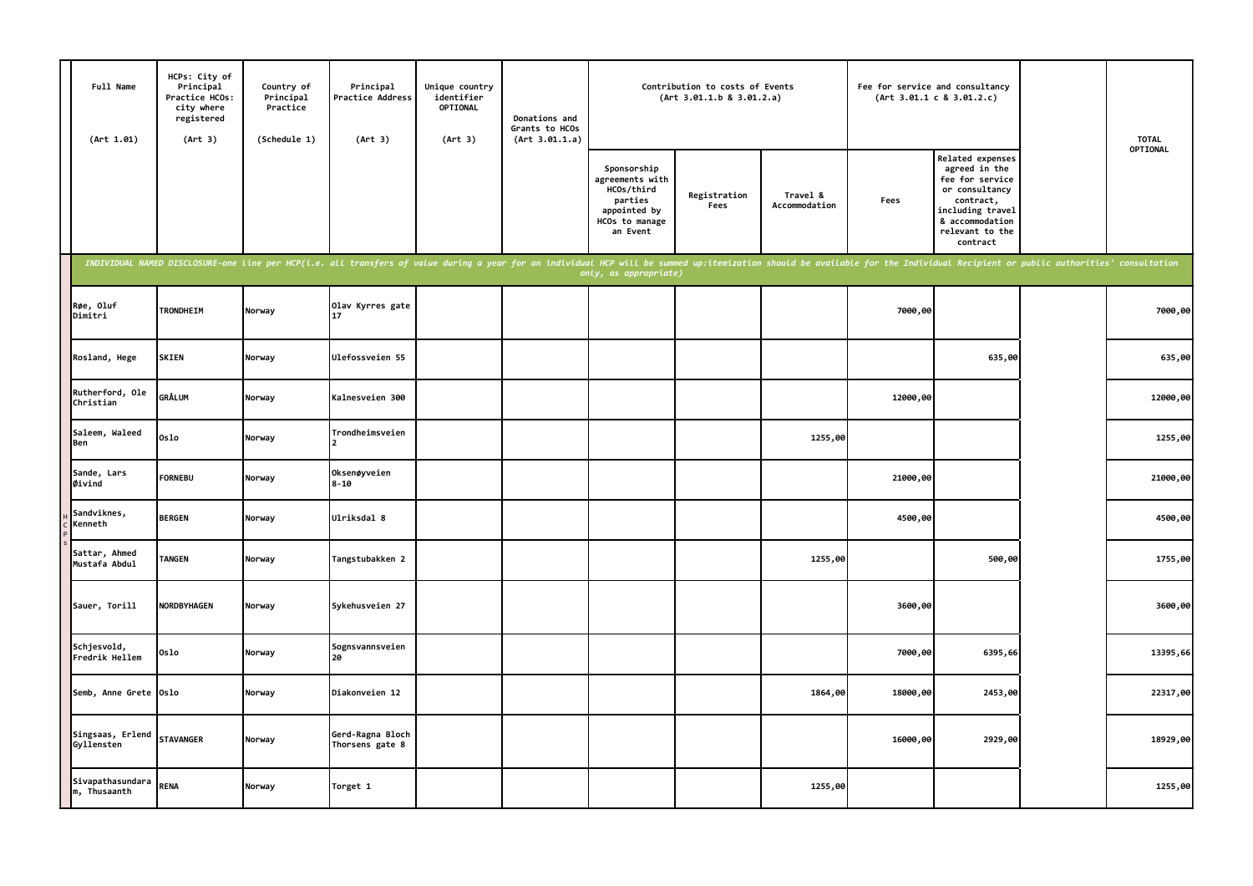| Full Name<br>(Art 1.01)          | HCPs: City of<br>Principal<br>Practice HCOs:<br>city where<br>registered<br>(Art 3) | Country of<br>Principal<br>Practice<br>(Schedule 1) | Principal<br>Practice Address<br>(Art 3)                                                                                                                                                                                       | Unique country<br>identifier<br>OPTIONAL<br>(Art 3) | Donations and<br>Grants to HCOs<br>(Art 3.01.1.a) |                                                                                                       | Contribution to costs of Events<br>(Art 3.01.1.b 8 3.01.2.a) |                           | Fee for service and consultancy | (Art 3.01.1 c 8 3.01.2.c)                                                                                                                                 | <b>TOTAL</b> |
|----------------------------------|-------------------------------------------------------------------------------------|-----------------------------------------------------|--------------------------------------------------------------------------------------------------------------------------------------------------------------------------------------------------------------------------------|-----------------------------------------------------|---------------------------------------------------|-------------------------------------------------------------------------------------------------------|--------------------------------------------------------------|---------------------------|---------------------------------|-----------------------------------------------------------------------------------------------------------------------------------------------------------|--------------|
|                                  |                                                                                     |                                                     |                                                                                                                                                                                                                                |                                                     |                                                   | Sponsorship<br>agreements with<br>HCOs/third<br>parties<br>appointed by<br>HCOs to manage<br>an Event | Registration<br>Fees                                         | Travel &<br>Accommodation | Fees                            | Related expenses<br>agreed in the<br>fee for service<br>or consultancy<br>contract,<br>including travel<br>& accommodation<br>relevant to the<br>contract | OPTIONAL     |
|                                  |                                                                                     |                                                     | INDIVIDUAL NAMED DISCLOSURE-one line per HCP(i.e. all transfers of value during a year for an individual HCP will be summed up:itemization should be available for the Individual Recipient or public authorities' consultatio |                                                     |                                                   | only, as appropriate)                                                                                 |                                                              |                           |                                 |                                                                                                                                                           |              |
| Røe, Oluf<br>Dimitri             | TRONDHEIM                                                                           | Norway                                              | Olav Kyrres gate<br>17                                                                                                                                                                                                         |                                                     |                                                   |                                                                                                       |                                                              |                           | 7000,00                         |                                                                                                                                                           | 7000,00      |
| Rosland, Hege                    | <b>SKIEN</b>                                                                        | Norway                                              | Ulefossveien 55                                                                                                                                                                                                                |                                                     |                                                   |                                                                                                       |                                                              |                           |                                 | 635,00                                                                                                                                                    | 635,00       |
| Rutherford, Ole<br>Christian     | <b>GRÅLUM</b>                                                                       | Norway                                              | Kalnesveien 300                                                                                                                                                                                                                |                                                     |                                                   |                                                                                                       |                                                              |                           | 12000,00                        |                                                                                                                                                           | 12000,00     |
| Saleem, Waleed<br>Ben            | 0slo                                                                                | Norway                                              | Trondheimsveien                                                                                                                                                                                                                |                                                     |                                                   |                                                                                                       |                                                              | 1255,00                   |                                 |                                                                                                                                                           | 1255,00      |
| Sande, Lars<br>Øivind            | <b>FORNEBU</b>                                                                      | Norway                                              | Oksenøyveien<br>$8 - 10$                                                                                                                                                                                                       |                                                     |                                                   |                                                                                                       |                                                              |                           | 21000,00                        |                                                                                                                                                           | 21000,00     |
| Sandviknes,<br>Kenneth           | <b>BERGEN</b>                                                                       | Norway                                              | Ulriksdal 8                                                                                                                                                                                                                    |                                                     |                                                   |                                                                                                       |                                                              |                           | 4500,00                         |                                                                                                                                                           | 4500,00      |
| Sattar, Ahmed<br>Mustafa Abdul   | <b>TANGEN</b>                                                                       | Norway                                              | Tangstubakken 2                                                                                                                                                                                                                |                                                     |                                                   |                                                                                                       |                                                              | 1255,00                   |                                 | 500,00                                                                                                                                                    | 1755,00      |
| Sauer, Torill                    | <b>NORDBYHAGEN</b>                                                                  | Norway                                              | Sykehusveien 27                                                                                                                                                                                                                |                                                     |                                                   |                                                                                                       |                                                              |                           | 3600,00                         |                                                                                                                                                           | 3600,00      |
| Schjesvold,<br>Fredrik Hellem    | 0slo                                                                                | Norway                                              | Sognsvannsveien<br>20                                                                                                                                                                                                          |                                                     |                                                   |                                                                                                       |                                                              |                           | 7000,00                         | 6395,66                                                                                                                                                   | 13395,66     |
| Semb, Anne Grete Oslo            |                                                                                     | Norway                                              | Diakonveien 12                                                                                                                                                                                                                 |                                                     |                                                   |                                                                                                       |                                                              | 1864,00                   | 18000,00                        | 2453,00                                                                                                                                                   | 22317,00     |
| Singsaas, Erlend<br>Gyllensten   | <b>STAVANGER</b>                                                                    | Norway                                              | Gerd-Ragna Bloch<br>Thorsens gate 8                                                                                                                                                                                            |                                                     |                                                   |                                                                                                       |                                                              |                           | 16000,00                        | 2929,00                                                                                                                                                   | 18929,00     |
| Sivapathasundara<br>m, Thusaanth | <b>RENA</b>                                                                         | Norway                                              | Torget 1                                                                                                                                                                                                                       |                                                     |                                                   |                                                                                                       |                                                              | 1255,00                   |                                 |                                                                                                                                                           | 1255,00      |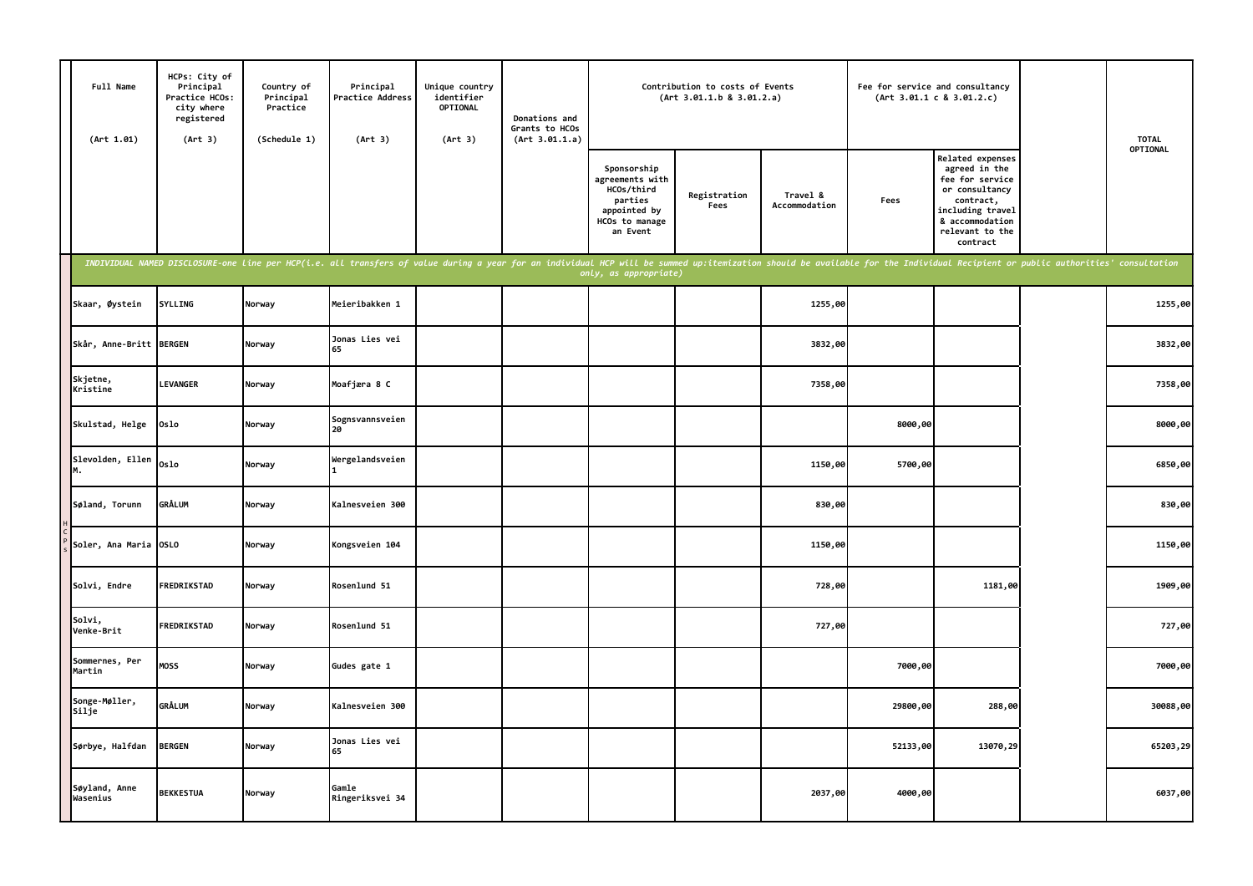| Full Name<br>(Art 1.01)     | HCPs: City of<br>Principal<br>Practice HCOs:<br>city where<br>registered<br>(Art 3) | Country of<br>Principal<br>Practice<br>(Schedule 1) | Principal<br>Practice Address<br>(Art 3)                                                                                                                                                                                       | Unique country<br>identifier<br><b>OPTIONAL</b><br>(Art 3) | Donations and<br>Grants to HCOs<br>(Art 3.01.1.a) |                                                                                                       | Contribution to costs of Events<br>(Art 3.01.1.b 8 3.01.2.a) |                           | Fee for service and consultancy | (Art 3.01.1 c 8 3.01.2.c)                                                                                                                                        | <b>TOTAL</b> |
|-----------------------------|-------------------------------------------------------------------------------------|-----------------------------------------------------|--------------------------------------------------------------------------------------------------------------------------------------------------------------------------------------------------------------------------------|------------------------------------------------------------|---------------------------------------------------|-------------------------------------------------------------------------------------------------------|--------------------------------------------------------------|---------------------------|---------------------------------|------------------------------------------------------------------------------------------------------------------------------------------------------------------|--------------|
|                             |                                                                                     |                                                     |                                                                                                                                                                                                                                |                                                            |                                                   | Sponsorship<br>agreements with<br>HCOs/third<br>parties<br>appointed by<br>HCOs to manage<br>an Event | Registration<br>Fees                                         | Travel &<br>Accommodation | Fees                            | <b>Related expenses</b><br>agreed in the<br>fee for service<br>or consultancy<br>contract,<br>including travel<br>& accommodation<br>relevant to the<br>contract | OPTIONAL     |
|                             |                                                                                     |                                                     | INDIVIDUAL NAMED DISCLOSURE-one line per HCP(i.e. all transfers of value during a year for an individual HCP will be summed up:itemization should be available for the Individual Recipient or public authorities' consultatio |                                                            |                                                   | only, as appropriate)                                                                                 |                                                              |                           |                                 |                                                                                                                                                                  |              |
| Skaar, Øystein              | <b>SYLLING</b>                                                                      | Norway                                              | Meieribakken 1                                                                                                                                                                                                                 |                                                            |                                                   |                                                                                                       |                                                              | 1255,00                   |                                 |                                                                                                                                                                  | 1255,00      |
| Skår, Anne-Britt BERGEN     |                                                                                     | Norway                                              | Jonas Lies vei<br>65                                                                                                                                                                                                           |                                                            |                                                   |                                                                                                       |                                                              | 3832,00                   |                                 |                                                                                                                                                                  | 3832,00      |
| Skjetne,<br>Kristine        | <b>LEVANGER</b>                                                                     | Norway                                              | Moafjæra 8 C                                                                                                                                                                                                                   |                                                            |                                                   |                                                                                                       |                                                              | 7358,00                   |                                 |                                                                                                                                                                  | 7358,00      |
| Skulstad, Helge             | Oslo                                                                                | Norway                                              | Sognsvannsveien<br>2Q                                                                                                                                                                                                          |                                                            |                                                   |                                                                                                       |                                                              |                           | 8000,00                         |                                                                                                                                                                  | 8000,00      |
| Slevolden, Ellen<br>М.      | Oslo                                                                                | Norway                                              | Wergelandsveien                                                                                                                                                                                                                |                                                            |                                                   |                                                                                                       |                                                              | 1150,00                   | 5700,00                         |                                                                                                                                                                  | 6850,00      |
| Søland, Torunn              | <b>GRÅLUM</b>                                                                       | Norway                                              | Kalnesveien 300                                                                                                                                                                                                                |                                                            |                                                   |                                                                                                       |                                                              | 830,00                    |                                 |                                                                                                                                                                  | 830,00       |
| Soler, Ana Maria OSLO       |                                                                                     | Norway                                              | Kongsveien 104                                                                                                                                                                                                                 |                                                            |                                                   |                                                                                                       |                                                              | 1150,00                   |                                 |                                                                                                                                                                  | 1150,00      |
| Solvi, Endre                | FREDRIKSTAD                                                                         | Norway                                              | Rosenlund 51                                                                                                                                                                                                                   |                                                            |                                                   |                                                                                                       |                                                              | 728,00                    |                                 | 1181,00                                                                                                                                                          | 1909,00      |
| Solvi,<br><b>Venke-Brit</b> | FREDRIKSTAD                                                                         | Norway                                              | Rosenlund 51                                                                                                                                                                                                                   |                                                            |                                                   |                                                                                                       |                                                              | 727,00                    |                                 |                                                                                                                                                                  | 727,00       |
| Sommernes, Per<br>Martin    | <b>MOSS</b>                                                                         | Norway                                              | Gudes gate 1                                                                                                                                                                                                                   |                                                            |                                                   |                                                                                                       |                                                              |                           | 7000,00                         |                                                                                                                                                                  | 7000,00      |
| Songe-Møller,<br>Silje      | <b>GRÅLUM</b>                                                                       | Norway                                              | Kalnesveien 300                                                                                                                                                                                                                |                                                            |                                                   |                                                                                                       |                                                              |                           | 29800,00                        | 288,00                                                                                                                                                           | 30088,00     |
| Sørbye, Halfdan             | <b>BERGEN</b>                                                                       | Norway                                              | Jonas Lies vei<br>65                                                                                                                                                                                                           |                                                            |                                                   |                                                                                                       |                                                              |                           | 52133,00                        | 13070,29                                                                                                                                                         | 65203,29     |
| Søyland, Anne<br>Wasenius   | <b>BEKKESTUA</b>                                                                    | Norway                                              | Gamle<br>Ringeriksvei 34                                                                                                                                                                                                       |                                                            |                                                   |                                                                                                       |                                                              | 2037,00                   | 4000,00                         |                                                                                                                                                                  | 6037,00      |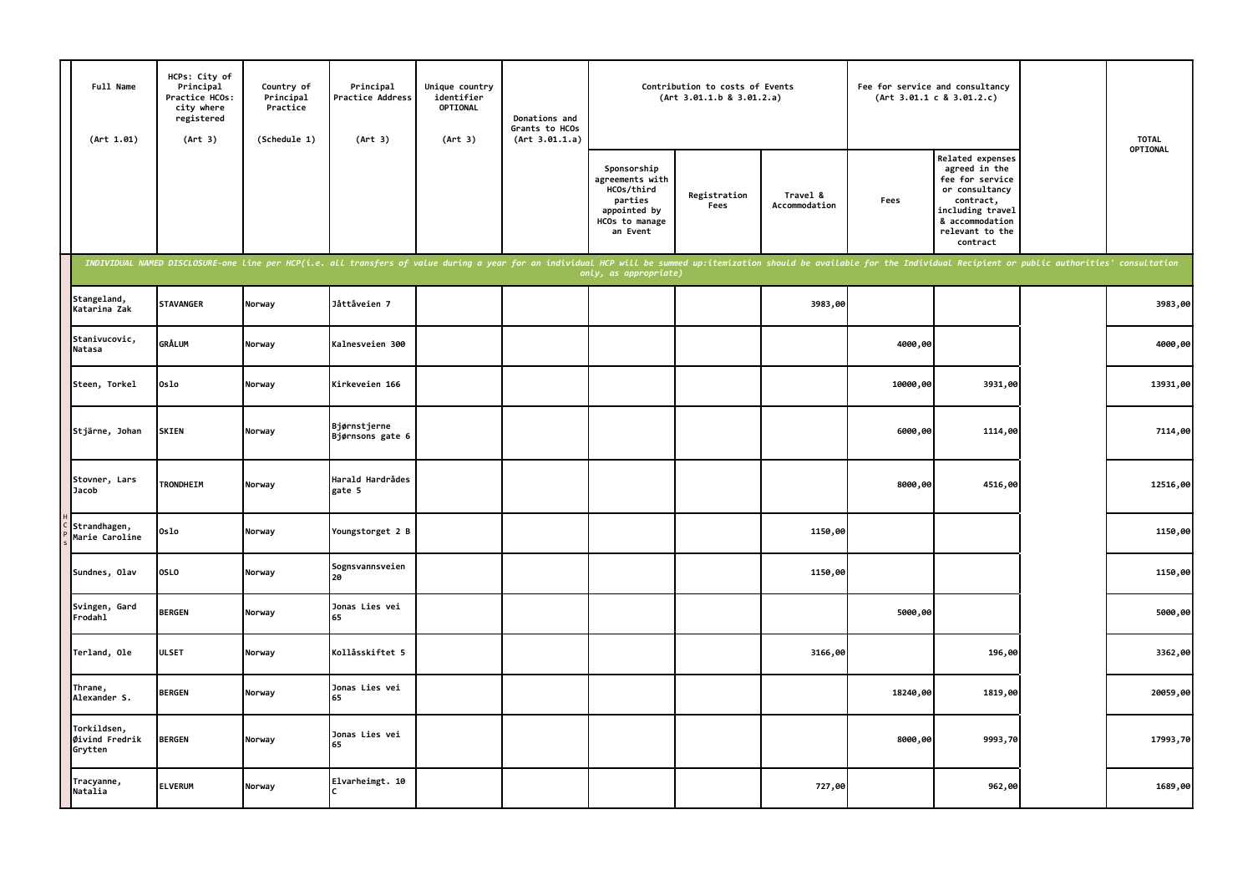| Full Name<br>(Art 1.01)                  | HCPs: City of<br>Principal<br>Practice HCOs:<br>city where<br>registered<br>(Art 3) | Country of<br>Principal<br>Practice<br>(Schedule 1) | Principal<br>Practice Address<br>(Art 3)                                                                                                                                                                                       | Unique country<br>identifier<br>OPTIONAL<br>(Art 3) | Donations and<br>Grants to HCOs<br>(Art 3.01.1.a) |                                                                                                       | Contribution to costs of Events<br>(Art 3.01.1.b 8 3.01.2.a) |                           | Fee for service and consultancy | (Art 3.01.1 c 8 3.01.2.c)                                                                                                                                 | <b>TOTAL</b> |
|------------------------------------------|-------------------------------------------------------------------------------------|-----------------------------------------------------|--------------------------------------------------------------------------------------------------------------------------------------------------------------------------------------------------------------------------------|-----------------------------------------------------|---------------------------------------------------|-------------------------------------------------------------------------------------------------------|--------------------------------------------------------------|---------------------------|---------------------------------|-----------------------------------------------------------------------------------------------------------------------------------------------------------|--------------|
|                                          |                                                                                     |                                                     |                                                                                                                                                                                                                                |                                                     |                                                   | Sponsorship<br>agreements with<br>HCOs/third<br>parties<br>appointed by<br>HCOs to manage<br>an Event | Registration<br>Fees                                         | Travel &<br>Accommodation | Fees                            | Related expenses<br>agreed in the<br>fee for service<br>or consultancy<br>contract,<br>including travel<br>& accommodation<br>relevant to the<br>contract | OPTIONAL     |
|                                          |                                                                                     |                                                     | INDIVIDUAL NAMED DISCLOSURE-one line per HCP(i.e. all transfers of value during a year for an individual HCP will be summed up:itemization should be available for the Individual Recipient or public authorities' consultatio |                                                     |                                                   | only, as appropriate)                                                                                 |                                                              |                           |                                 |                                                                                                                                                           |              |
| Stangeland,<br>Katarina Zak              | <b>STAVANGER</b>                                                                    | Norway                                              | Jåttåveien 7                                                                                                                                                                                                                   |                                                     |                                                   |                                                                                                       |                                                              | 3983,00                   |                                 |                                                                                                                                                           | 3983,00      |
| Stanivucovic,<br>Natasa                  | <b>GRÅLUM</b>                                                                       | Norway                                              | Kalnesveien 300                                                                                                                                                                                                                |                                                     |                                                   |                                                                                                       |                                                              |                           | 4000,00                         |                                                                                                                                                           | 4000,00      |
| Steen, Torkel                            | 0slo                                                                                | Norway                                              | Kirkeveien 166                                                                                                                                                                                                                 |                                                     |                                                   |                                                                                                       |                                                              |                           | 10000,00                        | 3931,00                                                                                                                                                   | 13931,00     |
| Stjärne, Johan                           | <b>SKIEN</b>                                                                        | Norway                                              | Bjørnstjerne<br>Bjørnsons gate 6                                                                                                                                                                                               |                                                     |                                                   |                                                                                                       |                                                              |                           | 6000,00                         | 1114,00                                                                                                                                                   | 7114,00      |
| Stovner, Lars<br>Jacob                   | TRONDHEIM                                                                           | Norway                                              | Harald Hardrådes<br>gate 5                                                                                                                                                                                                     |                                                     |                                                   |                                                                                                       |                                                              |                           | 8000,00                         | 4516,00                                                                                                                                                   | 12516,00     |
| Strandhagen,<br>Marie Caroline           | 0slo                                                                                | Norway                                              | Youngstorget 2 B                                                                                                                                                                                                               |                                                     |                                                   |                                                                                                       |                                                              | 1150,00                   |                                 |                                                                                                                                                           | 1150,00      |
| Sundnes, Olav                            | OSLO                                                                                | Norway                                              | Sognsvannsveien<br>20                                                                                                                                                                                                          |                                                     |                                                   |                                                                                                       |                                                              | 1150,00                   |                                 |                                                                                                                                                           | 1150,00      |
| Svingen, Gard<br>Frodahl                 | <b>BERGEN</b>                                                                       | Norway                                              | Jonas Lies vei<br>65                                                                                                                                                                                                           |                                                     |                                                   |                                                                                                       |                                                              |                           | 5000,00                         |                                                                                                                                                           | 5000,00      |
| Terland, Ole                             | <b>ULSET</b>                                                                        | Norway                                              | Kollåsskiftet 5                                                                                                                                                                                                                |                                                     |                                                   |                                                                                                       |                                                              | 3166,00                   |                                 | 196,00                                                                                                                                                    | 3362,00      |
| Thrane,<br>Alexander S.                  | <b>BERGEN</b>                                                                       | Norway                                              | Jonas Lies vei<br>65                                                                                                                                                                                                           |                                                     |                                                   |                                                                                                       |                                                              |                           | 18240,00                        | 1819,00                                                                                                                                                   | 20059,00     |
| Torkildsen,<br>Øivind Fredrik<br>Grytten | <b>BERGEN</b>                                                                       | Norway                                              | Jonas Lies vei<br>65                                                                                                                                                                                                           |                                                     |                                                   |                                                                                                       |                                                              |                           | 8000,00                         | 9993,70                                                                                                                                                   | 17993,70     |
| Tracyanne,<br>Natalia                    | <b>ELVERUM</b>                                                                      | Norway                                              | Elvarheimgt. 10                                                                                                                                                                                                                |                                                     |                                                   |                                                                                                       |                                                              | 727,00                    |                                 | 962,00                                                                                                                                                    | 1689,00      |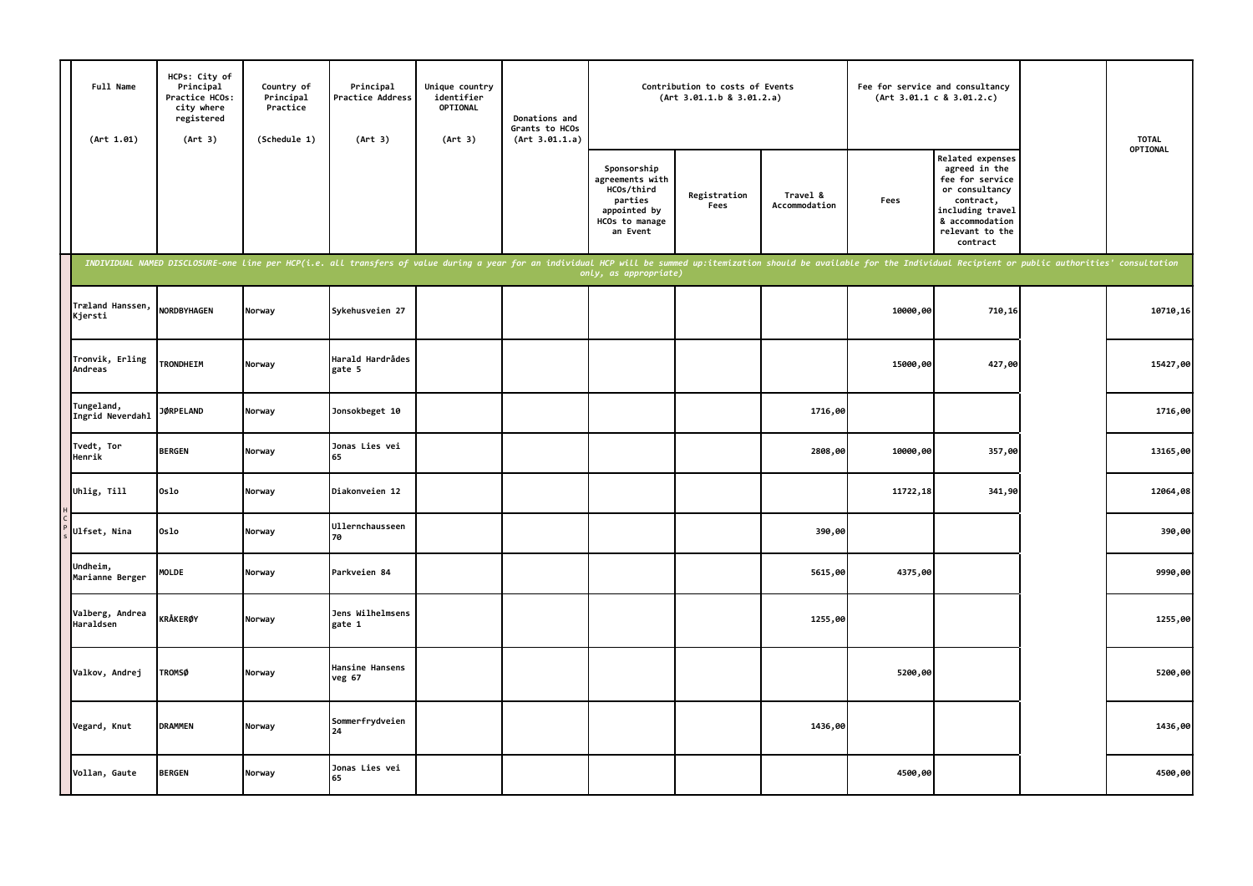| Full Name<br>(Art 1.01)        | HCPs: City of<br>Principal<br>Practice HCOs:<br>city where<br>registered<br>(Art 3) | Country of<br>Principal<br>Practice<br>(Schedule 1) | Principal<br>Practice Address<br>(Art 3)                                                                                                                                                                                       | Unique country<br>identifier<br>OPTIONAL<br>(Art 3) | Donations and<br>Grants to HCOs<br>(Art 3.01.1.a) |                                                                                                       | Contribution to costs of Events<br>(Art 3.01.1.b 8 3.01.2.a) |                           |          | Fee for service and consultancy<br>(Art 3.01.1 c 8 3.01.2.c)                                                                                              | <b>TOTAL</b> |
|--------------------------------|-------------------------------------------------------------------------------------|-----------------------------------------------------|--------------------------------------------------------------------------------------------------------------------------------------------------------------------------------------------------------------------------------|-----------------------------------------------------|---------------------------------------------------|-------------------------------------------------------------------------------------------------------|--------------------------------------------------------------|---------------------------|----------|-----------------------------------------------------------------------------------------------------------------------------------------------------------|--------------|
|                                |                                                                                     |                                                     |                                                                                                                                                                                                                                |                                                     |                                                   | Sponsorship<br>agreements with<br>HCOs/third<br>parties<br>appointed by<br>HCOs to manage<br>an Event | Registration<br>Fees                                         | Travel &<br>Accommodation | Fees     | Related expenses<br>agreed in the<br>fee for service<br>or consultancy<br>contract,<br>including travel<br>& accommodation<br>relevant to the<br>contract | OPTIONAL     |
|                                |                                                                                     |                                                     | INDIVIDUAL NAMED DISCLOSURE-one line per HCP(i.e. all transfers of value during a year for an individual HCP will be summed up:itemization should be available for the Individual Recipient or public authorities' consultatio |                                                     |                                                   | only, as appropriate)                                                                                 |                                                              |                           |          |                                                                                                                                                           |              |
| Træland Hanssen,<br>Kjersti    | <b>NORDBYHAGEN</b>                                                                  | Norway                                              | Sykehusveien 27                                                                                                                                                                                                                |                                                     |                                                   |                                                                                                       |                                                              |                           | 10000,00 | 710,16                                                                                                                                                    | 10710, 16    |
| Tronvik, Erling<br>Andreas     | <b>TRONDHEIM</b>                                                                    | Norway                                              | Harald Hardrådes<br>gate 5                                                                                                                                                                                                     |                                                     |                                                   |                                                                                                       |                                                              |                           | 15000,00 | 427,00                                                                                                                                                    | 15427,00     |
| Tungeland,<br>Ingrid Neverdahl | <b>JØRPELAND</b>                                                                    | Norway                                              | Jonsokbeget 10                                                                                                                                                                                                                 |                                                     |                                                   |                                                                                                       |                                                              | 1716,00                   |          |                                                                                                                                                           | 1716,00      |
| Tvedt, Tor<br>Henrik           | <b>BERGEN</b>                                                                       | Norway                                              | Jonas Lies vei<br>65                                                                                                                                                                                                           |                                                     |                                                   |                                                                                                       |                                                              | 2808,00                   | 10000,00 | 357,00                                                                                                                                                    | 13165,00     |
| Uhlig, Till                    | 0slo                                                                                | Norway                                              | Diakonveien 12                                                                                                                                                                                                                 |                                                     |                                                   |                                                                                                       |                                                              |                           | 11722,18 | 341,90                                                                                                                                                    | 12064,08     |
| Ulfset, Nina                   | 0slo                                                                                | Norway                                              | Ullernchausseen<br>70                                                                                                                                                                                                          |                                                     |                                                   |                                                                                                       |                                                              | 390,00                    |          |                                                                                                                                                           | 390,00       |
| Undheim,<br>Marianne Berger    | <b>MOLDE</b>                                                                        | Norway                                              | Parkveien 84                                                                                                                                                                                                                   |                                                     |                                                   |                                                                                                       |                                                              | 5615,00                   | 4375,00  |                                                                                                                                                           | 9990,00      |
| Valberg, Andrea<br>Haraldsen   | <b>KRÅKERØY</b>                                                                     | Norway                                              | Jens Wilhelmsens<br>gate 1                                                                                                                                                                                                     |                                                     |                                                   |                                                                                                       |                                                              | 1255,00                   |          |                                                                                                                                                           | 1255,00      |
| Valkov, Andrej                 | <b>TROMSØ</b>                                                                       | Norway                                              | Hansine Hansens<br>veg 67                                                                                                                                                                                                      |                                                     |                                                   |                                                                                                       |                                                              |                           | 5200,00  |                                                                                                                                                           | 5200,00      |
| Vegard, Knut                   | <b>DRAMMEN</b>                                                                      | Norway                                              | Sommerfrydveien<br>24                                                                                                                                                                                                          |                                                     |                                                   |                                                                                                       |                                                              | 1436,00                   |          |                                                                                                                                                           | 1436,00      |
| Vollan, Gaute                  | <b>BERGEN</b>                                                                       | Norway                                              | Jonas Lies vei<br>65                                                                                                                                                                                                           |                                                     |                                                   |                                                                                                       |                                                              |                           | 4500,00  |                                                                                                                                                           | 4500,00      |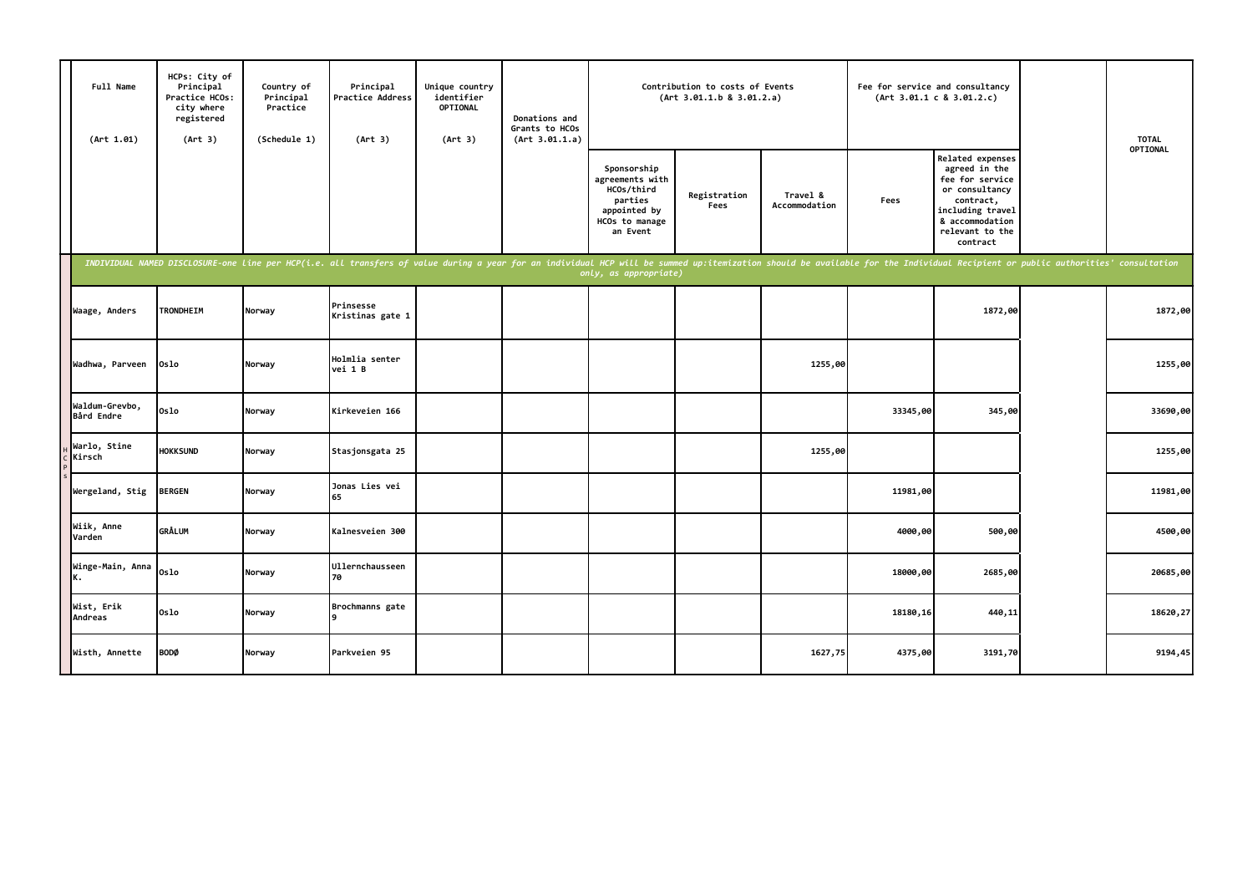| Full Name<br>(Art 1.01)      | HCPs: City of<br>Principal<br>Practice HCOs:<br>city where<br>registered<br>(Art 3) | Country of<br>Principal<br>Practice<br>(Schedule 1) | Principal<br>Practice Address<br>(Art 3)                                                                                                                                                                                       | Unique country<br>identifier<br><b>OPTIONAL</b><br>(Art 3) | Donations and<br>Grants to HCOs<br>(Art 3.01.1.a) |                                                                                                       | Contribution to costs of Events<br>(Art 3.01.1.b 8 3.01.2.a) |                           | Fee for service and consultancy | (Art 3.01.1 c 8 3.01.2.c)                                                                                                                                 | <b>TOTAL</b> |
|------------------------------|-------------------------------------------------------------------------------------|-----------------------------------------------------|--------------------------------------------------------------------------------------------------------------------------------------------------------------------------------------------------------------------------------|------------------------------------------------------------|---------------------------------------------------|-------------------------------------------------------------------------------------------------------|--------------------------------------------------------------|---------------------------|---------------------------------|-----------------------------------------------------------------------------------------------------------------------------------------------------------|--------------|
|                              |                                                                                     |                                                     |                                                                                                                                                                                                                                |                                                            |                                                   | Sponsorship<br>agreements with<br>HCOs/third<br>parties<br>appointed by<br>HCOs to manage<br>an Event | Registration<br>Fees                                         | Travel &<br>Accommodation | Fees                            | Related expenses<br>agreed in the<br>fee for service<br>or consultancy<br>contract,<br>including travel<br>& accommodation<br>relevant to the<br>contract | OPTIONAL     |
|                              |                                                                                     |                                                     | INDIVIDUAL NAMED DISCLOSURE-one line per HCP(i.e. all transfers of value during a year for an individual HCP will be summed up:itemization should be available for the Individual Recipient or public authorities' consultatio |                                                            |                                                   | only, as appropriate)                                                                                 |                                                              |                           |                                 |                                                                                                                                                           |              |
| Waage, Anders                | <b>TRONDHEIM</b>                                                                    | Norway                                              | Prinsesse<br>Kristinas gate 1                                                                                                                                                                                                  |                                                            |                                                   |                                                                                                       |                                                              |                           |                                 | 1872,00                                                                                                                                                   | 1872,00      |
| Wadhwa, Parveen              | Oslo                                                                                | Norway                                              | Holmlia senter<br>vei 1 B                                                                                                                                                                                                      |                                                            |                                                   |                                                                                                       |                                                              | 1255,00                   |                                 |                                                                                                                                                           | 1255,00      |
| Waldum-Grevbo,<br>Bård Endre | 0slo                                                                                | Norway                                              | Kirkeveien 166                                                                                                                                                                                                                 |                                                            |                                                   |                                                                                                       |                                                              |                           | 33345,00                        | 345,00                                                                                                                                                    | 33690,00     |
| Warlo, Stine<br>Kirsch       | <b>HOKKSUND</b>                                                                     | Norway                                              | Stasjonsgata 25                                                                                                                                                                                                                |                                                            |                                                   |                                                                                                       |                                                              | 1255,00                   |                                 |                                                                                                                                                           | 1255,00      |
| Wergeland, Stig              | <b>BERGEN</b>                                                                       | Norway                                              | Jonas Lies vei<br>65                                                                                                                                                                                                           |                                                            |                                                   |                                                                                                       |                                                              |                           | 11981,00                        |                                                                                                                                                           | 11981,00     |
| Wiik, Anne<br>Varden         | <b>GRÅLUM</b>                                                                       | Norway                                              | Kalnesveien 300                                                                                                                                                                                                                |                                                            |                                                   |                                                                                                       |                                                              |                           | 4000,00                         | 500,00                                                                                                                                                    | 4500,00      |
| Winge-Main, Anna<br>К.       | 0slo                                                                                | Norway                                              | <b>Ullernchausseen</b><br>70                                                                                                                                                                                                   |                                                            |                                                   |                                                                                                       |                                                              |                           | 18000,00                        | 2685,00                                                                                                                                                   | 20685,00     |
| Wist, Erik<br>Andreas        | 0slo                                                                                | Norway                                              | Brochmanns gate                                                                                                                                                                                                                |                                                            |                                                   |                                                                                                       |                                                              |                           | 18180,16                        | 440,11                                                                                                                                                    | 18620,27     |
| Wisth, Annette               | <b>BODØ</b>                                                                         | Norway                                              | Parkveien 95                                                                                                                                                                                                                   |                                                            |                                                   |                                                                                                       |                                                              | 1627,75                   | 4375,00                         | 3191,70                                                                                                                                                   | 9194,45      |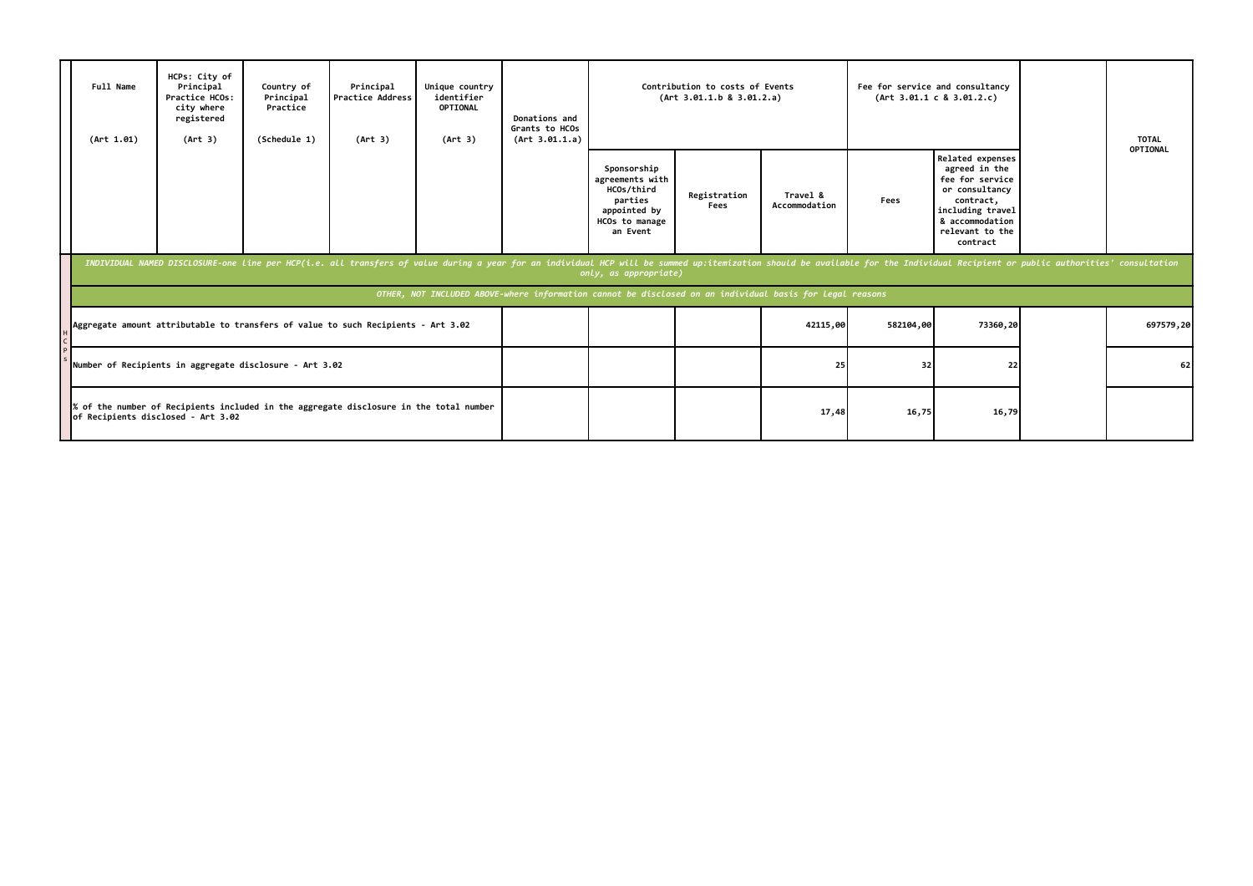| Full Name<br>(Art 1.01) | HCPs: City of<br>Principal<br>Practice HCOs:<br>city where<br>registered<br>(Art 3) | Country of<br>Principal<br>Practice<br>(Schedule 1) | Principal<br><b>Practice Address</b><br>(Art 3)                                                                                                                                                                                | Unique country<br>identifier<br>OPTIONAL<br>(Art 3)                                                      | Donations and<br>Grants to HCOs<br>(Art 3.01.1.a) |                                                                                                       | Contribution to costs of Events<br>(Art 3.01.1.b 8 3.01.2.a) |                           |           | Fee for service and consultancy<br>(Art 3.01.1 c 8 3.01.2.c)                                                                                              | <b>TOTAL</b> |
|-------------------------|-------------------------------------------------------------------------------------|-----------------------------------------------------|--------------------------------------------------------------------------------------------------------------------------------------------------------------------------------------------------------------------------------|----------------------------------------------------------------------------------------------------------|---------------------------------------------------|-------------------------------------------------------------------------------------------------------|--------------------------------------------------------------|---------------------------|-----------|-----------------------------------------------------------------------------------------------------------------------------------------------------------|--------------|
|                         |                                                                                     |                                                     |                                                                                                                                                                                                                                |                                                                                                          |                                                   | Sponsorship<br>agreements with<br>HCOs/third<br>parties<br>appointed by<br>HCOs to manage<br>an Event | Registration<br>Fees                                         | Travel &<br>Accommodation | Fees      | Related expenses<br>agreed in the<br>fee for service<br>or consultancy<br>contract,<br>including travel<br>& accommodation<br>relevant to the<br>contract | OPTIONAL     |
|                         |                                                                                     |                                                     | INDIVIDUAL NAMED DISCLOSURE-one line per HCP(i.e. all transfers of value during a year for an individual HCP will be summed up:itemization should be available for the Individual Recipient or public authorities' consultatio |                                                                                                          |                                                   | only, as appropriate)                                                                                 |                                                              |                           |           |                                                                                                                                                           |              |
|                         |                                                                                     |                                                     |                                                                                                                                                                                                                                | OTHER, NOT INCLUDED ABOVE-where information cannot be disclosed on an individual basis for legal reasons |                                                   |                                                                                                       |                                                              |                           |           |                                                                                                                                                           |              |
|                         |                                                                                     |                                                     | Aggregate amount attributable to transfers of value to such Recipients - Art 3.02                                                                                                                                              |                                                                                                          |                                                   |                                                                                                       |                                                              | 42115,00                  | 582104,00 | 73360,20                                                                                                                                                  | 697579,20    |
|                         | Number of Recipients in aggregate disclosure - Art 3.02                             |                                                     |                                                                                                                                                                                                                                |                                                                                                          |                                                   |                                                                                                       |                                                              | 25                        | 32        | 22                                                                                                                                                        | 62           |
|                         | of Recipients disclosed - Art 3.02                                                  |                                                     | of the number of Recipients included in the aggregate disclosure in the total number                                                                                                                                           |                                                                                                          |                                                   |                                                                                                       |                                                              | 17,48                     | 16,75     | 16,79                                                                                                                                                     |              |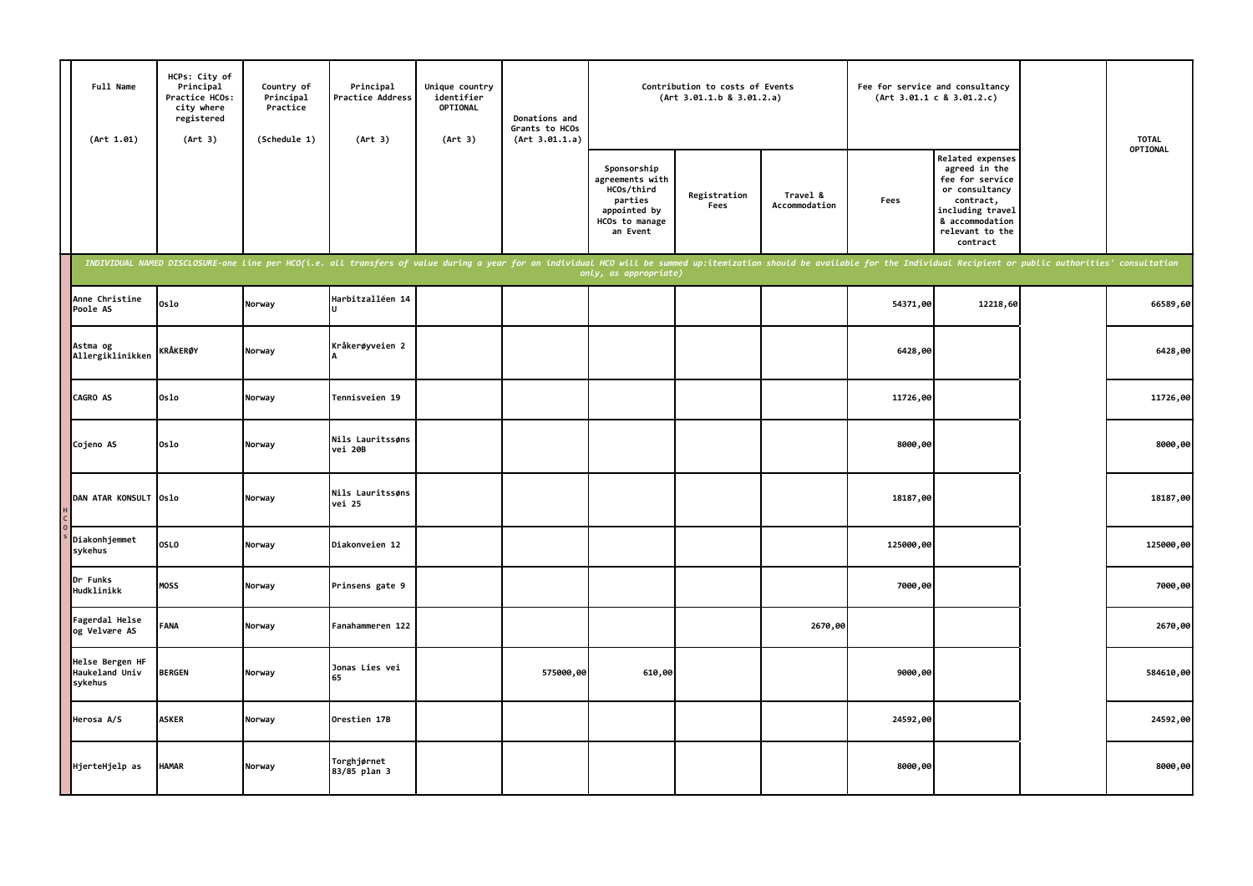| Full Name<br>(Art 1.01)                      | HCPs: City of<br>Principal<br>Practice HCOs:<br>city where<br>registered<br>(Art 3) | Country of<br>Principal<br>Practice<br>(Schedule 1) | Principal<br>Practice Address<br>(Art 3)                                                                                                                                                                                       | Unique country<br>identifier<br><b>OPTIONAL</b><br>(Art 3) | Donations and<br>Grants to HCOs<br>(Art 3.01.1.a) | Contribution to costs of Events<br>(Art 3.01.1.b 8 3.01.2.a)                                          |                      |                           | Fee for service and consultancy<br>(Art 3.01.1 c 8 3.01.2.c) |                                                                                                                                                                  | <b>TOTAL</b> |
|----------------------------------------------|-------------------------------------------------------------------------------------|-----------------------------------------------------|--------------------------------------------------------------------------------------------------------------------------------------------------------------------------------------------------------------------------------|------------------------------------------------------------|---------------------------------------------------|-------------------------------------------------------------------------------------------------------|----------------------|---------------------------|--------------------------------------------------------------|------------------------------------------------------------------------------------------------------------------------------------------------------------------|--------------|
|                                              |                                                                                     |                                                     |                                                                                                                                                                                                                                |                                                            |                                                   | Sponsorship<br>agreements with<br>HCOs/third<br>parties<br>appointed by<br>HCOs to manage<br>an Event | Registration<br>Fees | Travel &<br>Accommodation | Fees                                                         | <b>Related expenses</b><br>agreed in the<br>fee for service<br>or consultancy<br>contract,<br>including travel<br>& accommodation<br>relevant to the<br>contract | OPTIONAL     |
|                                              |                                                                                     |                                                     | INDIVIDUAL NAMED DISCLOSURE-one line per HCO(i.e. all transfers of value during a year for an individual HCO will be summed up:itemization should be available for the Individual Recipient or public authorities' consultatio |                                                            |                                                   | only, as appropriate)                                                                                 |                      |                           |                                                              |                                                                                                                                                                  |              |
| Anne Christine<br>Poole AS                   | Oslo                                                                                | Norway                                              | Harbitzalléen 14                                                                                                                                                                                                               |                                                            |                                                   |                                                                                                       |                      |                           | 54371,00                                                     | 12218,60                                                                                                                                                         | 66589,60     |
| Astma og<br>Allergiklinikken                 | <b>KRÅKERØY</b>                                                                     | Norway                                              | Kråkerøyveien 2                                                                                                                                                                                                                |                                                            |                                                   |                                                                                                       |                      |                           | 6428,00                                                      |                                                                                                                                                                  | 6428,00      |
| <b>CAGRO AS</b>                              | Oslo                                                                                | Norway                                              | Tennisveien 19                                                                                                                                                                                                                 |                                                            |                                                   |                                                                                                       |                      |                           | 11726,00                                                     |                                                                                                                                                                  | 11726,00     |
| Cojeno AS                                    | 0slo                                                                                | Norway                                              | Nils Lauritssøns<br>vei 20B                                                                                                                                                                                                    |                                                            |                                                   |                                                                                                       |                      |                           | 8000,00                                                      |                                                                                                                                                                  | 8000,00      |
| DAN ATAR KONSULT Oslo                        |                                                                                     | Norway                                              | Nils Lauritssøns<br>vei 25                                                                                                                                                                                                     |                                                            |                                                   |                                                                                                       |                      |                           | 18187,00                                                     |                                                                                                                                                                  | 18187,00     |
| Diakonhjemmet<br>sykehus                     | OSLO                                                                                | Norway                                              | Diakonveien 12                                                                                                                                                                                                                 |                                                            |                                                   |                                                                                                       |                      |                           | 125000,00                                                    |                                                                                                                                                                  | 125000,00    |
| Dr Funks<br>Hudklinikk                       | <b>MOSS</b>                                                                         | Norway                                              | Prinsens gate 9                                                                                                                                                                                                                |                                                            |                                                   |                                                                                                       |                      |                           | 7000,00                                                      |                                                                                                                                                                  | 7000,00      |
| Fagerdal Helse<br>og Velvære AS              | FANA                                                                                | Norway                                              | Fanahammeren 122                                                                                                                                                                                                               |                                                            |                                                   |                                                                                                       |                      | 2670,00                   |                                                              |                                                                                                                                                                  | 2670,00      |
| Helse Bergen HF<br>Haukeland Univ<br>sykehus | <b>BERGEN</b>                                                                       | Norway                                              | Jonas Lies vei<br>65                                                                                                                                                                                                           |                                                            | 575000,00                                         | 610,00                                                                                                |                      |                           | 9000,00                                                      |                                                                                                                                                                  | 584610,00    |
| Herosa A/S                                   | <b>ASKER</b>                                                                        | Norway                                              | Orestien 17B                                                                                                                                                                                                                   |                                                            |                                                   |                                                                                                       |                      |                           | 24592,00                                                     |                                                                                                                                                                  | 24592,00     |
| HjerteHjelp as                               | HAMAR                                                                               | Norway                                              | Torghjørnet<br>83/85 plan 3                                                                                                                                                                                                    |                                                            |                                                   |                                                                                                       |                      |                           | 8000,00                                                      |                                                                                                                                                                  | 8000,00      |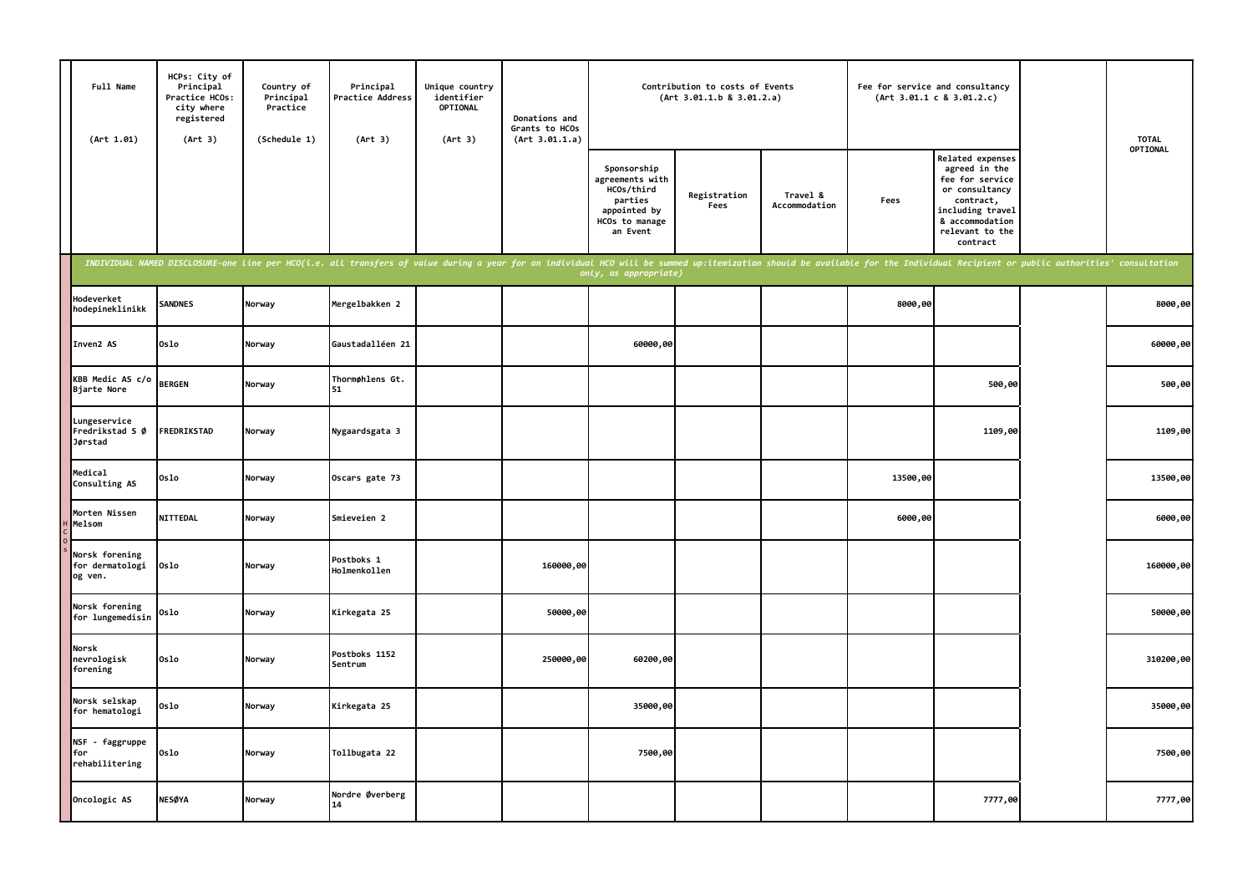| Full Name<br>(Art 1.01)                      | HCPs: City of<br>Principal<br>Practice HCOs:<br>city where<br>registered<br>(Art 3) | Country of<br>Principal<br>Practice<br>(Schedule 1) | Principal<br>Practice Address<br>(Art 3)                                                                                                                                                                                       | Unique country<br>identifier<br>OPTIONAL<br>(Art 3) | Donations and<br>Grants to HCOs<br>(Art 3.01.1.a) |                                                                                                       | Contribution to costs of Events<br>(Art 3.01.1.b 8 3.01.2.a) |                           | Fee for service and consultancy | (Art 3.01.1 c 8 3.01.2.c)                                                                                                                                        | <b>TOTAL</b> |
|----------------------------------------------|-------------------------------------------------------------------------------------|-----------------------------------------------------|--------------------------------------------------------------------------------------------------------------------------------------------------------------------------------------------------------------------------------|-----------------------------------------------------|---------------------------------------------------|-------------------------------------------------------------------------------------------------------|--------------------------------------------------------------|---------------------------|---------------------------------|------------------------------------------------------------------------------------------------------------------------------------------------------------------|--------------|
|                                              |                                                                                     |                                                     |                                                                                                                                                                                                                                |                                                     |                                                   | Sponsorship<br>agreements with<br>HCOs/third<br>parties<br>appointed by<br>HCOs to manage<br>an Event | Registration<br>Fees                                         | Travel &<br>Accommodation | Fees                            | <b>Related expenses</b><br>agreed in the<br>fee for service<br>or consultancy<br>contract,<br>including travel<br>& accommodation<br>relevant to the<br>contract | OPTIONAL     |
|                                              |                                                                                     |                                                     | INDIVIDUAL NAMED DISCLOSURE-one line per HCO(i.e. all transfers of value during a year for an individual HCO will be summed up:itemization should be available for the Individual Recipient or public authorities' consultatio |                                                     |                                                   | only, as appropriate)                                                                                 |                                                              |                           |                                 |                                                                                                                                                                  |              |
| Hodeverket<br>hodepineklinikk                | <b>SANDNES</b>                                                                      | Norway                                              | Mergelbakken 2                                                                                                                                                                                                                 |                                                     |                                                   |                                                                                                       |                                                              |                           | 8000,00                         |                                                                                                                                                                  | 8000,00      |
| Inven2 AS                                    | 0slo                                                                                | Norway                                              | Gaustadalléen 21                                                                                                                                                                                                               |                                                     |                                                   | 60000,00                                                                                              |                                                              |                           |                                 |                                                                                                                                                                  | 60000,00     |
| <b>KBB Medic AS c/o</b><br>Bjarte Nore       | <b>BERGEN</b>                                                                       | Norway                                              | Thormøhlens Gt.<br>51                                                                                                                                                                                                          |                                                     |                                                   |                                                                                                       |                                                              |                           |                                 | 500,00                                                                                                                                                           | 500,00       |
| Lungeservice<br>Fredrikstad S Ø<br>Jørstad   | FREDRIKSTAD                                                                         | Norway                                              | Nygaardsgata 3                                                                                                                                                                                                                 |                                                     |                                                   |                                                                                                       |                                                              |                           |                                 | 1109,00                                                                                                                                                          | 1109,00      |
| Medical<br>Consulting AS                     | 0s1o                                                                                | Norway                                              | Oscars gate 73                                                                                                                                                                                                                 |                                                     |                                                   |                                                                                                       |                                                              |                           | 13500,00                        |                                                                                                                                                                  | 13500,00     |
| Morten Nissen<br>Melsom                      | <b>NITTEDAL</b>                                                                     | Norway                                              | Smieveien 2                                                                                                                                                                                                                    |                                                     |                                                   |                                                                                                       |                                                              |                           | 6000,00                         |                                                                                                                                                                  | 6000,00      |
| Norsk forening<br>for dermatologi<br>og ven. | 0slo                                                                                | Norway                                              | Postboks 1<br>Holmenkollen                                                                                                                                                                                                     |                                                     | 160000,00                                         |                                                                                                       |                                                              |                           |                                 |                                                                                                                                                                  | 160000,00    |
| Norsk forening<br>for lungemedisin           | Oslo                                                                                | Norway                                              | Kirkegata 25                                                                                                                                                                                                                   |                                                     | 50000,00                                          |                                                                                                       |                                                              |                           |                                 |                                                                                                                                                                  | 50000,00     |
| Norsk<br>nevrologisk<br>forening             | 0slo                                                                                | Norway                                              | Postboks 1152<br>Sentrum                                                                                                                                                                                                       |                                                     | 250000,00                                         | 60200,00                                                                                              |                                                              |                           |                                 |                                                                                                                                                                  | 310200,00    |
| Norsk selskap<br>for hematologi              | Oslo                                                                                | Norway                                              | Kirkegata 25                                                                                                                                                                                                                   |                                                     |                                                   | 35000,00                                                                                              |                                                              |                           |                                 |                                                                                                                                                                  | 35000,00     |
| NSF - faggruppe<br>for<br>rehabilitering     | Oslo                                                                                | Norway                                              | Tollbugata 22                                                                                                                                                                                                                  |                                                     |                                                   | 7500,00                                                                                               |                                                              |                           |                                 |                                                                                                                                                                  | 7500,00      |
| Oncologic AS                                 | <b>NESØYA</b>                                                                       | Norway                                              | Nordre Øverberg<br>14                                                                                                                                                                                                          |                                                     |                                                   |                                                                                                       |                                                              |                           |                                 | 7777,00                                                                                                                                                          | 7777,00      |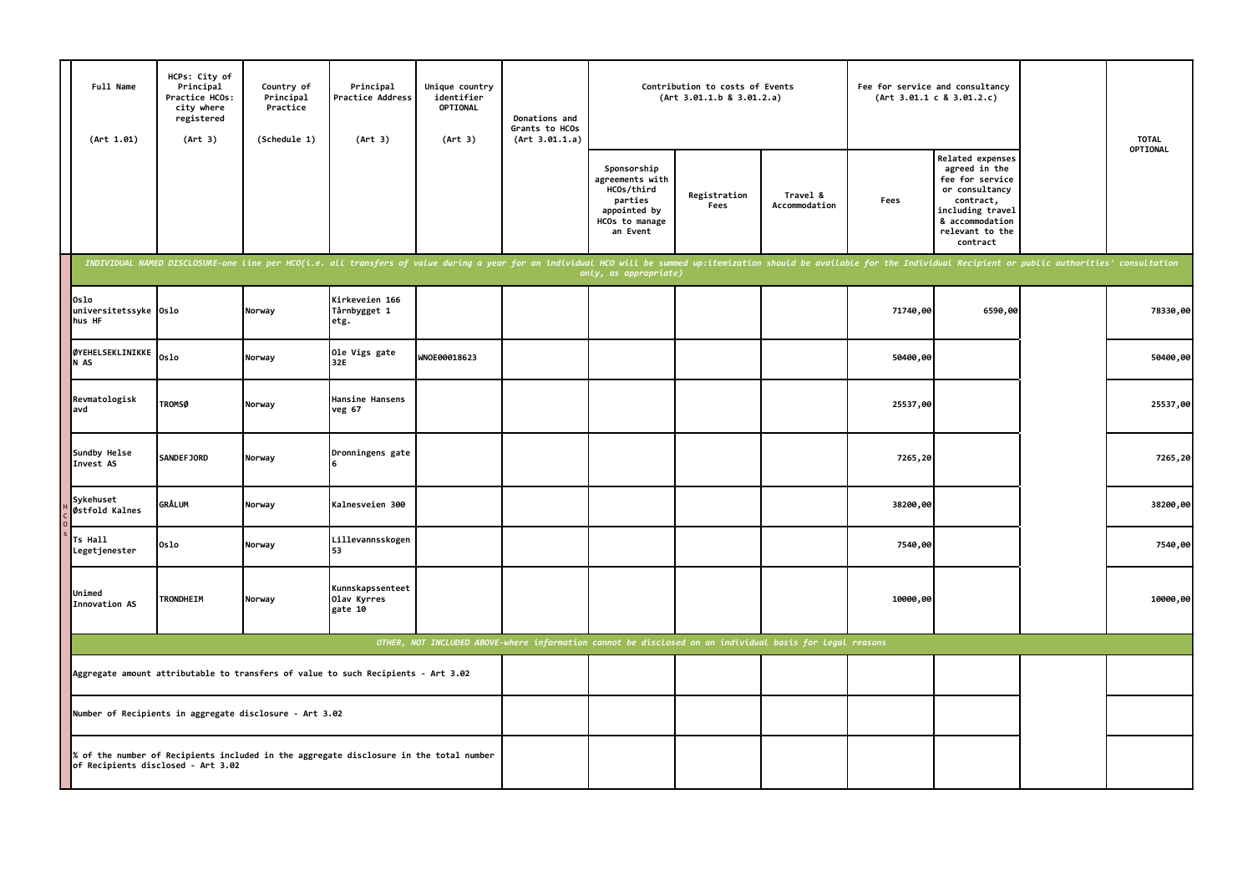|                                                                                                          | Full Name<br>(Art 1.01)                                                           | HCPs: City of<br>Principal<br>Practice HCOs:<br>city where<br>registered<br>(Art 3) | Country of<br>Principal<br>Practice<br>(Schedule 1) | Principal<br>Practice Address<br>(Art 3)                                                                                                                                                                                       | Unique country<br>identifier<br><b>OPTIONAL</b><br>(Art 3) | Donations and<br>Grants to HCOs<br>(Art 3.01.1.a) | Contribution to costs of Events<br>(Art 3.01.1.b 8 3.01.2.a)                                          |                      |                           | Fee for service and consultancy<br>(Art 3.01.1 c 8 3.01.2.c) |                                                                                                                                                           | <b>TOTAL</b> |
|----------------------------------------------------------------------------------------------------------|-----------------------------------------------------------------------------------|-------------------------------------------------------------------------------------|-----------------------------------------------------|--------------------------------------------------------------------------------------------------------------------------------------------------------------------------------------------------------------------------------|------------------------------------------------------------|---------------------------------------------------|-------------------------------------------------------------------------------------------------------|----------------------|---------------------------|--------------------------------------------------------------|-----------------------------------------------------------------------------------------------------------------------------------------------------------|--------------|
|                                                                                                          |                                                                                   |                                                                                     |                                                     |                                                                                                                                                                                                                                |                                                            |                                                   | Sponsorship<br>agreements with<br>HCOs/third<br>parties<br>appointed by<br>HCOs to manage<br>an Event | Registration<br>Fees | Travel &<br>Accommodation | Fees                                                         | Related expenses<br>agreed in the<br>fee for service<br>or consultancy<br>contract,<br>including travel<br>& accommodation<br>relevant to the<br>contract | OPTIONAL     |
|                                                                                                          |                                                                                   |                                                                                     |                                                     | INDIVIDUAL NAMED DISCLOSURE-one line per HCO(i.e. all transfers of value during a year for an individual HCO will be summed up:itemization should be available for the Individual Recipient or public authorities' consultatio |                                                            |                                                   | only, as appropriate)                                                                                 |                      |                           |                                                              |                                                                                                                                                           |              |
|                                                                                                          | Oslo<br>universitetssyke Oslo<br>hus HF                                           |                                                                                     | Norway                                              | Kirkeveien 166<br>Tårnbygget 1<br>etg.                                                                                                                                                                                         |                                                            |                                                   |                                                                                                       |                      |                           | 71740,00                                                     | 6590,00                                                                                                                                                   | 78330,00     |
|                                                                                                          | ØYEHELSEKLINIKKE<br>N AS                                                          | 0slo                                                                                | Norway                                              | Ole Vigs gate<br>32E                                                                                                                                                                                                           | WNOE00018623                                               |                                                   |                                                                                                       |                      |                           | 50400,00                                                     |                                                                                                                                                           | 50400,00     |
|                                                                                                          | Revmatologisk<br>lavd                                                             | <b>TROMSØ</b>                                                                       | Norway                                              | Hansine Hansens<br>veg 67                                                                                                                                                                                                      |                                                            |                                                   |                                                                                                       |                      |                           | 25537,00                                                     |                                                                                                                                                           | 25537,00     |
|                                                                                                          | Sundby Helse<br>Invest AS                                                         | SANDEFJORD                                                                          | Norway                                              | Dronningens gate                                                                                                                                                                                                               |                                                            |                                                   |                                                                                                       |                      |                           | 7265,20                                                      |                                                                                                                                                           | 7265,20      |
|                                                                                                          | Sykehuset<br>Østfold Kalnes                                                       | <b>GRÅLUM</b>                                                                       | Norway                                              | Kalnesveien 300                                                                                                                                                                                                                |                                                            |                                                   |                                                                                                       |                      |                           | 38200,00                                                     |                                                                                                                                                           | 38200,00     |
|                                                                                                          | Ts Hall<br>Legetjenester                                                          | 0slo                                                                                | Norway                                              | Lillevannsskogen<br>53                                                                                                                                                                                                         |                                                            |                                                   |                                                                                                       |                      |                           | 7540,00                                                      |                                                                                                                                                           | 7540,00      |
|                                                                                                          | Unimed<br>Innovation AS                                                           | TRONDHEIM                                                                           | Norway                                              | Kunnskapssenteet<br>Olav Kyrres<br>gate 10                                                                                                                                                                                     |                                                            |                                                   |                                                                                                       |                      |                           | 10000,00                                                     |                                                                                                                                                           | 10000,00     |
| OTHER, NOT INCLUDED ABOVE-where information cannot be disclosed on an individual basis for legal reasons |                                                                                   |                                                                                     |                                                     |                                                                                                                                                                                                                                |                                                            |                                                   |                                                                                                       |                      |                           |                                                              |                                                                                                                                                           |              |
|                                                                                                          | Aggregate amount attributable to transfers of value to such Recipients - Art 3.02 |                                                                                     |                                                     |                                                                                                                                                                                                                                |                                                            |                                                   |                                                                                                       |                      |                           |                                                              |                                                                                                                                                           |              |
|                                                                                                          | Number of Recipients in aggregate disclosure - Art 3.02                           |                                                                                     |                                                     |                                                                                                                                                                                                                                |                                                            |                                                   |                                                                                                       |                      |                           |                                                              |                                                                                                                                                           |              |
|                                                                                                          | of Recipients disclosed - Art 3.02                                                |                                                                                     |                                                     | % of the number of Recipients included in the aggregate disclosure in the total number                                                                                                                                         |                                                            |                                                   |                                                                                                       |                      |                           |                                                              |                                                                                                                                                           |              |